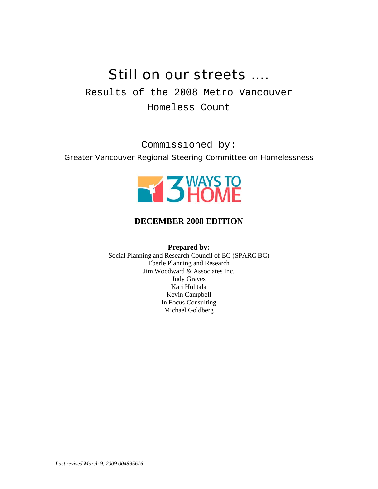# Still on our streets ….

Results of the 2008 Metro Vancouver Homeless Count

Commissioned by: *Greater Vancouver Regional Steering Committee on Homelessness* 



### **DECEMBER 2008 EDITION**

**Prepared by:** 

Social Planning and Research Council of BC (SPARC BC) Eberle Planning and Research Jim Woodward & Associates Inc. Judy Graves Kari Huhtala Kevin Campbell In Focus Consulting Michael Goldberg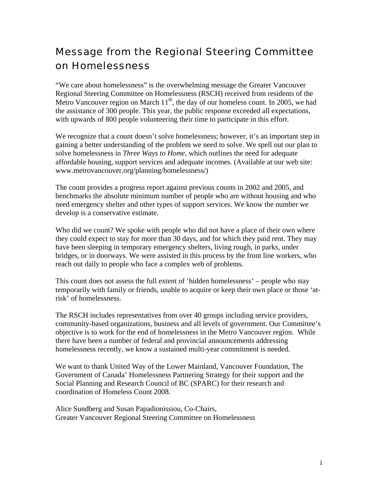## Message from the Regional Steering Committee on Homelessness

"We care about homelessness" is the overwhelming message the Greater Vancouver Regional Steering Committee on Homelessness (RSCH) received from residents of the Metro Vancouver region on March  $11<sup>th</sup>$ , the day of our homeless count. In 2005, we had the assistance of 300 people. This year, the public response exceeded all expectations, with upwards of 800 people volunteering their time to participate in this effort.

We recognize that a count doesn't solve homelessness; however, it's an important step in gaining a better understanding of the problem we need to solve. We spell out our plan to solve homelessness in *Three Ways to Home*, which outlines the need for adequate affordable housing, support services and adequate incomes. (Available at our web site: www.metrovancouver.org/planning/homelessness/)

The count provides a progress report against previous counts in 2002 and 2005, and benchmarks the absolute minimum number of people who are without housing and who need emergency shelter and other types of support services. We know the number we develop is a conservative estimate.

Who did we count? We spoke with people who did not have a place of their own where they could expect to stay for more than 30 days, and for which they paid rent. They may have been sleeping in temporary emergency shelters, living rough, in parks, under bridges, or in doorways. We were assisted in this process by the front line workers, who reach out daily to people who face a complex web of problems.

This count does not assess the full extent of 'hidden homelessness' – people who stay temporarily with family or friends, unable to acquire or keep their own place or those 'atrisk' of homelessness.

The RSCH includes representatives from over 40 groups including service providers, community-based organizations, business and all levels of government. Our Committee's objective is to work for the end of homelessness in the Metro Vancouver region. While there have been a number of federal and provincial announcements addressing homelessness recently, we know a sustained multi-year commitment is needed.

We want to thank United Way of the Lower Mainland, Vancouver Foundation, The Government of Canada' Homelessness Partnering Strategy for their support and the Social Planning and Research Council of BC (SPARC) for their research and coordination of Homeless Count 2008.

Alice Sundberg and Susan Papadionissiou, Co-Chairs, Greater Vancouver Regional Steering Committee on Homelessness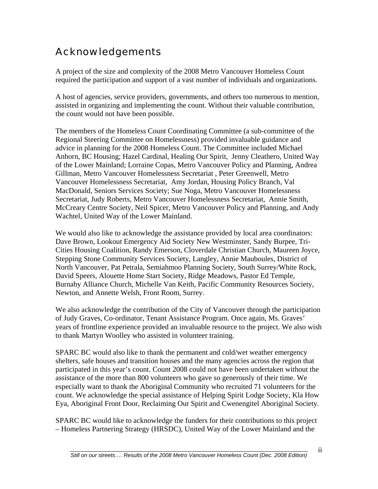## Acknowledgements

A project of the size and complexity of the 2008 Metro Vancouver Homeless Count required the participation and support of a vast number of individuals and organizations.

A host of agencies, service providers, governments, and others too numerous to mention, assisted in organizing and implementing the count. Without their valuable contribution, the count would not have been possible.

The members of the Homeless Count Coordinating Committee (a sub-committee of the Regional Steering Committee on Homelessness) provided invaluable guidance and advice in planning for the 2008 Homeless Count. The Committee included Michael Anhorn, BC Housing; Hazel Cardinal, Healing Our Spirit, Jenny Cleathero, United Way of the Lower Mainland; Lorraine Copas, Metro Vancouver Policy and Planning, Andrea Gillman, Metro Vancouver Homelessness Secretariat , Peter Greenwell, Metro Vancouver Homelessness Secretariat, Amy Jordan, Housing Policy Branch, Val MacDonald, Seniors Services Society; Sue Noga, Metro Vancouver Homelessness Secretariat, Judy Roberts, Metro Vancouver Homelessness Secretariat, Annie Smith, McCreary Centre Society, Neil Spicer, Metro Vancouver Policy and Planning, and Andy Wachtel, United Way of the Lower Mainland.

We would also like to acknowledge the assistance provided by local area coordinators: Dave Brown, Lookout Emergency Aid Society New Westminster, Sandy Burpee, Tri-Cities Housing Coalition, Randy Emerson, Cloverdale Christian Church, Maureen Joyce, Stepping Stone Community Services Society, Langley, Annie Mauboules, District of North Vancouver, Pat Petrala, Semiahmoo Planning Society, South Surrey/White Rock, David Speers, Alouette Home Start Society, Ridge Meadows, Pastor Ed Temple, Burnaby Alliance Church, Michelle Van Keith, Pacific Community Resources Society, Newton, and Annette Welsh, Front Room, Surrey.

We also acknowledge the contribution of the City of Vancouver through the participation of Judy Graves, Co-ordinator, Tenant Assistance Program. Once again, Ms. Graves' years of frontline experience provided an invaluable resource to the project. We also wish to thank Martyn Woolley who assisted in volunteer training.

SPARC BC would also like to thank the permanent and cold/wet weather emergency shelters, safe houses and transition houses and the many agencies across the region that participated in this year's count. Count 2008 could not have been undertaken without the assistance of the more than 800 volunteers who gave so generously of their time. We especially want to thank the Aboriginal Community who recruited 71 volunteers for the count. We acknowledge the special assistance of Helping Spirit Lodge Society, Kla How Eya, Aboriginal Front Door, Reclaiming Our Spirit and Cwenengitel Aboriginal Society.

SPARC BC would like to acknowledge the funders for their contributions to this project – Homeless Partnering Strategy (HRSDC), United Way of the Lower Mainland and the

ii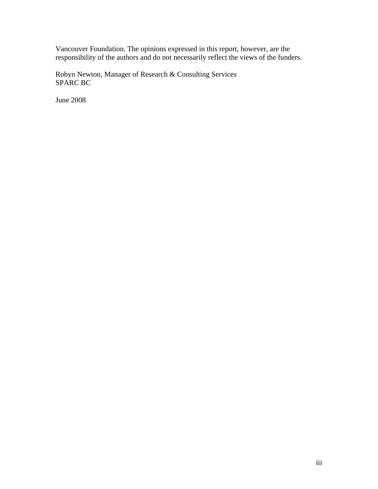Vancouver Foundation. The opinions expressed in this report, however, are the responsibility of the authors and do not necessarily reflect the views of the funders.

Robyn Newton, Manager of Research & Consulting Services SPARC BC

June 2008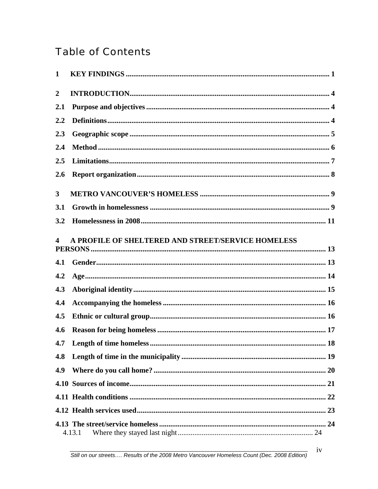# **Table of Contents**

| $\mathbf{1}$     |                                                    |
|------------------|----------------------------------------------------|
| $\boldsymbol{2}$ |                                                    |
| 2.1              |                                                    |
| 2.2              |                                                    |
| 2.3              |                                                    |
| 2.4              |                                                    |
| 2.5              |                                                    |
| 2.6              |                                                    |
| $\mathbf{3}$     |                                                    |
| 3.1              |                                                    |
| 3.2              |                                                    |
| 4                | A PROFILE OF SHELTERED AND STREET/SERVICE HOMELESS |
| 4.1              |                                                    |
| 4.2              |                                                    |
| 4.3              |                                                    |
| 4.4              |                                                    |
| 4.5              |                                                    |
| 4.6              |                                                    |
| 4.7              |                                                    |
| 4.8              |                                                    |
| 4.9              |                                                    |
|                  |                                                    |
|                  |                                                    |
|                  |                                                    |
|                  |                                                    |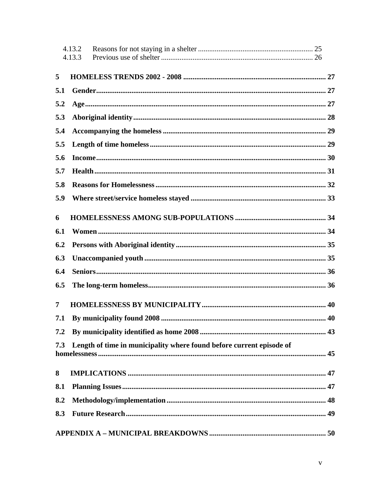|     | 4.13.2<br>4.13.3                                                     |  |
|-----|----------------------------------------------------------------------|--|
|     |                                                                      |  |
| 5   |                                                                      |  |
| 5.1 |                                                                      |  |
| 5.2 |                                                                      |  |
| 5.3 |                                                                      |  |
| 5.4 |                                                                      |  |
| 5.5 |                                                                      |  |
| 5.6 |                                                                      |  |
| 5.7 |                                                                      |  |
| 5.8 |                                                                      |  |
| 5.9 |                                                                      |  |
| 6   |                                                                      |  |
| 6.1 |                                                                      |  |
| 6.2 |                                                                      |  |
| 6.3 |                                                                      |  |
| 6.4 |                                                                      |  |
| 6.5 |                                                                      |  |
| 7   |                                                                      |  |
| 7.1 |                                                                      |  |
| 7.2 |                                                                      |  |
| 7.3 | Length of time in municipality where found before current episode of |  |
| 8   |                                                                      |  |
| 8.1 |                                                                      |  |
| 8.2 |                                                                      |  |
| 8.3 |                                                                      |  |
|     |                                                                      |  |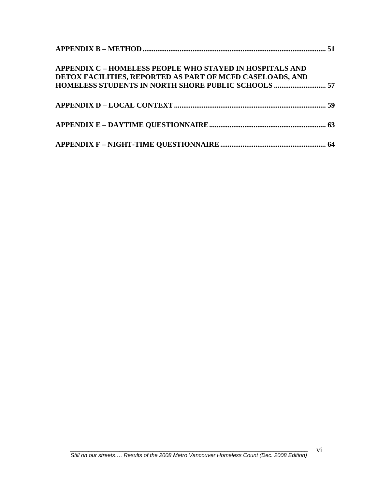| <b>APPENDIX C - HOMELESS PEOPLE WHO STAYED IN HOSPITALS AND</b><br>DETOX FACILITIES, REPORTED AS PART OF MCFD CASELOADS, AND |  |
|------------------------------------------------------------------------------------------------------------------------------|--|
| HOMELESS STUDENTS IN NORTH SHORE PUBLIC SCHOOLS  57                                                                          |  |
|                                                                                                                              |  |
|                                                                                                                              |  |
|                                                                                                                              |  |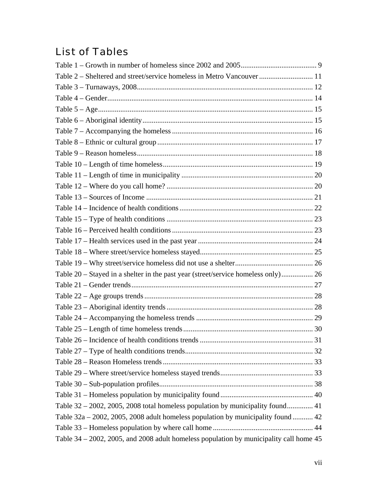## List of Tables

| Table 2 - Sheltered and street/service homeless in Metro Vancouver  11                         |  |
|------------------------------------------------------------------------------------------------|--|
|                                                                                                |  |
|                                                                                                |  |
|                                                                                                |  |
|                                                                                                |  |
|                                                                                                |  |
|                                                                                                |  |
|                                                                                                |  |
|                                                                                                |  |
|                                                                                                |  |
|                                                                                                |  |
|                                                                                                |  |
|                                                                                                |  |
|                                                                                                |  |
|                                                                                                |  |
|                                                                                                |  |
|                                                                                                |  |
|                                                                                                |  |
| Table 20 - Stayed in a shelter in the past year (street/service homeless only) 26              |  |
|                                                                                                |  |
|                                                                                                |  |
|                                                                                                |  |
|                                                                                                |  |
|                                                                                                |  |
|                                                                                                |  |
|                                                                                                |  |
|                                                                                                |  |
|                                                                                                |  |
|                                                                                                |  |
|                                                                                                |  |
| Table 32 - 2002, 2005, 2008 total homeless population by municipality found 41                 |  |
| Table $32a - 2002$ , $2005$ , $2008$ adult homeless population by municipality found  42       |  |
|                                                                                                |  |
| Table $34 - 2002$ , $2005$ , and $2008$ adult homeless population by municipality call home 45 |  |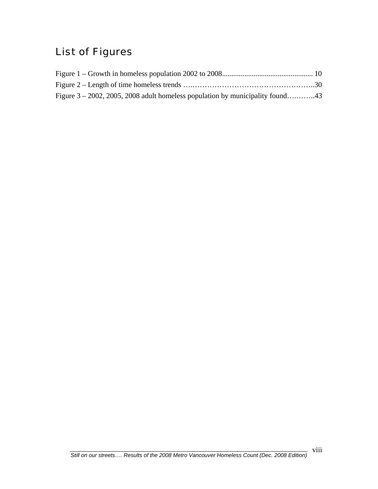# List of Figures

| Figure $3 - 2002$ , 2005, 2008 adult homeless population by municipality found43 |  |
|----------------------------------------------------------------------------------|--|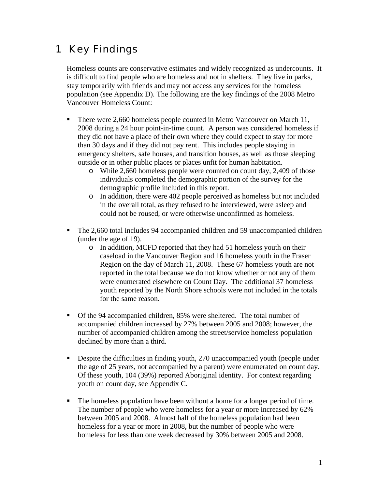## <span id="page-10-0"></span>1 Key Findings

Homeless counts are conservative estimates and widely recognized as undercounts. It is difficult to find people who are homeless and not in shelters. They live in parks, stay temporarily with friends and may not access any services for the homeless population (see Appendix D). The following are the key findings of the 2008 Metro Vancouver Homeless Count:

- There were 2,660 homeless people counted in Metro Vancouver on March 11, 2008 during a 24 hour point-in-time count. A person was considered homeless if they did not have a place of their own where they could expect to stay for more than 30 days and if they did not pay rent. This includes people staying in emergency shelters, safe houses, and transition houses, as well as those sleeping outside or in other public places or places unfit for human habitation.
	- o While 2,660 homeless people were counted on count day, 2,409 of those individuals completed the demographic portion of the survey for the demographic profile included in this report.
	- o In addition, there were 402 people perceived as homeless but not included in the overall total, as they refused to be interviewed, were asleep and could not be roused, or were otherwise unconfirmed as homeless.
- The 2,660 total includes 94 accompanied children and 59 unaccompanied children (under the age of 19).
	- o In addition, MCFD reported that they had 51 homeless youth on their caseload in the Vancouver Region and 16 homeless youth in the Fraser Region on the day of March 11, 2008. These 67 homeless youth are not reported in the total because we do not know whether or not any of them were enumerated elsewhere on Count Day. The additional 37 homeless youth reported by the North Shore schools were not included in the totals for the same reason.
- Of the 94 accompanied children, 85% were sheltered. The total number of accompanied children increased by 27% between 2005 and 2008; however, the number of accompanied children among the street/service homeless population declined by more than a third.
- Despite the difficulties in finding youth, 270 unaccompanied youth (people under the age of 25 years, not accompanied by a parent) were enumerated on count day. Of these youth, 104 (39%) reported Aboriginal identity. For context regarding youth on count day, see Appendix C.
- The homeless population have been without a home for a longer period of time. The number of people who were homeless for a year or more increased by 62% between 2005 and 2008. Almost half of the homeless population had been homeless for a year or more in 2008, but the number of people who were homeless for less than one week decreased by 30% between 2005 and 2008.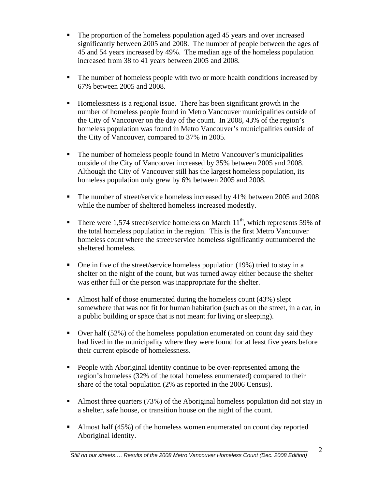- The proportion of the homeless population aged 45 years and over increased significantly between 2005 and 2008. The number of people between the ages of 45 and 54 years increased by 49%. The median age of the homeless population increased from 38 to 41 years between 2005 and 2008.
- The number of homeless people with two or more health conditions increased by 67% between 2005 and 2008.
- Homelessness is a regional issue. There has been significant growth in the number of homeless people found in Metro Vancouver municipalities outside of the City of Vancouver on the day of the count. In 2008, 43% of the region's homeless population was found in Metro Vancouver's municipalities outside of the City of Vancouver, compared to 37% in 2005.
- The number of homeless people found in Metro Vancouver's municipalities outside of the City of Vancouver increased by 35% between 2005 and 2008. Although the City of Vancouver still has the largest homeless population, its homeless population only grew by 6% between 2005 and 2008.
- The number of street/service homeless increased by 41% between 2005 and 2008 while the number of sheltered homeless increased modestly.
- There were 1,574 street/service homeless on March  $11<sup>th</sup>$ , which represents 59% of the total homeless population in the region. This is the first Metro Vancouver homeless count where the street/service homeless significantly outnumbered the sheltered homeless.
- $\blacksquare$  One in five of the street/service homeless population (19%) tried to stay in a shelter on the night of the count, but was turned away either because the shelter was either full or the person was inappropriate for the shelter.
- Almost half of those enumerated during the homeless count  $(43%)$  slept somewhere that was not fit for human habitation (such as on the street, in a car, in a public building or space that is not meant for living or sleeping).
- Over half (52%) of the homeless population enumerated on count day said they had lived in the municipality where they were found for at least five years before their current episode of homelessness.
- **People with Aboriginal identity continue to be over-represented among the** region's homeless (32% of the total homeless enumerated) compared to their share of the total population (2% as reported in the 2006 Census).
- Almost three quarters (73%) of the Aboriginal homeless population did not stay in a shelter, safe house, or transition house on the night of the count.
- Almost half (45%) of the homeless women enumerated on count day reported Aboriginal identity.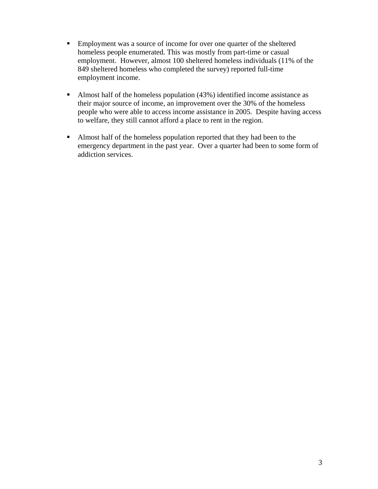- **Employment was a source of income for over one quarter of the sheltered** homeless people enumerated. This was mostly from part-time or casual employment. However, almost 100 sheltered homeless individuals (11% of the 849 sheltered homeless who completed the survey) reported full-time employment income.
- Almost half of the homeless population (43%) identified income assistance as their major source of income, an improvement over the 30% of the homeless people who were able to access income assistance in 2005. Despite having access to welfare, they still cannot afford a place to rent in the region.
- Almost half of the homeless population reported that they had been to the emergency department in the past year. Over a quarter had been to some form of addiction services.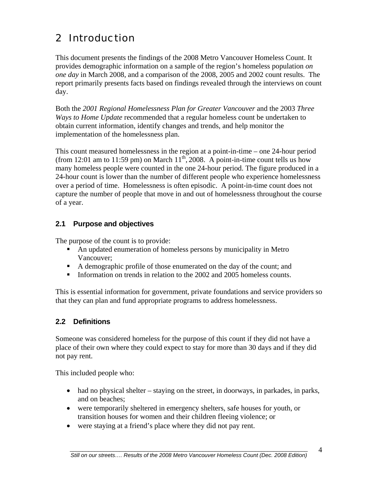# <span id="page-13-0"></span>2 Introduction

This document presents the findings of the 2008 Metro Vancouver Homeless Count. It provides demographic information on a sample of the region's homeless population *on one day* in March 2008, and a comparison of the 2008, 2005 and 2002 count results. The report primarily presents facts based on findings revealed through the interviews on count day.

Both the *2001 Regional Homelessness Plan for Greater Vancouver* and the 2003 *Three Ways to Home Update* recommended that a regular homeless count be undertaken to obtain current information, identify changes and trends, and help monitor the implementation of the homelessness plan.

This count measured homelessness in the region at a point-in-time – one 24-hour period (from 12:01 am to 11:59 pm) on March  $11^{th}$ , 2008. A point-in-time count tells us how many homeless people were counted in the one 24-hour period. The figure produced in a 24-hour count is lower than the number of different people who experience homelessness over a period of time. Homelessness is often episodic. A point-in-time count does not capture the number of people that move in and out of homelessness throughout the course of a year.

### **2.1 Purpose and objectives**

The purpose of the count is to provide:

- An updated enumeration of homeless persons by municipality in Metro Vancouver;
- A demographic profile of those enumerated on the day of the count; and
- Information on trends in relation to the 2002 and 2005 homeless counts.

This is essential information for government, private foundations and service providers so that they can plan and fund appropriate programs to address homelessness.

### **2.2 Definitions**

Someone was considered homeless for the purpose of this count if they did not have a place of their own where they could expect to stay for more than 30 days and if they did not pay rent.

This included people who:

- had no physical shelter staying on the street, in doorways, in parkades, in parks, and on beaches;
- were temporarily sheltered in emergency shelters, safe houses for youth, or transition houses for women and their children fleeing violence; or
- were staying at a friend's place where they did not pay rent.

4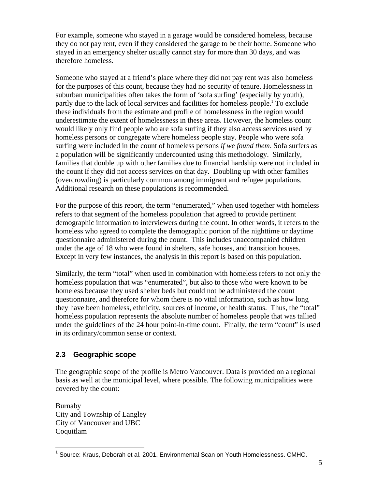<span id="page-14-0"></span>For example, someone who stayed in a garage would be considered homeless, because they do not pay rent, even if they considered the garage to be their home. Someone who stayed in an emergency shelter usually cannot stay for more than 30 days, and was therefore homeless.

Someone who stayed at a friend's place where they did not pay rent was also homeless for the purposes of this count, because they had no security of tenure. Homelessness in suburban municipalities often takes the form of 'sofa surfing' (especially by youth), partly due to the lack of local services and facilities for homeless people.<sup>[1](#page-14-1)</sup> To exclude these individuals from the estimate and profile of homelessness in the region would underestimate the extent of homelessness in these areas. However, the homeless count would likely only find people who are sofa surfing if they also access services used by homeless persons or congregate where homeless people stay. People who were sofa surfing were included in the count of homeless persons *if we found them*. Sofa surfers as a population will be significantly undercounted using this methodology. Similarly, families that double up with other families due to financial hardship were not included in the count if they did not access services on that day. Doubling up with other families (overcrowding) is particularly common among immigrant and refugee populations. Additional research on these populations is recommended.

For the purpose of this report, the term "enumerated," when used together with homeless refers to that segment of the homeless population that agreed to provide pertinent demographic information to interviewers during the count. In other words, it refers to the homeless who agreed to complete the demographic portion of the nighttime or daytime questionnaire administered during the count. This includes unaccompanied children under the age of 18 who were found in shelters, safe houses, and transition houses. Except in very few instances, the analysis in this report is based on this population.

Similarly, the term "total" when used in combination with homeless refers to not only the homeless population that was "enumerated", but also to those who were known to be homeless because they used shelter beds but could not be administered the count questionnaire, and therefore for whom there is no vital information, such as how long they have been homeless, ethnicity, sources of income, or health status. Thus, the "total" homeless population represents the absolute number of homeless people that was tallied under the guidelines of the 24 hour point-in-time count. Finally, the term "count" is used in its ordinary/common sense or context.

#### **2.3 Geographic scope**

The geographic scope of the profile is Metro Vancouver. Data is provided on a regional basis as well at the municipal level, where possible. The following municipalities were covered by the count:

Burnaby City and Township of Langley City of Vancouver and UBC Coquitlam

<span id="page-14-1"></span> $\overline{a}$ <sup>1</sup> Source: Kraus, Deborah et al. 2001. Environmental Scan on Youth Homelessness. CMHC.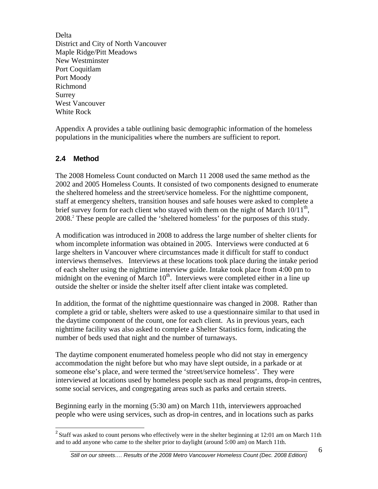<span id="page-15-0"></span>Delta District and City of North Vancouver Maple Ridge/Pitt Meadows New Westminster Port Coquitlam Port Moody Richmond Surrey West Vancouver White Rock

Appendix A provides a table outlining basic demographic information of the homeless populations in the municipalities where the numbers are sufficient to report.

#### **2.4 Method**

1

The 2008 Homeless Count conducted on March 11 2008 used the same method as the 2002 and 2005 Homeless Counts. It consisted of two components designed to enumerate the sheltered homeless and the street/service homeless. For the nighttime component, staff at emergency shelters, transition houses and safe houses were asked to complete a brief survey form for each client who stayed with them on the night of March  $10/11<sup>th</sup>$ , 2008.[2](#page-15-1) These people are called the 'sheltered homeless' for the purposes of this study.

A modification was introduced in 2008 to address the large number of shelter clients for whom incomplete information was obtained in 2005. Interviews were conducted at 6 large shelters in Vancouver where circumstances made it difficult for staff to conduct interviews themselves. Interviews at these locations took place during the intake period of each shelter using the nighttime interview guide. Intake took place from 4:00 pm to midnight on the evening of March  $10<sup>th</sup>$ . Interviews were completed either in a line up outside the shelter or inside the shelter itself after client intake was completed.

In addition, the format of the nighttime questionnaire was changed in 2008. Rather than complete a grid or table, shelters were asked to use a questionnaire similar to that used in the daytime component of the count, one for each client. As in previous years, each nighttime facility was also asked to complete a Shelter Statistics form, indicating the number of beds used that night and the number of turnaways.

The daytime component enumerated homeless people who did not stay in emergency accommodation the night before but who may have slept outside, in a parkade or at someone else's place, and were termed the 'street/service homeless'. They were interviewed at locations used by homeless people such as meal programs, drop-in centres, some social services, and congregating areas such as parks and certain streets.

Beginning early in the morning (5:30 am) on March 11th, interviewers approached people who were using services, such as drop-in centres, and in locations such as parks

<span id="page-15-1"></span><sup>&</sup>lt;sup>2</sup> Staff was asked to count persons who effectively were in the shelter beginning at 12:01 am on March 11th and to add anyone who came to the shelter prior to daylight (around 5:00 am) on March 11th.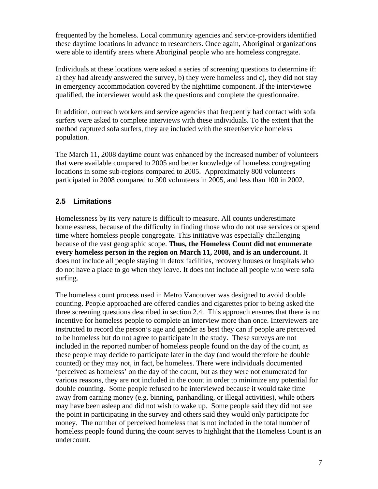<span id="page-16-0"></span>frequented by the homeless. Local community agencies and service-providers identified these daytime locations in advance to researchers. Once again, Aboriginal organizations were able to identify areas where Aboriginal people who are homeless congregate.

Individuals at these locations were asked a series of screening questions to determine if: a) they had already answered the survey, b) they were homeless and c), they did not stay in emergency accommodation covered by the nighttime component. If the interviewee qualified, the interviewer would ask the questions and complete the questionnaire.

In addition, outreach workers and service agencies that frequently had contact with sofa surfers were asked to complete interviews with these individuals. To the extent that the method captured sofa surfers, they are included with the street/service homeless population.

The March 11, 2008 daytime count was enhanced by the increased number of volunteers that were available compared to 2005 and better knowledge of homeless congregating locations in some sub-regions compared to 2005. Approximately 800 volunteers participated in 2008 compared to 300 volunteers in 2005, and less than 100 in 2002.

### **2.5 Limitations**

Homelessness by its very nature is difficult to measure. All counts underestimate homelessness, because of the difficulty in finding those who do not use services or spend time where homeless people congregate. This initiative was especially challenging because of the vast geographic scope. **Thus, the Homeless Count did not enumerate every homeless person in the region on March 11, 2008, and is an undercount.** It does not include all people staying in detox facilities, recovery houses or hospitals who do not have a place to go when they leave. It does not include all people who were sofa surfing.

The homeless count process used in Metro Vancouver was designed to avoid double counting. People approached are offered candies and cigarettes prior to being asked the three screening questions described in section 2.4. This approach ensures that there is no incentive for homeless people to complete an interview more than once. Interviewers are instructed to record the person's age and gender as best they can if people are perceived to be homeless but do not agree to participate in the study. These surveys are not included in the reported number of homeless people found on the day of the count, as these people may decide to participate later in the day (and would therefore be double counted) or they may not, in fact, be homeless. There were individuals documented 'perceived as homeless' on the day of the count, but as they were not enumerated for various reasons, they are not included in the count in order to minimize any potential for double counting. Some people refused to be interviewed because it would take time away from earning money (e.g. binning, panhandling, or illegal activities), while others may have been asleep and did not wish to wake up. Some people said they did not see the point in participating in the survey and others said they would only participate for money. The number of perceived homeless that is not included in the total number of homeless people found during the count serves to highlight that the Homeless Count is an undercount.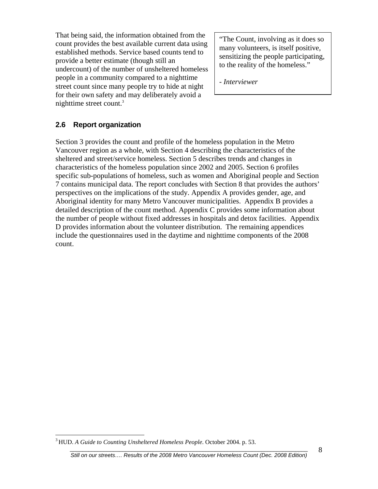<span id="page-17-0"></span>That being said, the information obtained from the count provides the best available current data using established methods. Service based counts tend to provide a better estimate (though still an undercount) of the number of unsheltered homeless people in a community compared to a nighttime street count since many people try to hide at night for their own safety and may deliberately avoid a nighttime street count.[3](#page-17-1)

"The Count, involving as it does so many volunteers, is itself positive, sensitizing the people participating, to the reality of the homeless."

*- Interviewer* 

#### **2.6 Report organization**

Section 3 provides the count and profile of the homeless population in the Metro Vancouver region as a whole, with Section 4 describing the characteristics of the sheltered and street/service homeless. Section 5 describes trends and changes in characteristics of the homeless population since 2002 and 2005. Section 6 profiles specific sub-populations of homeless, such as women and Aboriginal people and Section 7 contains municipal data. The report concludes with Section 8 that provides the authors' perspectives on the implications of the study. Appendix A provides gender, age, and Aboriginal identity for many Metro Vancouver municipalities. Appendix B provides a detailed description of the count method. Appendix C provides some information about the number of people without fixed addresses in hospitals and detox facilities. Appendix D provides information about the volunteer distribution. The remaining appendices include the questionnaires used in the daytime and nighttime components of the 2008 count.

 $\overline{a}$ 

<span id="page-17-1"></span><sup>3</sup> HUD. *A Guide to Counting Unsheltered Homeless People*. October 2004. p. 53.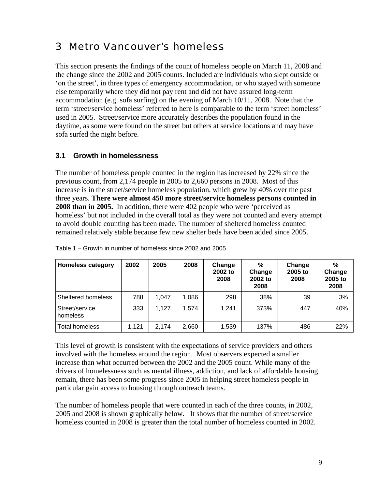### <span id="page-18-0"></span>3 Metro Vancouver's homeless

This section presents the findings of the count of homeless people on March 11, 2008 and the change since the 2002 and 2005 counts. Included are individuals who slept outside or 'on the street', in three types of emergency accommodation, or who stayed with someone else temporarily where they did not pay rent and did not have assured long-term accommodation (e.g. sofa surfing) on the evening of March 10/11, 2008. Note that the term 'street/service homeless' referred to here is comparable to the term 'street homeless' used in 2005. Street/service more accurately describes the population found in the daytime, as some were found on the street but others at service locations and may have sofa surfed the night before.

### **3.1 Growth in homelessness**

The number of homeless people counted in the region has increased by 22% since the previous count, from 2,174 people in 2005 to 2,660 persons in 2008. Most of this increase is in the street/service homeless population, which grew by 40% over the past three years. **There were almost 450 more street/service homeless persons counted in 2008 than in 2005.** In addition, there were 402 people who were 'perceived as homeless' but not included in the overall total as they were not counted and every attempt to avoid double counting has been made. The number of sheltered homeless counted remained relatively stable because few new shelter beds have been added since 2005.

| <b>Homeless category</b>   | 2002  | 2005  | 2008  | Change<br>2002 to<br>2008 | %<br>Change<br>2002 to<br>2008 | Change<br>2005 to<br>2008 | $\%$<br>Change<br>2005 to<br>2008 |
|----------------------------|-------|-------|-------|---------------------------|--------------------------------|---------------------------|-----------------------------------|
| Sheltered homeless         | 788   | 1.047 | 1,086 | 298                       | 38%                            | 39                        | 3%                                |
| Street/service<br>homeless | 333   | 1,127 | 1,574 | 1,241                     | 373%                           | 447                       | 40%                               |
| <b>Total homeless</b>      | 1.121 | 2,174 | 2,660 | 1,539                     | 137%                           | 486                       | 22%                               |

|  |  | Table 1 – Growth in number of homeless since 2002 and 2005 |
|--|--|------------------------------------------------------------|
|  |  |                                                            |

This level of growth is consistent with the expectations of service providers and others involved with the homeless around the region. Most observers expected a smaller increase than what occurred between the 2002 and the 2005 count. While many of the drivers of homelessness such as mental illness, addiction, and lack of affordable housing remain, there has been some progress since 2005 in helping street homeless people in particular gain access to housing through outreach teams.

The number of homeless people that were counted in each of the three counts, in 2002, 2005 and 2008 is shown graphically below. It shows that the number of street/service homeless counted in 2008 is greater than the total number of homeless counted in 2002.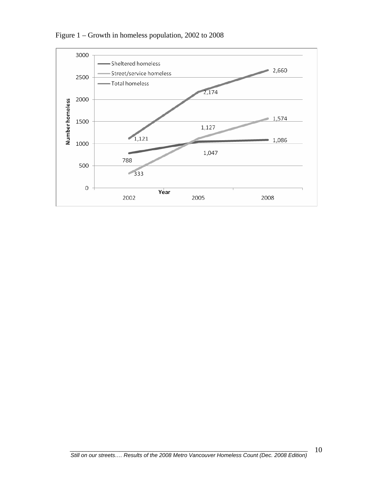

Figure 1 – Growth in homeless population, 2002 to 2008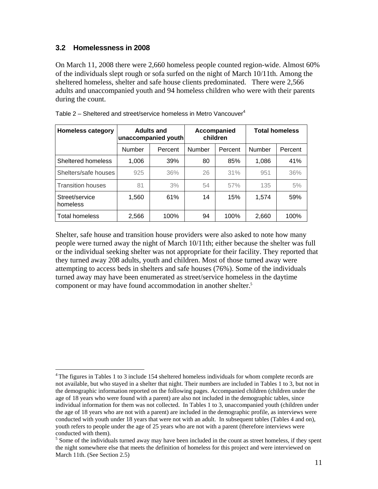#### <span id="page-20-0"></span>**3.2 Homelessness in 2008**

 $\overline{a}$ 

On March 11, 2008 there were 2,660 homeless people counted region-wide. Almost 60% of the individuals slept rough or sofa surfed on the night of March 10/11th. Among the sheltered homeless, shelter and safe house clients predominated. There were 2,566 adults and unaccompanied youth and 94 homeless children who were with their parents during the count.

| <b>Homeless category</b>   | <b>Adults and</b><br>unaccompanied youth |         | Accompanied<br>children |         | <b>Total homeless</b> |         |
|----------------------------|------------------------------------------|---------|-------------------------|---------|-----------------------|---------|
|                            | Number                                   | Percent | Number                  | Percent | Number                | Percent |
| Sheltered homeless         | 1,006                                    | 39%     | 80                      | 85%     | 1,086                 | 41%     |
| Shelters/safe houses       | 925                                      | 36%     | 26                      | 31%     | 951                   | 36%     |
| <b>Transition houses</b>   | 81                                       | 3%      | 54                      | 57%     | 135                   | 5%      |
| Street/service<br>homeless | 1,560                                    | 61%     | 14                      | 15%     | 1,574                 | 59%     |
| <b>Total homeless</b>      | 2,566                                    | 100%    | 94                      | 100%    | 2,660                 | 100%    |

| Table 2 – Sheltered and street/service homeless in Metro Vancouver <sup>4</sup> |  |  |  |  |  |  |  |
|---------------------------------------------------------------------------------|--|--|--|--|--|--|--|
|---------------------------------------------------------------------------------|--|--|--|--|--|--|--|

Shelter, safe house and transition house providers were also asked to note how many people were turned away the night of March 10/11th; either because the shelter was full or the individual seeking shelter was not appropriate for their facility. They reported that they turned away 208 adults, youth and children. Most of those turned away were attempting to access beds in shelters and safe houses (76%). Some of the individuals turned away may have been enumerated as street/service homeless in the daytime component or may have found accommodation in another shelter.<sup>[5](#page-20-2)</sup>

<span id="page-20-1"></span><sup>&</sup>lt;sup>4</sup> The figures in Tables 1 to 3 include 154 sheltered homeless individuals for whom complete records are not available, but who stayed in a shelter that night. Their numbers are included in Tables 1 to 3, but not in the demographic information reported on the following pages. Accompanied children (children under the age of 18 years who were found with a parent) are also not included in the demographic tables, since individual information for them was not collected. In Tables 1 to 3, unaccompanied youth (children under the age of 18 years who are not with a parent) are included in the demographic profile, as interviews were conducted with youth under 18 years that were not with an adult. In subsequent tables (Tables 4 and on), youth refers to people under the age of 25 years who are not with a parent (therefore interviews were conducted with them).

<span id="page-20-2"></span> $<sup>5</sup>$  Some of the individuals turned away may have been included in the count as street homeless, if they spent</sup> the night somewhere else that meets the definition of homeless for this project and were interviewed on March 11th. (See Section 2.5)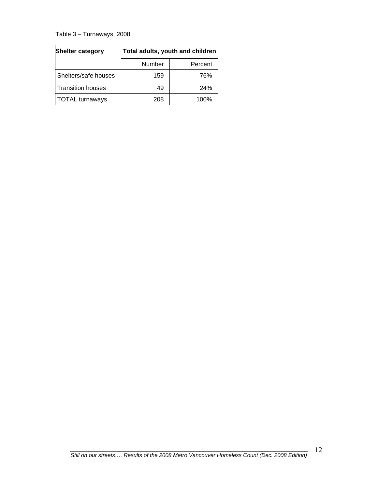<span id="page-21-0"></span>Table 3 – Turnaways, 2008

| Shelter category         | Total adults, youth and children |         |  |
|--------------------------|----------------------------------|---------|--|
|                          | Number                           | Percent |  |
| Shelters/safe houses     | 159                              | 76%     |  |
| <b>Transition houses</b> | 49                               | 24%     |  |
| <b>TOTAL</b> turnaways   | 208                              | 100%    |  |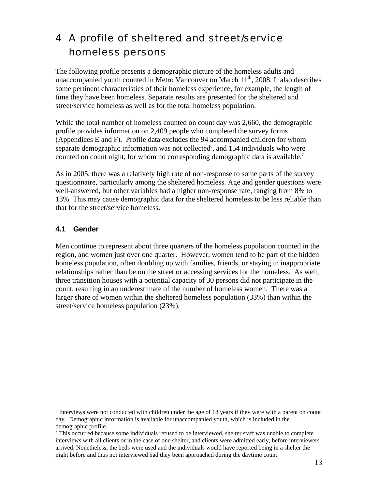## <span id="page-22-0"></span>4 A profile of sheltered and street/service homeless persons

The following profile presents a demographic picture of the homeless adults and unaccompanied youth counted in Metro Vancouver on March  $11<sup>th</sup>$ , 2008. It also describes some pertinent characteristics of their homeless experience, for example, the length of time they have been homeless. Separate results are presented for the sheltered and street/service homeless as well as for the total homeless population.

While the total number of homeless counted on count day was 2,660, the demographic profile provides information on 2,409 people who completed the survey forms (Appendices E and F). Profile data excludes the 94 accompanied children for whom separate demographic information was not collected<sup>6</sup>, and 154 individuals who were counted on count night, for whom no corresponding demographic data is available.<sup>[7](#page-22-2)</sup>

As in 2005, there was a relatively high rate of non-response to some parts of the survey questionnaire, particularly among the sheltered homeless. Age and gender questions were well-answered, but other variables had a higher non-response rate, ranging from 8% to 13%. This may cause demographic data for the sheltered homeless to be less reliable than that for the street/service homeless.

### **4.1 Gender**

Men continue to represent about three quarters of the homeless population counted in the region, and women just over one quarter. However, women tend to be part of the hidden homeless population, often doubling up with families, friends, or staying in inappropriate relationships rather than be on the street or accessing services for the homeless. As well, three transition houses with a potential capacity of 30 persons did not participate in the count, resulting in an underestimate of the number of homeless women. There was a larger share of women within the sheltered homeless population (33%) than within the street/service homeless population (23%).

<span id="page-22-1"></span><sup>&</sup>lt;sup>6</sup> Interviews were not conducted with children under the age of 18 years if they were with a parent on count day. Demographic information is available for unaccompanied youth, which is included in the demographic profile.

<span id="page-22-2"></span> $7$  This occurred because some individuals refused to be interviewed, shelter staff was unable to complete interviews with all clients or in the case of one shelter, and clients were admitted early, before interviewers arrived. Nonetheless, the beds were used and the individuals would have reported being in a shelter the night before and thus not interviewed had they been approached during the daytime count.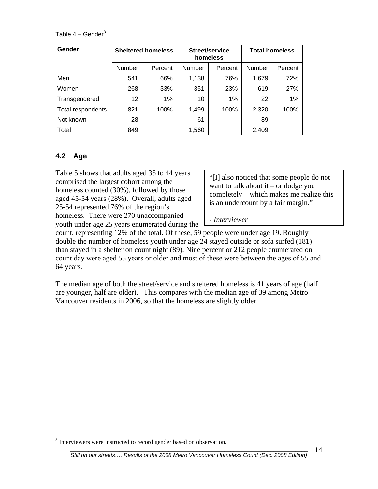<span id="page-23-0"></span>Table  $4 -$  Gender $8$ 

| Gender            | <b>Sheltered homeless</b> |         |        | Street/service<br>homeless | <b>Total homeless</b> |         |
|-------------------|---------------------------|---------|--------|----------------------------|-----------------------|---------|
|                   | Number                    | Percent | Number | Percent                    | Number                | Percent |
| Men               | 541                       | 66%     | 1,138  | 76%                        | 1,679                 | 72%     |
| Women             | 268                       | 33%     | 351    | 23%                        | 619                   | 27%     |
| Transgendered     | 12 <sup>°</sup>           | 1%      | 10     | 1%                         | 22                    | 1%      |
| Total respondents | 821                       | 100%    | 1,499  | 100%                       | 2,320                 | 100%    |
| Not known         | 28                        |         | 61     |                            | 89                    |         |
| Total             | 849                       |         | 1,560  |                            | 2,409                 |         |

#### **4.2 Age**

 $\overline{a}$ 

Table 5 shows that adults aged 35 to 44 years comprised the largest cohort among the homeless counted (30%), followed by those aged 45-54 years (28%). Overall, adults aged 25-54 represented 76% of the region's homeless. There were 270 unaccompanied youth under age 25 years enumerated during the

"[I] also noticed that some people do not want to talk about it – or dodge you completely – which makes me realize this is an undercount by a fair margin."

*- Interviewer*

count, representing 12% of the total. Of these, 59 people were under age 19. Roughly double the number of homeless youth under age 24 stayed outside or sofa surfed (181) than stayed in a shelter on count night (89). Nine percent or 212 people enumerated on count day were aged 55 years or older and most of these were between the ages of 55 and 64 years.

The median age of both the street/service and sheltered homeless is 41 years of age (half are younger, half are older). This compares with the median age of 39 among Metro Vancouver residents in 2006, so that the homeless are slightly older.

<span id="page-23-1"></span><sup>&</sup>lt;sup>8</sup> Interviewers were instructed to record gender based on observation.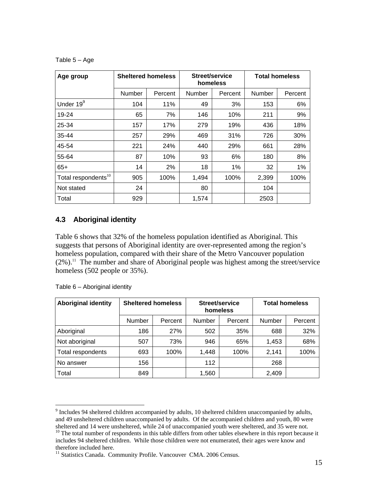<span id="page-24-0"></span>Table 5 – Age

| Age group                       | <b>Sheltered homeless</b> |         | Street/service<br>homeless |         | <b>Total homeless</b> |         |
|---------------------------------|---------------------------|---------|----------------------------|---------|-----------------------|---------|
|                                 | Number                    | Percent | Number                     | Percent | Number                | Percent |
| Under 19 <sup>9</sup>           | 104                       | 11%     | 49                         | 3%      | 153                   | 6%      |
| 19-24                           | 65                        | 7%      | 146                        | 10%     | 211                   | 9%      |
| 25-34                           | 157                       | 17%     | 279                        | 19%     | 436                   | 18%     |
| 35-44                           | 257                       | 29%     | 469                        | 31%     | 726                   | 30%     |
| 45-54                           | 221                       | 24%     | 440                        | 29%     | 661                   | 28%     |
| 55-64                           | 87                        | 10%     | 93                         | 6%      | 180                   | 8%      |
| $65+$                           | 14                        | 2%      | 18                         | 1%      | 32                    | 1%      |
| Total respondents <sup>10</sup> | 905                       | 100%    | 1,494                      | 100%    | 2,399                 | 100%    |
| Not stated                      | 24                        |         | 80                         |         | 104                   |         |
| Total                           | 929                       |         | 1.574                      |         | 2503                  |         |

#### **4.3 Aboriginal identity**

Table 6 shows that 32% of the homeless population identified as Aboriginal. This suggests that persons of Aboriginal identity are over-represented among the region's homeless population, compared with their share of the Metro Vancouver population  $(2\%)$ <sup>11</sup>. The number and share of Aboriginal people was highest among the street/service homeless (502 people or 35%).

| <b>Aboriginal identity</b> |               | <b>Sheltered homeless</b> | homeless | Street/service |               | <b>Total homeless</b> |
|----------------------------|---------------|---------------------------|----------|----------------|---------------|-----------------------|
|                            | <b>Number</b> | Percent                   | Number   | Percent        | <b>Number</b> | Percent               |
| Aboriginal                 | 186           | 27%                       | 502      | 35%            | 688           | 32%                   |
| Not aboriginal             | 507           | 73%                       | 946      | 65%            | 1,453         | 68%                   |
| Total respondents          | 693           | 100%                      | 1.448    | 100%           | 2.141         | 100%                  |
| No answer                  | 156           |                           | 112      |                | 268           |                       |
| Total                      | 849           |                           | 1,560    |                | 2,409         |                       |

Table 6 – Aboriginal identity

<span id="page-24-1"></span><sup>&</sup>lt;sup>9</sup> Includes 94 sheltered children accompanied by adults, 10 sheltered children unaccompanied by adults, and 49 unsheltered children unaccompanied by adults. Of the accompanied children and youth, 80 were sheltered and 14 were unsheltered, while 24 of unaccompanied youth were sheltered, and 35 were not.

<span id="page-24-2"></span><sup>&</sup>lt;sup>10</sup> The total number of respondents in this table differs from other tables elsewhere in this report because it includes 94 sheltered children. While those children were not enumerated, their ages were know and therefore included here.

<span id="page-24-3"></span><sup>&</sup>lt;sup>11</sup> Statistics Canada. Community Profile. Vancouver CMA. 2006 Census.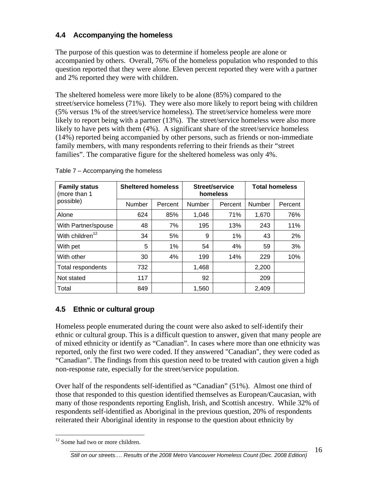### <span id="page-25-0"></span>**4.4 Accompanying the homeless**

The purpose of this question was to determine if homeless people are alone or accompanied by others. Overall, 76% of the homeless population who responded to this question reported that they were alone. Eleven percent reported they were with a partner and 2% reported they were with children.

The sheltered homeless were more likely to be alone (85%) compared to the street/service homeless (71%). They were also more likely to report being with children (5% versus 1% of the street/service homeless). The street/service homeless were more likely to report being with a partner (13%). The street/service homeless were also more likely to have pets with them (4%). A significant share of the street/service homeless (14%) reported being accompanied by other persons, such as friends or non-immediate family members, with many respondents referring to their friends as their "street families". The comparative figure for the sheltered homeless was only 4%.

| <b>Family status</b><br>(more than 1 | <b>Sheltered homeless</b> |         |        | Street/service<br>homeless | <b>Total homeless</b> |         |
|--------------------------------------|---------------------------|---------|--------|----------------------------|-----------------------|---------|
| possible)                            | Number                    | Percent | Number | Percent                    | <b>Number</b>         | Percent |
| Alone                                | 624                       | 85%     | 1,046  | 71%                        | 1,670                 | 76%     |
| With Partner/spouse                  | 48                        | 7%      | 195    | 13%                        | 243                   | 11%     |
| With children <sup>12</sup>          | 34                        | 5%      | 9      | 1%                         | 43                    | 2%      |
| With pet                             | 5                         | 1%      | 54     | 4%                         | 59                    | 3%      |
| With other                           | 30                        | 4%      | 199    | 14%                        | 229                   | 10%     |
| Total respondents                    | 732                       |         | 1,468  |                            | 2,200                 |         |
| Not stated                           | 117                       |         | 92     |                            | 209                   |         |
| Total                                | 849                       |         | 1,560  |                            | 2,409                 |         |

Table 7 – Accompanying the homeless

### **4.5 Ethnic or cultural group**

Homeless people enumerated during the count were also asked to self-identify their ethnic or cultural group. This is a difficult question to answer, given that many people are of mixed ethnicity or identify as "Canadian". In cases where more than one ethnicity was reported, only the first two were coded. If they answered "Canadian", they were coded as "Canadian". The findings from this question need to be treated with caution given a high non-response rate, especially for the street/service population.

Over half of the respondents self-identified as "Canadian" (51%). Almost one third of those that responded to this question identified themselves as European/Caucasian, with many of those respondents reporting English, Irish, and Scottish ancestry. While 32% of respondents self-identified as Aboriginal in the previous question, 20% of respondents reiterated their Aboriginal identity in response to the question about ethnicity by

<span id="page-25-1"></span> $\overline{a}$ <sup>12</sup> Some had two or more children.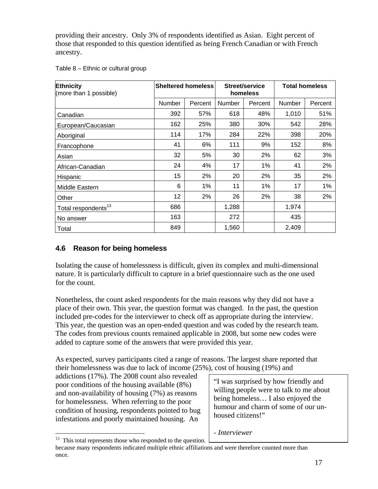<span id="page-26-0"></span>providing their ancestry. Only 3% of respondents identified as Asian. Eight percent of those that responded to this question identified as being French Canadian or with French ancestry.

| Table 8 - Ethnic or cultural group |  |  |  |
|------------------------------------|--|--|--|
|------------------------------------|--|--|--|

| Ethnicity<br>(more than 1 possible) | <b>Sheltered homeless</b> |         | Street/service<br>homeless |         | <b>Total homeless</b> |         |
|-------------------------------------|---------------------------|---------|----------------------------|---------|-----------------------|---------|
|                                     | Number                    | Percent | Number                     | Percent | Number                | Percent |
| Canadian                            | 392                       | 57%     | 618                        | 48%     | 1,010                 | 51%     |
| European/Caucasian                  | 162                       | 25%     | 380                        | 30%     | 542                   | 28%     |
| Aboriginal                          | 114                       | 17%     | 284                        | 22%     | 398                   | 20%     |
| Francophone                         | 41                        | 6%      | 111                        | 9%      | 152                   | 8%      |
| Asian                               | 32                        | 5%      | 30                         | 2%      | 62                    | 3%      |
| African-Canadian                    | 24                        | 4%      | 17                         | 1%      | 41                    | 2%      |
| Hispanic                            | 15                        | 2%      | 20                         | 2%      | 35                    | 2%      |
| Middle Eastern                      | 6                         | $1\%$   | 11                         | $1\%$   | 17                    | 1%      |
| Other                               | 12                        | 2%      | 26                         | 2%      | 38                    | 2%      |
| Total respondents <sup>13</sup>     | 686                       |         | 1,288                      |         | 1,974                 |         |
| No answer                           | 163                       |         | 272                        |         | 435                   |         |
| Total                               | 849                       |         | 1,560                      |         | 2,409                 |         |

### **4.6 Reason for being homeless**

Isolating the cause of homelessness is difficult, given its complex and multi-dimensional nature. It is particularly difficult to capture in a brief questionnaire such as the one used for the count.

Nonetheless, the count asked respondents for the main reasons why they did not have a place of their own. This year, the question format was changed. In the past, the question included pre-codes for the interviewer to check off as appropriate during the interview. This year, the question was an open-ended question and was coded by the research team. The codes from previous counts remained applicable in 2008, but some new codes were added to capture some of the answers that were provided this year.

As expected, survey participants cited a range of reasons. The largest share reported that their homelessness was due to lack of income (25%), cost of housing (19%) and

addictions (17%). The 2008 count also revealed poor conditions of the housing available (8%) and non-availability of housing (7%) as reasons for homelessness. When referring to the poor condition of housing, respondents pointed to bug infestations and poorly maintained housing. An

"I was surprised by how friendly and willing people were to talk to me about being homeless… I also enjoyed the humour and charm of some of our unhoused citizens!"

*- Interviewer* 

 $\overline{a}$ 

<span id="page-26-1"></span> $13$  This total represents those who responded to the question.

because many respondents indicated multiple ethnic affiliations and were therefore counted more than once.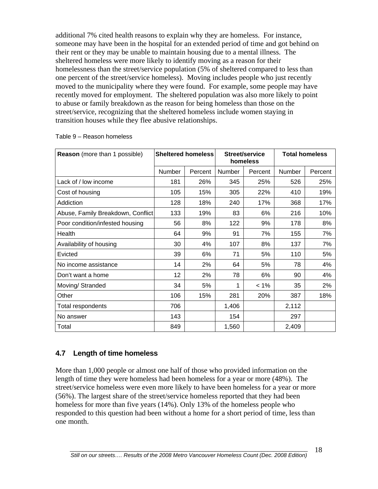<span id="page-27-0"></span>additional 7% cited health reasons to explain why they are homeless. For instance, someone may have been in the hospital for an extended period of time and got behind on their rent or they may be unable to maintain housing due to a mental illness. The sheltered homeless were more likely to identify moving as a reason for their homelessness than the street/service population (5% of sheltered compared to less than one percent of the street/service homeless). Moving includes people who just recently moved to the municipality where they were found. For example, some people may have recently moved for employment. The sheltered population was also more likely to point to abuse or family breakdown as the reason for being homeless than those on the street/service, recognizing that the sheltered homeless include women staying in transition houses while they flee abusive relationships.

| <b>Reason</b> (more than 1 possible) | <b>Sheltered homeless</b> |         | Street/service<br>homeless |         | <b>Total homeless</b> |         |
|--------------------------------------|---------------------------|---------|----------------------------|---------|-----------------------|---------|
|                                      | Number                    | Percent | Number                     | Percent | Number                | Percent |
| Lack of / low income                 | 181                       | 26%     | 345                        | 25%     | 526                   | 25%     |
| Cost of housing                      | 105                       | 15%     | 305                        | 22%     | 410                   | 19%     |
| Addiction                            | 128                       | 18%     | 240                        | 17%     | 368                   | 17%     |
| Abuse, Family Breakdown, Conflict    | 133                       | 19%     | 83                         | 6%      | 216                   | 10%     |
| Poor condition/infested housing      | 56                        | 8%      | 122                        | 9%      | 178                   | 8%      |
| Health                               | 64                        | 9%      | 91                         | 7%      | 155                   | 7%      |
| Availability of housing              | 30                        | 4%      | 107                        | 8%      | 137                   | 7%      |
| Evicted                              | 39                        | 6%      | 71                         | 5%      | 110                   | 5%      |
| No income assistance                 | 14                        | 2%      | 64                         | 5%      | 78                    | 4%      |
| Don't want a home                    | 12                        | 2%      | 78                         | 6%      | 90                    | 4%      |
| Moving/ Stranded                     | 34                        | 5%      | 1                          | $< 1\%$ | 35                    | 2%      |
| Other                                | 106                       | 15%     | 281                        | 20%     | 387                   | 18%     |
| Total respondents                    | 706                       |         | 1,406                      |         | 2,112                 |         |
| No answer                            | 143                       |         | 154                        |         | 297                   |         |
| Total                                | 849                       |         | 1,560                      |         | 2,409                 |         |

#### Table 9 – Reason homeless

#### **4.7 Length of time homeless**

More than 1,000 people or almost one half of those who provided information on the length of time they were homeless had been homeless for a year or more (48%). The street/service homeless were even more likely to have been homeless for a year or more (56%). The largest share of the street/service homeless reported that they had been homeless for more than five years (14%). Only 13% of the homeless people who responded to this question had been without a home for a short period of time, less than one month.

18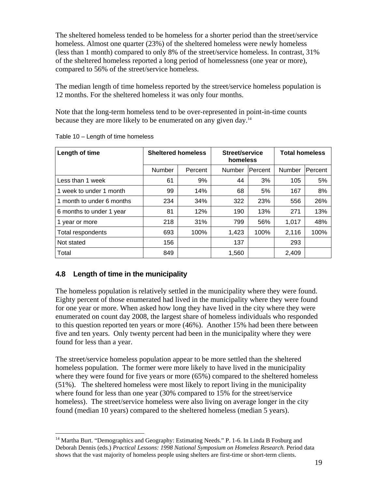<span id="page-28-0"></span>The sheltered homeless tended to be homeless for a shorter period than the street/service homeless. Almost one quarter (23%) of the sheltered homeless were newly homeless (less than 1 month) compared to only 8% of the street/service homeless. In contrast, 31% of the sheltered homeless reported a long period of homelessness (one year or more), compared to 56% of the street/service homeless.

The median length of time homeless reported by the street/service homeless population is 12 months. For the sheltered homeless it was only four months.

Note that the long-term homeless tend to be over-represented in point-in-time counts because they are more likely to be enumerated on any given day[.14](#page-28-1) 

| Length of time            | <b>Sheltered homeless</b> |         | Street/service<br>homeless |         | <b>Total homeless</b> |                |  |
|---------------------------|---------------------------|---------|----------------------------|---------|-----------------------|----------------|--|
|                           | Number                    | Percent | Number                     | Percent | <b>Number</b>         | <b>Percent</b> |  |
| Less than 1 week          | 61                        | 9%      | 44                         | 3%      | 105                   | 5%             |  |
| 1 week to under 1 month   | 99                        | 14%     | 68                         | 5%      | 167                   | 8%             |  |
| 1 month to under 6 months | 234                       | 34%     | 322                        | 23%     | 556                   | 26%            |  |
| 6 months to under 1 year  | 81                        | 12%     | 190                        | 13%     | 271                   | 13%            |  |
| 1 year or more            | 218                       | 31%     | 799                        | 56%     | 1.017                 | 48%            |  |
| Total respondents         | 693                       | 100%    | 1,423                      | 100%    | 2,116                 | 100%           |  |
| Not stated                | 156                       |         | 137                        |         | 293                   |                |  |
| Total                     | 849                       |         | 1,560                      |         | 2,409                 |                |  |

Table 10 – Length of time homeless

### **4.8 Length of time in the municipality**

 $\overline{a}$ 

The homeless population is relatively settled in the municipality where they were found. Eighty percent of those enumerated had lived in the municipality where they were found for one year or more. When asked how long they have lived in the city where they were enumerated on count day 2008, the largest share of homeless individuals who responded to this question reported ten years or more (46%). Another 15% had been there between five and ten years. Only twenty percent had been in the municipality where they were found for less than a year.

The street/service homeless population appear to be more settled than the sheltered homeless population. The former were more likely to have lived in the municipality where they were found for five years or more (65%) compared to the sheltered homeless (51%). The sheltered homeless were most likely to report living in the municipality where found for less than one year (30% compared to 15% for the street/service homeless). The street/service homeless were also living on average longer in the city found (median 10 years) compared to the sheltered homeless (median 5 years).

<span id="page-28-1"></span><sup>&</sup>lt;sup>14</sup> Martha Burt. "Demographics and Geography: Estimating Needs." P. 1-6. In Linda B Fosburg and Deborah Dennis (eds.) *Practical Lessons: 1998 National Symposium on Homeless Research.* Period data shows that the vast majority of homeless people using shelters are first-time or short-term clients.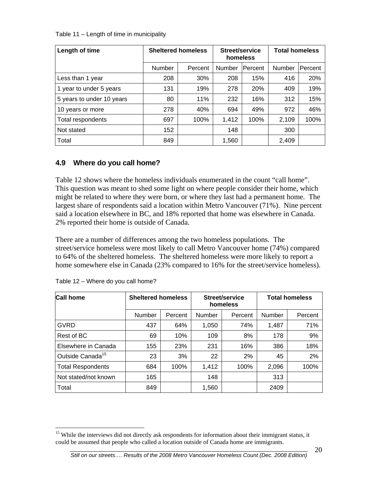<span id="page-29-0"></span>Table 11 – Length of time in municipality

| Length of time            | <b>Sheltered homeless</b> |         | Street/service<br>homeless |                | <b>Total homeless</b> |         |
|---------------------------|---------------------------|---------|----------------------------|----------------|-----------------------|---------|
|                           | Number                    | Percent | Number                     | <b>Percent</b> | <b>Number</b>         | Percent |
| Less than 1 year          | 208                       | 30%     | 208                        | 15%            | 416                   | 20%     |
| 1 year to under 5 years   | 131                       | 19%     | 278                        | 20%            | 409                   | 19%     |
| 5 years to under 10 years | 80                        | 11%     | 232                        | 16%            | 312                   | 15%     |
| 10 years or more          | 278                       | 40%     | 694                        | 49%            | 972                   | 46%     |
| Total respondents         | 697                       | 100%    | 1,412                      | 100%           | 2,109                 | 100%    |
| Not stated                | 152                       |         | 148                        |                | 300                   |         |
| Total                     | 849                       |         | 1,560                      |                | 2,409                 |         |

### **4.9 Where do you call home?**

Table 12 shows where the homeless individuals enumerated in the count "call home". This question was meant to shed some light on where people consider their home, which might be related to where they were born, or where they last had a permanent home. The largest share of respondents said a location within Metro Vancouver (71%). Nine percent said a location elsewhere in BC, and 18% reported that home was elsewhere in Canada. 2% reported their home is outside of Canada.

There are a number of differences among the two homeless populations. The street/service homeless were most likely to call Metro Vancouver home (74%) compared to 64% of the sheltered homeless. The sheltered homeless were more likely to report a home somewhere else in Canada (23% compared to 16% for the street/service homeless).

| <b>Call home</b>             |        | <b>Sheltered homeless</b><br>Street/service<br><b>Total homeless</b><br>homeless |        |         |        |         |
|------------------------------|--------|----------------------------------------------------------------------------------|--------|---------|--------|---------|
|                              | Number | Percent                                                                          | Number | Percent | Number | Percent |
| GVRD                         | 437    | 64%                                                                              | 1,050  | 74%     | 1,487  | 71%     |
| Rest of BC                   | 69     | 10%                                                                              | 109    | 8%      | 178    | 9%      |
| Elsewhere in Canada          | 155    | 23%                                                                              | 231    | 16%     | 386    | 18%     |
| Outside Canada <sup>15</sup> | 23     | 3%                                                                               | 22     | 2%      | 45     | 2%      |
| <b>Total Respondents</b>     | 684    | 100%                                                                             | 1,412  | 100%    | 2,096  | 100%    |
| Not stated/not known         | 165    |                                                                                  | 148    |         | 313    |         |
| Total                        | 849    |                                                                                  | 1,560  |         | 2409   |         |

|  |  |  | Table 12 - Where do you call home? |  |
|--|--|--|------------------------------------|--|
|  |  |  |                                    |  |

20

<span id="page-29-1"></span> $\overline{a}$ <sup>15</sup> While the interviews did not directly ask respondents for information about their immigrant status, it could be assumed that people who called a location outside of Canada home are immigrants.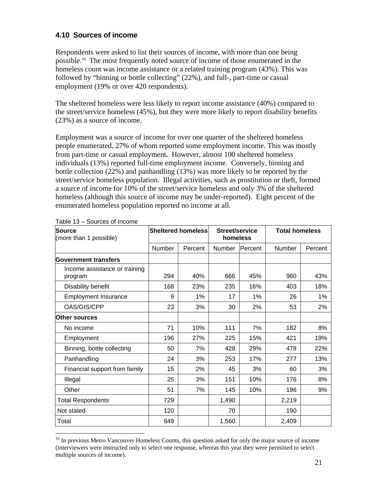#### <span id="page-30-0"></span>**4.10 Sources of income**

Respondents were asked to list their sources of income, with more than one being possible[.16](#page-30-1) The most frequently noted source of income of those enumerated in the homeless count was income assistance or a related training program (43%). This was followed by "binning or bottle collecting" (22%), and full-, part-time or casual employment (19% or over 420 respondents).

The sheltered homeless were less likely to report income assistance (40%) compared to the street/service homeless (45%), but they were more likely to report disability benefits (23%) as a source of income.

Employment was a source of income for over one quarter of the sheltered homeless people enumerated, 27% of whom reported some employment income. This was mostly from part-time or casual employment**.** However, almost 100 sheltered homeless individuals (13%) reported full-time employment income. Conversely, binning and bottle collection (22%) and panhandling (13%) was more likely to be reported by the street/service homeless population. Illegal activities, such as prostitution or theft, formed a source of income for 10% of the street/service homeless and only 3% of the sheltered homeless (although this source of income may be under-reported). Eight percent of the enumerated homeless population reported no income at all.

| <b>Source</b><br>(more than 1 possible)  |               | <b>Sheltered homeless</b> | <b>Street/service</b><br>homeless |         | <b>Total homeless</b> |         |
|------------------------------------------|---------------|---------------------------|-----------------------------------|---------|-----------------------|---------|
|                                          | <b>Number</b> | Percent                   | Number                            | Percent | <b>Number</b>         | Percent |
| <b>Government transfers</b>              |               |                           |                                   |         |                       |         |
| Income assistance or training<br>program | 294           | 40%                       | 666                               | 45%     | 960                   | 43%     |
| Disability benefit                       | 168           | 23%                       | 235                               | 16%     | 403                   | 18%     |
| <b>Employment Insurance</b>              | 9             | 1%                        | 17                                | 1%      | 26                    | 1%      |
| OAS/GIS/CPP                              | 23            | 3%                        | 30                                | 2%      | 53                    | 2%      |
| <b>Other sources</b>                     |               |                           |                                   |         |                       |         |
| No income                                | 71            | 10%                       | 111                               | 7%      | 182                   | 8%      |
| Employment                               | 196           | 27%                       | 225                               | 15%     | 421                   | 19%     |
| Binning, bottle collecting               | 50            | 7%                        | 428                               | 29%     | 478                   | 22%     |
| Panhandling                              | 24            | 3%                        | 253                               | 17%     | 277                   | 13%     |
| Financial support from family            | 15            | 2%                        | 45                                | 3%      | 60                    | 3%      |
| Illegal                                  | 25            | 3%                        | 151                               | 10%     | 176                   | 8%      |
| Other                                    | 51            | 7%                        | 145                               | 10%     | 196                   | 9%      |
| <b>Total Respondents</b>                 | 729           |                           | 1,490                             |         | 2,219                 |         |
| Not stated                               | 120           |                           | 70                                |         | 190                   |         |
| Total                                    | 849           |                           | 1,560                             |         | 2,409                 |         |

Table 13 – Sources of Income

 $\overline{a}$ 

<span id="page-30-1"></span><sup>&</sup>lt;sup>16</sup> In previous Metro Vancouver Homeless Counts, this question asked for only the major source of income (interviewers were instructed only to select one response, whereas this year they were permitted to select multiple sources of income).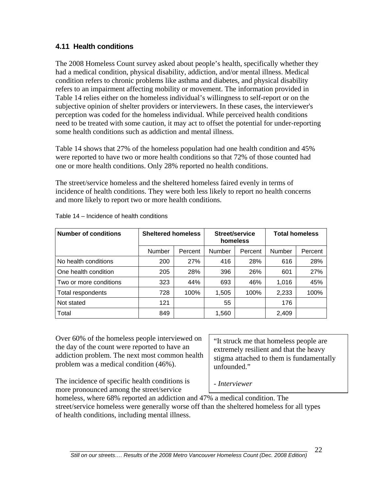#### <span id="page-31-0"></span>**4.11 Health conditions**

The 2008 Homeless Count survey asked about people's health, specifically whether they had a medical condition, physical disability, addiction, and/or mental illness. Medical condition refers to chronic problems like asthma and diabetes, and physical disability refers to an impairment affecting mobility or movement. The information provided in Table 14 relies either on the homeless individual's willingness to self-report or on the subjective opinion of shelter providers or interviewers. In these cases, the interviewer's perception was coded for the homeless individual. While perceived health conditions need to be treated with some caution, it may act to offset the potential for under-reporting some health conditions such as addiction and mental illness.

Table 14 shows that 27% of the homeless population had one health condition and 45% were reported to have two or more health conditions so that 72% of those counted had one or more health conditions. Only 28% reported no health conditions.

The street/service homeless and the sheltered homeless faired evenly in terms of incidence of health conditions. They were both less likely to report no health concerns and more likely to report two or more health conditions.

| <b>Number of conditions</b> | <b>Sheltered homeless</b> |         |        | Street/service<br>homeless | <b>Total homeless</b> |         |
|-----------------------------|---------------------------|---------|--------|----------------------------|-----------------------|---------|
|                             | <b>Number</b>             | Percent | Number | Percent                    | Number                | Percent |
| No health conditions        | 200                       | 27%     | 416    | 28%                        | 616                   | 28%     |
| One health condition        | 205                       | 28%     | 396    | 26%                        | 601                   | 27%     |
| Two or more conditions      | 323                       | 44%     | 693    | 46%                        | 1,016                 | 45%     |
| Total respondents           | 728                       | 100%    | 1,505  | 100%                       | 2,233                 | 100%    |
| Not stated                  | 121                       |         | 55     |                            | 176                   |         |
| Total                       | 849                       |         | 1,560  |                            | 2,409                 |         |

Table 14 – Incidence of health conditions

Over 60% of the homeless people interviewed on the day of the count were reported to have an addiction problem. The next most common health problem was a medical condition (46%).

"It struck me that homeless people are extremely resilient and that the heavy stigma attached to them is fundamentally unfounded."

The incidence of specific health conditions is more pronounced among the street/service

*- Interviewer* 

homeless, where 68% reported an addiction and 47% a medical condition. The street/service homeless were generally worse off than the sheltered homeless for all types of health conditions, including mental illness.

22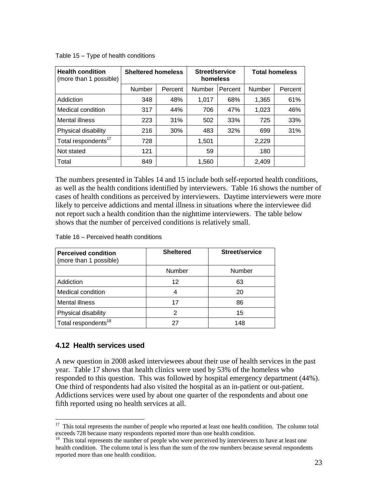| <b>Health condition</b><br>(more than 1 possible) | <b>Sheltered homeless</b> |         | Street/service<br>homeless |         | <b>Total homeless</b> |         |  |
|---------------------------------------------------|---------------------------|---------|----------------------------|---------|-----------------------|---------|--|
|                                                   | Number                    | Percent | Number                     | Percent | Number                | Percent |  |
| Addiction                                         | 348                       | 48%     | 1.017                      | 68%     | 1,365                 | 61%     |  |
| Medical condition                                 | 317                       | 44%     | 706                        | 47%     | 1,023                 | 46%     |  |
| Mental illness                                    | 223                       | 31%     | 502                        | 33%     | 725                   | 33%     |  |
| Physical disability                               | 216                       | 30%     | 483                        | 32%     | 699                   | 31%     |  |
| Total respondents <sup>17</sup>                   | 728                       |         | 1.501                      |         | 2,229                 |         |  |
| Not stated                                        | 121                       |         | 59                         |         | 180                   |         |  |
| Total                                             | 849                       |         | 1,560                      |         | 2,409                 |         |  |

<span id="page-32-0"></span>Table 15 – Type of health conditions

The numbers presented in Tables 14 and 15 include both self-reported health conditions, as well as the health conditions identified by interviewers. Table 16 shows the number of cases of health conditions as perceived by interviewers. Daytime interviewers were more likely to perceive addictions and mental illness in situations where the interviewee did not report such a health condition than the nighttime interviewers. The table below shows that the number of perceived conditions is relatively small.

Table 16 – Perceived health conditions

| <b>Perceived condition</b><br>(more than 1 possible) | <b>Sheltered</b> | Street/service |
|------------------------------------------------------|------------------|----------------|
|                                                      | Number           | <b>Number</b>  |
| Addiction                                            | 12               | 63             |
| Medical condition                                    | 4                | 20             |
| Mental illness                                       | 17               | 86             |
| Physical disability                                  | 2                | 15             |
| Total respondents <sup>18</sup>                      | 27               | 148            |

#### **4.12 Health services used**

 $\overline{a}$ 

A new question in 2008 asked interviewees about their use of health services in the past year. Table 17 shows that health clinics were used by 53% of the homeless who responded to this question. This was followed by hospital emergency department (44%). One third of respondents had also visited the hospital as an in-patient or out-patient. Addictions services were used by about one quarter of the respondents and about one fifth reported using no health services at all.

<span id="page-32-1"></span><sup>&</sup>lt;sup>17</sup> This total represents the number of people who reported at least one health condition. The column total

<span id="page-32-2"></span>exceeds 728 because many respondents reported more than one health condition.<br><sup>18</sup> This total represents the number of people who were perceived by interviewers to have at least one health condition. The column total is less than the sum of the row numbers because several respondents reported more than one health condition.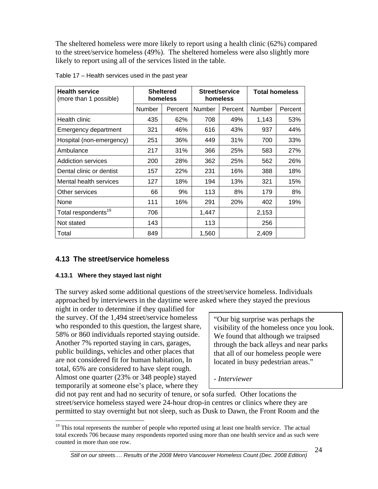<span id="page-33-0"></span>The sheltered homeless were more likely to report using a health clinic (62%) compared to the street/service homeless (49%). The sheltered homeless were also slightly more likely to report using all of the services listed in the table.

| <b>Health service</b><br>(more than 1 possible) | <b>Sheltered</b><br>Street/service<br>homeless<br>homeless |         |        | <b>Total homeless</b> |        |         |
|-------------------------------------------------|------------------------------------------------------------|---------|--------|-----------------------|--------|---------|
|                                                 | Number                                                     | Percent | Number | Percent               | Number | Percent |
| Health clinic                                   | 435                                                        | 62%     | 708    | 49%                   | 1,143  | 53%     |
| Emergency department                            | 321                                                        | 46%     | 616    | 43%                   | 937    | 44%     |
| Hospital (non-emergency)                        | 251                                                        | 36%     | 449    | 31%                   | 700    | 33%     |
| Ambulance                                       | 217                                                        | 31%     | 366    | 25%                   | 583    | 27%     |
| <b>Addiction services</b>                       | 200                                                        | 28%     | 362    | 25%                   | 562    | 26%     |
| Dental clinic or dentist                        | 157                                                        | 22%     | 231    | 16%                   | 388    | 18%     |
| Mental health services                          | 127                                                        | 18%     | 194    | 13%                   | 321    | 15%     |
| Other services                                  | 66                                                         | 9%      | 113    | 8%                    | 179    | 8%      |
| None                                            | 111                                                        | 16%     | 291    | 20%                   | 402    | 19%     |
| Total respondents <sup>19</sup>                 | 706                                                        |         | 1,447  |                       | 2,153  |         |
| Not stated                                      | 143                                                        |         | 113    |                       | 256    |         |
| Total                                           | 849                                                        |         | 1,560  |                       | 2,409  |         |

Table 17 – Health services used in the past year

#### **4.13 The street/service homeless**

#### **4.13.1 Where they stayed last night**

 $\overline{a}$ 

The survey asked some additional questions of the street/service homeless. Individuals approached by interviewers in the daytime were asked where they stayed the previous

night in order to determine if they qualified for the survey. Of the 1,494 street/service homeless who responded to this question, the largest share, 58% or 860 individuals reported staying outside. Another 7% reported staying in cars, garages, public buildings, vehicles and other places that are not considered fit for human habitation, In total, 65% are considered to have slept rough. Almost one quarter (23% or 348 people) stayed temporarily at someone else's place, where they

"Our big surprise was perhaps the visibility of the homeless once you look. We found that although we traipsed through the back alleys and near parks that all of our homeless people were located in busy pedestrian areas."

*- Interviewer*

did not pay rent and had no security of tenure, or sofa surfed. Other locations the street/service homeless stayed were 24-hour drop-in centres or clinics where they are permitted to stay overnight but not sleep, such as Dusk to Dawn, the Front Room and the

<span id="page-33-1"></span> $19$  This total represents the number of people who reported using at least one health service. The actual total exceeds 706 because many respondents reported using more than one health service and as such were counted in more than one row.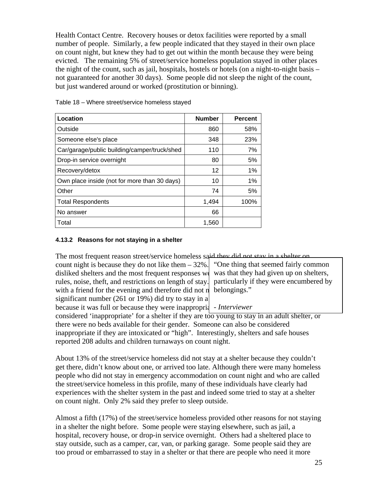<span id="page-34-0"></span>Health Contact Centre. Recovery houses or detox facilities were reported by a small number of people. Similarly, a few people indicated that they stayed in their own place on count night, but knew they had to get out within the month because they were being evicted. The remaining 5% of street/service homeless population stayed in other places the night of the count, such as jail, hospitals, hostels or hotels (on a night-to-night basis – not guaranteed for another 30 days). Some people did not sleep the night of the count, but just wandered around or worked (prostitution or binning).

| Location                                     | <b>Number</b> | <b>Percent</b> |
|----------------------------------------------|---------------|----------------|
| Outside                                      | 860           | 58%            |
| Someone else's place                         | 348           | 23%            |
| Car/garage/public building/camper/truck/shed | 110           | 7%             |
| Drop-in service overnight                    | 80            | 5%             |
| Recovery/detox                               | 12            | 1%             |
| Own place inside (not for more than 30 days) | 10            | 1%             |
| Other                                        | 74            | 5%             |
| <b>Total Respondents</b>                     | 1,494         | 100%           |
| No answer                                    | 66            |                |
| Total                                        | 1,560         |                |

Table 18 – Where street/service homeless stayed

#### **4.13.2 Reasons for not staying in a shelter**

The most frequent reason street/service homeless said they did not stay in a shelter on

count night is because they do not like them  $-32\%$ . disliked shelters and the most frequent responses  $\mathbf{w}$ rules, noise, theft, and restrictions on length of stay. with a friend for the evening and therefore did not  $\eta$  belongings." significant number (261 or 19%) did try to stay in a because it was full or because they were inappropriantle *Interviewer* 

"One thing that seemed fairly common was that they had given up on shelters, particularly if they were encumbered by

considered 'inappropriate' for a shelter if they are too young to stay in an adult shelter, or there were no beds available for their gender. Someone can also be considered inappropriate if they are intoxicated or "high". Interestingly, shelters and safe houses reported 208 adults and children turnaways on count night.

About 13% of the street/service homeless did not stay at a shelter because they couldn't get there, didn't know about one, or arrived too late. Although there were many homeless people who did not stay in emergency accommodation on count night and who are called the street/service homeless in this profile, many of these individuals have clearly had experiences with the shelter system in the past and indeed some tried to stay at a shelter on count night. Only 2% said they prefer to sleep outside.

Almost a fifth (17%) of the street/service homeless provided other reasons for not staying in a shelter the night before. Some people were staying elsewhere, such as jail, a hospital, recovery house, or drop-in service overnight. Others had a sheltered place to stay outside, such as a camper, car, van, or parking garage. Some people said they are too proud or embarrassed to stay in a shelter or that there are people who need it more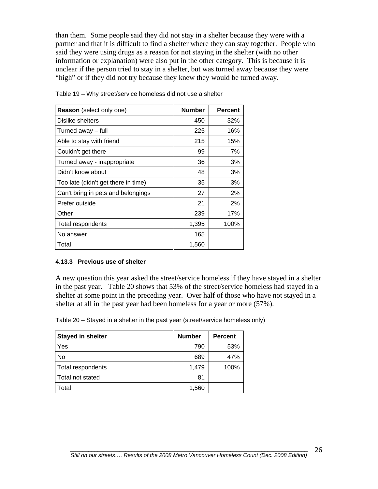<span id="page-35-0"></span>than them. Some people said they did not stay in a shelter because they were with a partner and that it is difficult to find a shelter where they can stay together. People who said they were using drugs as a reason for not staying in the shelter (with no other information or explanation) were also put in the other category. This is because it is unclear if the person tried to stay in a shelter, but was turned away because they were "high" or if they did not try because they knew they would be turned away.

| <b>Reason</b> (select only one)     | <b>Number</b> | <b>Percent</b> |
|-------------------------------------|---------------|----------------|
| Dislike shelters                    | 450           | 32%            |
| Turned away - full                  | 225           | 16%            |
| Able to stay with friend            | 215           | 15%            |
| Couldn't get there                  | 99            | 7%             |
| Turned away - inappropriate         | 36            | 3%             |
| Didn't know about                   | 48            | 3%             |
| Too late (didn't get there in time) | 35            | 3%             |
| Can't bring in pets and belongings  | 27            | 2%             |
| Prefer outside                      | 21            | 2%             |
| Other                               | 239           | 17%            |
| Total respondents                   | 1,395         | 100%           |
| No answer                           | 165           |                |
| Total                               | 1,560         |                |

Table 19 – Why street/service homeless did not use a shelter

#### **4.13.3 Previous use of shelter**

A new question this year asked the street/service homeless if they have stayed in a shelter in the past year. Table 20 shows that 53% of the street/service homeless had stayed in a shelter at some point in the preceding year. Over half of those who have not stayed in a shelter at all in the past year had been homeless for a year or more (57%).

Table 20 – Stayed in a shelter in the past year (street/service homeless only)

| <b>Stayed in shelter</b> | <b>Number</b> | <b>Percent</b> |
|--------------------------|---------------|----------------|
| Yes                      | 790           | 53%            |
| No                       | 689           | 47%            |
| Total respondents        | 1,479         | 100%           |
| Total not stated         | 81            |                |
| Total                    | 1,560         |                |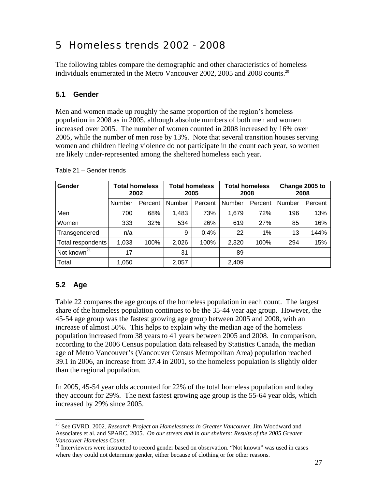# 5 Homeless trends 2002 - 2008

The following tables compare the demographic and other characteristics of homeless individuals enumerated in the Metro Vancouver 2002, 2005 and 2008 counts[.20](#page-36-0) 

## **5.1 Gender**

Men and women made up roughly the same proportion of the region's homeless population in 2008 as in 2005, although absolute numbers of both men and women increased over 2005. The number of women counted in 2008 increased by 16% over 2005, while the number of men rose by 13%. Note that several transition houses serving women and children fleeing violence do not participate in the count each year, so women are likely under-represented among the sheltered homeless each year.

| Gender                  |               | <b>Total homeless</b><br>2002 |               | <b>Total homeless</b><br>2005 |        | <b>Total homeless</b><br>2008 | Change 2005 to | 2008    |
|-------------------------|---------------|-------------------------------|---------------|-------------------------------|--------|-------------------------------|----------------|---------|
|                         | <b>Number</b> | Percent                       | <b>Number</b> | Percent                       | Number | Percent                       | Number         | Percent |
| Men                     | 700           | 68%                           | 1,483         | 73%                           | 1,679  | 72%                           | 196            | 13%     |
| Women                   | 333           | 32%                           | 534           | 26%                           | 619    | 27%                           | 85             | 16%     |
| Transgendered           | n/a           |                               | 9             | 0.4%                          | 22     | 1%                            | 13             | 144%    |
| Total respondents       | 1,033         | 100%                          | 2,026         | 100%                          | 2,320  | 100%                          | 294            | 15%     |
| Not known <sup>21</sup> | 17            |                               | 31            |                               | 89     |                               |                |         |
| Total                   | 1,050         |                               | 2,057         |                               | 2,409  |                               |                |         |

Table 21 – Gender trends

## **5.2 Age**

Table 22 compares the age groups of the homeless population in each count. The largest share of the homeless population continues to be the 35-44 year age group. However, the 45-54 age group was the fastest growing age group between 2005 and 2008, with an increase of almost 50%. This helps to explain why the median age of the homeless population increased from 38 years to 41 years between 2005 and 2008. In comparison, according to the 2006 Census population data released by Statistics Canada, the median age of Metro Vancouver's (Vancouver Census Metropolitan Area) population reached 39.1 in 2006, an increase from 37.4 in 2001, so the homeless population is slightly older than the regional population.

In 2005, 45-54 year olds accounted for 22% of the total homeless population and today they account for 29%. The next fastest growing age group is the 55-64 year olds, which increased by 29% since 2005.

<span id="page-36-0"></span> $\overline{a}$ <sup>20</sup> See GVRD. 2002. *Research Project on Homelessness in Greater Vancouver*. Jim Woodward and Associates et al. and SPARC. 2005. *On our streets and in our shelters: Results of the 2005 Greater Vancouver Homeless Count.* 

<span id="page-36-1"></span> $21$  Interviewers were instructed to record gender based on observation. "Not known" was used in cases where they could not determine gender, either because of clothing or for other reasons.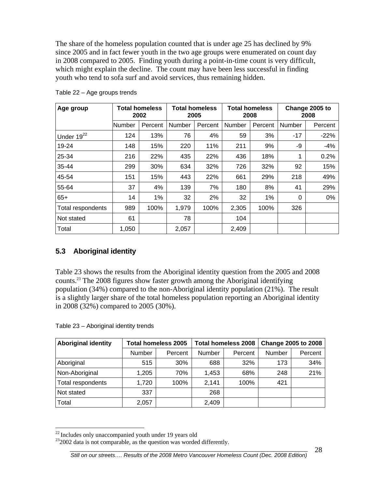The share of the homeless population counted that is under age 25 has declined by 9% since 2005 and in fact fewer youth in the two age groups were enumerated on count day in 2008 compared to 2005. Finding youth during a point-in-time count is very difficult, which might explain the decline. The count may have been less successful in finding youth who tend to sofa surf and avoid services, thus remaining hidden.

| Age group         |        | <b>Total homeless</b><br>2002 |        | <b>Total homeless</b><br>2005 |        | <b>Total homeless</b><br>2008 |          | Change 2005 to<br>2008 |
|-------------------|--------|-------------------------------|--------|-------------------------------|--------|-------------------------------|----------|------------------------|
|                   | Number | Percent                       | Number | Percent                       | Number | Percent                       | Number   | Percent                |
| Under $19^{22}$   | 124    | 13%                           | 76     | 4%                            | 59     | 3%                            | $-17$    | $-22%$                 |
| 19-24             | 148    | 15%                           | 220    | 11%                           | 211    | 9%                            | -9       | $-4%$                  |
| 25-34             | 216    | 22%                           | 435    | 22%                           | 436    | 18%                           | 1        | 0.2%                   |
| 35-44             | 299    | 30%                           | 634    | 32%                           | 726    | 32%                           | 92       | 15%                    |
| 45-54             | 151    | 15%                           | 443    | 22%                           | 661    | 29%                           | 218      | 49%                    |
| 55-64             | 37     | 4%                            | 139    | 7%                            | 180    | 8%                            | 41       | 29%                    |
| $65+$             | 14     | 1%                            | 32     | 2%                            | 32     | 1%                            | $\Omega$ | 0%                     |
| Total respondents | 989    | 100%                          | 1,979  | 100%                          | 2,305  | 100%                          | 326      |                        |
| Not stated        | 61     |                               | 78     |                               | 104    |                               |          |                        |
| Total             | 1,050  |                               | 2,057  |                               | 2,409  |                               |          |                        |

Table 22 – Age groups trends

## **5.3 Aboriginal identity**

Table 23 shows the results from the Aboriginal identity question from the 2005 and 2008 counts.[23 T](#page-37-1)he 2008 figures show faster growth among the Aboriginal identifying population (34%) compared to the non-Aboriginal identity population (21%). The result is a slightly larger share of the total homeless population reporting an Aboriginal identity in 2008 (32%) compared to 2005 (30%).

Table 23 – Aboriginal identity trends

| <b>Aboriginal identity</b> |        | <b>Total homeless 2005</b> |        | <b>Total homeless 2008</b> |        | <b>Change 2005 to 2008</b> |
|----------------------------|--------|----------------------------|--------|----------------------------|--------|----------------------------|
|                            | Number | Percent                    | Number | Percent                    | Number | Percent                    |
| Aboriginal                 | 515    | 30%                        | 688    | 32%                        | 173    | 34%                        |
| Non-Aboriginal             | 1,205  | 70%                        | 1,453  | 68%                        | 248    | 21%                        |
| Total respondents          | 1,720  | 100%                       | 2,141  | 100%                       | 421    |                            |
| Not stated                 | 337    |                            | 268    |                            |        |                            |
| Total                      | 2,057  |                            | 2,409  |                            |        |                            |

<span id="page-37-0"></span> $22$  Includes only unaccompanied youth under 19 years old

<span id="page-37-1"></span> $232002$  data is not comparable, as the question was worded differently.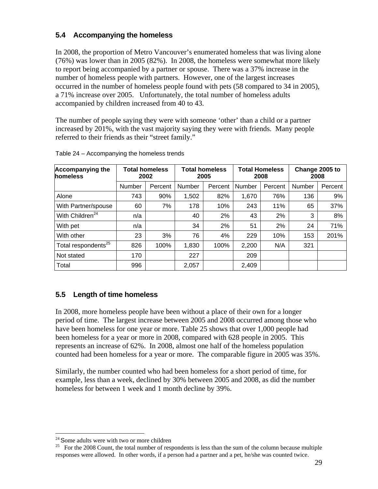## **5.4 Accompanying the homeless**

In 2008, the proportion of Metro Vancouver's enumerated homeless that was living alone (76%) was lower than in 2005 (82%). In 2008, the homeless were somewhat more likely to report being accompanied by a partner or spouse. There was a 37% increase in the number of homeless people with partners. However, one of the largest increases occurred in the number of homeless people found with pets (58 compared to 34 in 2005), a 71% increase over 2005. Unfortunately, the total number of homeless adults accompanied by children increased from 40 to 43.

The number of people saying they were with someone 'other' than a child or a partner increased by 201%, with the vast majority saying they were with friends. Many people referred to their friends as their "street family."

| <b>Accompanying the</b><br>homeless |        | <b>Total homeless</b><br>2002 |        | <b>Total homeless</b><br>2005 |        | <b>Total Homeless</b><br>2008 |        | Change 2005 to<br>2008 |
|-------------------------------------|--------|-------------------------------|--------|-------------------------------|--------|-------------------------------|--------|------------------------|
|                                     | Number | Percent                       | Number | Percent                       | Number | Percent                       | Number | Percent                |
| Alone                               | 743    | 90%                           | 1,502  | 82%                           | 1,670  | 76%                           | 136    | 9%                     |
| With Partner/spouse                 | 60     | 7%                            | 178    | 10%                           | 243    | 11%                           | 65     | 37%                    |
| With Children <sup>24</sup>         | n/a    |                               | 40     | 2%                            | 43     | 2%                            | 3      | 8%                     |
| With pet                            | n/a    |                               | 34     | 2%                            | 51     | 2%                            | 24     | 71%                    |
| With other                          | 23     | 3%                            | 76     | 4%                            | 229    | 10%                           | 153    | 201%                   |
| Total respondents <sup>25</sup>     | 826    | 100%                          | 1,830  | 100%                          | 2,200  | N/A                           | 321    |                        |
| Not stated                          | 170    |                               | 227    |                               | 209    |                               |        |                        |
| Total                               | 996    |                               | 2,057  |                               | 2,409  |                               |        |                        |

Table 24 – Accompanying the homeless trends

## **5.5 Length of time homeless**

In 2008, more homeless people have been without a place of their own for a longer period of time. The largest increase between 2005 and 2008 occurred among those who have been homeless for one year or more. Table 25 shows that over 1,000 people had been homeless for a year or more in 2008, compared with 628 people in 2005. This represents an increase of 62%. In 2008, almost one half of the homeless population counted had been homeless for a year or more. The comparable figure in 2005 was 35%.

Similarly, the number counted who had been homeless for a short period of time, for example, less than a week, declined by 30% between 2005 and 2008, as did the number homeless for between 1 week and 1 month decline by 39%.

 $\overline{a}$ 

<span id="page-38-1"></span><span id="page-38-0"></span>

<sup>&</sup>lt;sup>24</sup> Some adults were with two or more children  $25$  For the 2008 Count, the total number of respondents is less than the sum of the column because multiple responses were allowed. In other words, if a person had a partner and a pet, he/she was counted twice.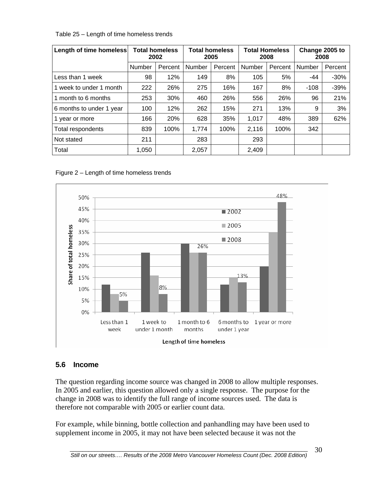| Table 25 – Length of time homeless trends |  |
|-------------------------------------------|--|
|-------------------------------------------|--|

| Length of time homeless  |        | <b>Total homeless</b><br>2002 |        | <b>Total homeless</b><br>2005 |        | <b>Total Homeless</b><br>2008 | Change 2005 to | 2008    |
|--------------------------|--------|-------------------------------|--------|-------------------------------|--------|-------------------------------|----------------|---------|
|                          | Number | Percent                       | Number | Percent                       | Number | Percent                       | Number         | Percent |
| Less than 1 week         | 98     | 12%                           | 149    | 8%                            | 105    | 5%                            | $-44$          | $-30%$  |
| 1 week to under 1 month  | 222    | 26%                           | 275    | 16%                           | 167    | 8%                            | $-108$         | $-39%$  |
| 1 month to 6 months      | 253    | 30%                           | 460    | 26%                           | 556    | 26%                           | 96             | 21%     |
| 6 months to under 1 year | 100    | 12%                           | 262    | 15%                           | 271    | 13%                           | 9              | 3%      |
| 1 year or more           | 166    | 20%                           | 628    | 35%                           | 1,017  | 48%                           | 389            | 62%     |
| Total respondents        | 839    | 100%                          | 1,774  | 100%                          | 2,116  | 100%                          | 342            |         |
| Not stated               | 211    |                               | 283    |                               | 293    |                               |                |         |
| Total                    | 1,050  |                               | 2,057  |                               | 2,409  |                               |                |         |





## **5.6 Income**

The question regarding income source was changed in 2008 to allow multiple responses. In 2005 and earlier, this question allowed only a single response. The purpose for the change in 2008 was to identify the full range of income sources used. The data is therefore not comparable with 2005 or earlier count data.

For example, while binning, bottle collection and panhandling may have been used to supplement income in 2005, it may not have been selected because it was not the

30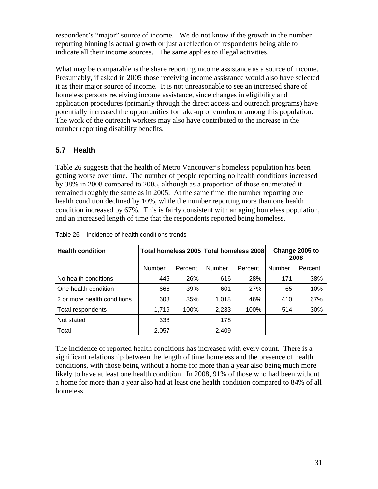respondent's "major" source of income. We do not know if the growth in the number reporting binning is actual growth or just a reflection of respondents being able to indicate all their income sources. The same applies to illegal activities.

What may be comparable is the share reporting income assistance as a source of income. Presumably, if asked in 2005 those receiving income assistance would also have selected it as their major source of income. It is not unreasonable to see an increased share of homeless persons receiving income assistance, since changes in eligibility and application procedures (primarily through the direct access and outreach programs) have potentially increased the opportunities for take-up or enrolment among this population. The work of the outreach workers may also have contributed to the increase in the number reporting disability benefits.

## **5.7 Health**

Table 26 suggests that the health of Metro Vancouver's homeless population has been getting worse over time. The number of people reporting no health conditions increased by 38% in 2008 compared to 2005, although as a proportion of those enumerated it remained roughly the same as in 2005. At the same time, the number reporting one health condition declined by 10%, while the number reporting more than one health condition increased by 67%. This is fairly consistent with an aging homeless population, and an increased length of time that the respondents reported being homeless.

| <b>Health condition</b>     | Total homeless 2005 Total homeless 2008 |         |        |         |        | Change 2005 to<br>2008 |
|-----------------------------|-----------------------------------------|---------|--------|---------|--------|------------------------|
|                             | Number                                  | Percent | Number | Percent | Number | Percent                |
| No health conditions        | 445                                     | 26%     | 616    | 28%     | 171    | 38%                    |
| One health condition        | 666                                     | 39%     | 601    | 27%     | -65    | $-10%$                 |
| 2 or more health conditions | 608                                     | 35%     | 1,018  | 46%     | 410    | 67%                    |
| Total respondents           | 1,719                                   | 100%    | 2,233  | 100%    | 514    | 30%                    |
| Not stated                  | 338                                     |         | 178    |         |        |                        |
| Total                       | 2,057                                   |         | 2,409  |         |        |                        |

Table 26 – Incidence of health conditions trends

The incidence of reported health conditions has increased with every count. There is a significant relationship between the length of time homeless and the presence of health conditions, with those being without a home for more than a year also being much more likely to have at least one health condition. In 2008, 91% of those who had been without a home for more than a year also had at least one health condition compared to 84% of all homeless.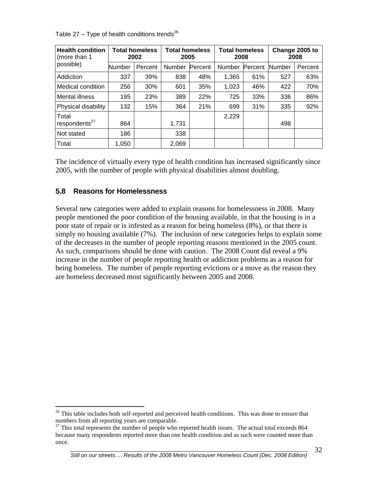| <b>Health condition</b><br>(more than 1) |        | <b>Total homeless</b><br>2002 | <b>Total homeless</b><br>2005 |         | <b>Total homeless</b><br>2008 |         |               | Change 2005 to<br>2008 |
|------------------------------------------|--------|-------------------------------|-------------------------------|---------|-------------------------------|---------|---------------|------------------------|
| possible)                                | Number | Percent                       | Number                        | Percent | Number                        | Percent | <b>Number</b> | Percent                |
| Addiction                                | 337    | 39%                           | 838                           | 48%     | 1,365                         | 61%     | 527           | 63%                    |
| Medical condition                        | 256    | 30%                           | 601                           | 35%     | 1,023                         | 46%     | 422           | 70%                    |
| Mental illness                           | 195    | 23%                           | 389                           | 22%     | 725                           | 33%     | 336           | 86%                    |
| Physical disability                      | 132    | 15%                           | 364                           | 21%     | 699                           | 31%     | 335           | 92%                    |
| Total                                    |        |                               |                               |         | 2,229                         |         |               |                        |
| respondents <sup>27</sup>                | 864    |                               | 1,731                         |         |                               |         | 498           |                        |
| Not stated                               | 186    |                               | 338                           |         |                               |         |               |                        |
| Total                                    | 1,050  |                               | 2,069                         |         |                               |         |               |                        |

Table 27 – Type of health conditions trends<sup>26</sup>

The incidence of virtually every type of health condition has increased significantly since 2005, with the number of people with physical disabilities almost doubling.

### **5.8 Reasons for Homelessness**

 $\overline{a}$ 

Several new categories were added to explain reasons for homelessness in 2008. Many people mentioned the poor condition of the housing available, in that the housing is in a poor state of repair or is infested as a reason for being homeless (8%), or that there is simply no housing available (7%). The inclusion of new categories helps to explain some of the decreases in the number of people reporting reasons mentioned in the 2005 count. As such, comparisons should be done with caution. The 2008 Count did reveal a 9% increase in the number of people reporting health or addiction problems as a reason for being homeless. The number of people reporting evictions or a move as the reason they are homeless decreased most significantly between 2005 and 2008.

<span id="page-41-0"></span> $26$  This table includes both self-reported and perceived health conditions. This was done to ensure that numbers from all reporting years are comparable.

<span id="page-41-1"></span> $^{27}$  This total represents the number of people who reported health issues. The actual total exceeds 864 because many respondents reported more than one health condition and as such were counted more than once.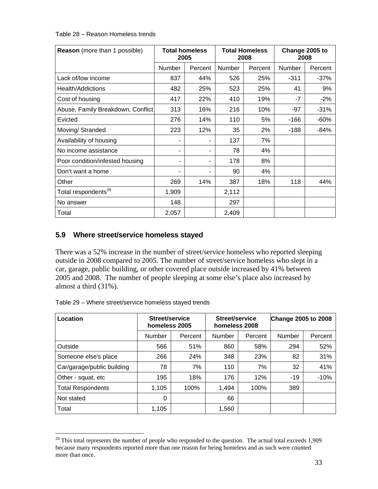Table 28 – Reason Homeless trends

| <b>Reason</b> (more than 1 possible) |        | <b>Total homeless</b><br>2005 |               | <b>Total Homeless</b><br>2008 |        | Change 2005 to<br>2008 |
|--------------------------------------|--------|-------------------------------|---------------|-------------------------------|--------|------------------------|
|                                      | Number | Percent                       | <b>Number</b> | Percent                       | Number | Percent                |
| Lack of/low income                   | 837    | 44%                           | 526           | 25%                           | $-311$ | $-37%$                 |
| Health/Addictions                    | 482    | 25%                           | 523           | 25%                           | 41     | 9%                     |
| Cost of housing                      | 417    | 22%                           | 410           | 19%                           | $-7$   | $-2%$                  |
| Abuse, Family Breakdown, Conflict    | 313    | 16%                           | 216           | 10%                           | -97    | $-31%$                 |
| Evicted                              | 276    | 14%                           | 110           | 5%                            | -166   | $-60%$                 |
| Moving/Stranded                      | 223    | 12%                           | 35            | 2%                            | -188   | $-84%$                 |
| Availability of housing              |        |                               | 137           | 7%                            |        |                        |
| No income assistance                 | ۰      | ۰                             | 78            | 4%                            |        |                        |
| Poor condition/infested housing      | ۰      | ۰                             | 178           | 8%                            |        |                        |
| Don't want a home                    |        |                               | 90            | 4%                            |        |                        |
| Other                                | 269    | 14%                           | 387           | 18%                           | 118    | 44%                    |
| Total respondents <sup>28</sup>      | 1,909  |                               | 2,112         |                               |        |                        |
| No answer                            | 148    |                               | 297           |                               |        |                        |
| Total                                | 2,057  |                               | 2,409         |                               |        |                        |

## **5.9 Where street/service homeless stayed**

There was a 52% increase in the number of street/service homeless who reported sleeping outside in 2008 compared to 2005. The number of street/service homeless who slept in a car, garage, public building, or other covered place outside increased by 41% between 2005 and 2008. The number of people sleeping at some else's place also increased by almost a third (31%).

| Table 29 – Where street/service homeless stayed trends |  |
|--------------------------------------------------------|--|
|                                                        |  |

 $\overline{a}$ 

| Location                   | Street/service<br>homeless 2005 |         | Street/service<br>homeless 2008 |         | <b>Change 2005 to 2008</b> |         |
|----------------------------|---------------------------------|---------|---------------------------------|---------|----------------------------|---------|
|                            | <b>Number</b>                   | Percent | Number                          | Percent | Number                     | Percent |
| Outside                    | 566                             | 51%     | 860                             | 58%     | 294                        | 52%     |
| Someone else's place       | 266                             | 24%     | 348                             | 23%     | 82                         | 31%     |
| Car/garage/public building | 78                              | 7%      | 110                             | 7%      | 32                         | 41%     |
| Other - squat, etc         | 195                             | 18%     | 176                             | 12%     | $-19$                      | $-10%$  |
| <b>Total Respondents</b>   | 1,105                           | 100%    | 1,494                           | 100%    | 389                        |         |
| Not stated                 | 0                               |         | 66                              |         |                            |         |
| Total                      | 1,105                           |         | 1,560                           |         |                            |         |

<span id="page-42-0"></span> $28$  This total represents the number of people who responded to the question. The actual total exceeds 1,909 because many respondents reported more than one reason for being homeless and as such were counted more than once.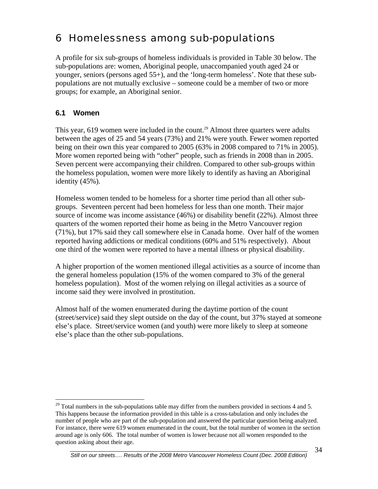# 6 Homelessness among sub-populations

A profile for six sub-groups of homeless individuals is provided in Table 30 below. The sub-populations are: women, Aboriginal people, unaccompanied youth aged 24 or younger, seniors (persons aged 55+), and the 'long-term homeless'. Note that these subpopulations are not mutually exclusive – someone could be a member of two or more groups; for example, an Aboriginal senior.

## **6.1 Women**

 $\overline{a}$ 

This year, 619 women were included in the count.<sup>29</sup> Almost three quarters were adults between the ages of 25 and 54 years (73%) and 21% were youth. Fewer women reported being on their own this year compared to 2005 (63% in 2008 compared to 71% in 2005). More women reported being with "other" people, such as friends in 2008 than in 2005. Seven percent were accompanying their children. Compared to other sub-groups within the homeless population, women were more likely to identify as having an Aboriginal identity (45%).

Homeless women tended to be homeless for a shorter time period than all other subgroups. Seventeen percent had been homeless for less than one month. Their major source of income was income assistance (46%) or disability benefit (22%). Almost three quarters of the women reported their home as being in the Metro Vancouver region (71%), but 17% said they call somewhere else in Canada home. Over half of the women reported having addictions or medical conditions (60% and 51% respectively). About one third of the women were reported to have a mental illness or physical disability.

A higher proportion of the women mentioned illegal activities as a source of income than the general homeless population (15% of the women compared to 3% of the general homeless population). Most of the women relying on illegal activities as a source of income said they were involved in prostitution.

Almost half of the women enumerated during the daytime portion of the count (street/service) said they slept outside on the day of the count, but 37% stayed at someone else's place. Street/service women (and youth) were more likely to sleep at someone else's place than the other sub-populations.

<span id="page-43-0"></span> $29$  Total numbers in the sub-populations table may differ from the numbers provided in sections 4 and 5. This happens because the information provided in this table is a cross-tabulation and only includes the number of people who are part of the sub-population and answered the particular question being analyzed. For instance, there were 619 women enumerated in the count, but the total number of women in the section around age is only 606. The total number of women is lower because not all women responded to the question asking about their age.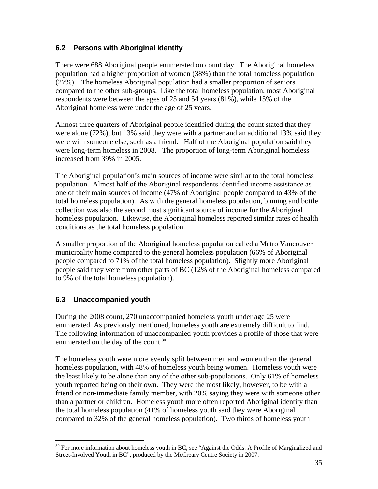## **6.2 Persons with Aboriginal identity**

There were 688 Aboriginal people enumerated on count day. The Aboriginal homeless population had a higher proportion of women (38%) than the total homeless population (27%). The homeless Aboriginal population had a smaller proportion of seniors compared to the other sub-groups. Like the total homeless population, most Aboriginal respondents were between the ages of 25 and 54 years (81%), while 15% of the Aboriginal homeless were under the age of 25 years.

Almost three quarters of Aboriginal people identified during the count stated that they were alone (72%), but 13% said they were with a partner and an additional 13% said they were with someone else, such as a friend. Half of the Aboriginal population said they were long-term homeless in 2008. The proportion of long-term Aboriginal homeless increased from 39% in 2005.

The Aboriginal population's main sources of income were similar to the total homeless population. Almost half of the Aboriginal respondents identified income assistance as one of their main sources of income (47% of Aboriginal people compared to 43% of the total homeless population). As with the general homeless population, binning and bottle collection was also the second most significant source of income for the Aboriginal homeless population. Likewise, the Aboriginal homeless reported similar rates of health conditions as the total homeless population.

A smaller proportion of the Aboriginal homeless population called a Metro Vancouver municipality home compared to the general homeless population (66% of Aboriginal people compared to 71% of the total homeless population). Slightly more Aboriginal people said they were from other parts of BC (12% of the Aboriginal homeless compared to 9% of the total homeless population).

## **6.3 Unaccompanied youth**

During the 2008 count, 270 unaccompanied homeless youth under age 25 were enumerated. As previously mentioned, homeless youth are extremely difficult to find. The following information of unaccompanied youth provides a profile of those that were enumerated on the day of the count.<sup>[30](#page-44-0)</sup>

The homeless youth were more evenly split between men and women than the general homeless population, with 48% of homeless youth being women. Homeless youth were the least likely to be alone than any of the other sub-populations. Only 61% of homeless youth reported being on their own. They were the most likely, however, to be with a friend or non-immediate family member, with 20% saying they were with someone other than a partner or children. Homeless youth more often reported Aboriginal identity than the total homeless population (41% of homeless youth said they were Aboriginal compared to 32% of the general homeless population). Two thirds of homeless youth

<span id="page-44-0"></span> $\overline{a}$  $30$  For more information about homeless youth in BC, see "Against the Odds: A Profile of Marginalized and Street-Involved Youth in BC", produced by the McCreary Centre Society in 2007.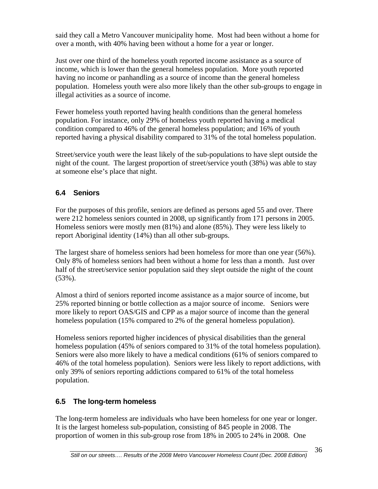said they call a Metro Vancouver municipality home. Most had been without a home for over a month, with 40% having been without a home for a year or longer.

Just over one third of the homeless youth reported income assistance as a source of income, which is lower than the general homeless population. More youth reported having no income or panhandling as a source of income than the general homeless population. Homeless youth were also more likely than the other sub-groups to engage in illegal activities as a source of income.

Fewer homeless youth reported having health conditions than the general homeless population. For instance, only 29% of homeless youth reported having a medical condition compared to 46% of the general homeless population; and 16% of youth reported having a physical disability compared to 31% of the total homeless population.

Street/service youth were the least likely of the sub-populations to have slept outside the night of the count. The largest proportion of street/service youth (38%) was able to stay at someone else's place that night.

## **6.4 Seniors**

For the purposes of this profile, seniors are defined as persons aged 55 and over. There were 212 homeless seniors counted in 2008, up significantly from 171 persons in 2005. Homeless seniors were mostly men (81%) and alone (85%). They were less likely to report Aboriginal identity (14%) than all other sub-groups.

The largest share of homeless seniors had been homeless for more than one year (56%). Only 8% of homeless seniors had been without a home for less than a month. Just over half of the street/service senior population said they slept outside the night of the count (53%).

Almost a third of seniors reported income assistance as a major source of income, but 25% reported binning or bottle collection as a major source of income. Seniors were more likely to report OAS/GIS and CPP as a major source of income than the general homeless population (15% compared to 2% of the general homeless population).

Homeless seniors reported higher incidences of physical disabilities than the general homeless population (45% of seniors compared to 31% of the total homeless population). Seniors were also more likely to have a medical conditions (61% of seniors compared to 46% of the total homeless population). Seniors were less likely to report addictions, with only 39% of seniors reporting addictions compared to 61% of the total homeless population.

## **6.5 The long-term homeless**

The long-term homeless are individuals who have been homeless for one year or longer. It is the largest homeless sub-population, consisting of 845 people in 2008. The proportion of women in this sub-group rose from 18% in 2005 to 24% in 2008. One

36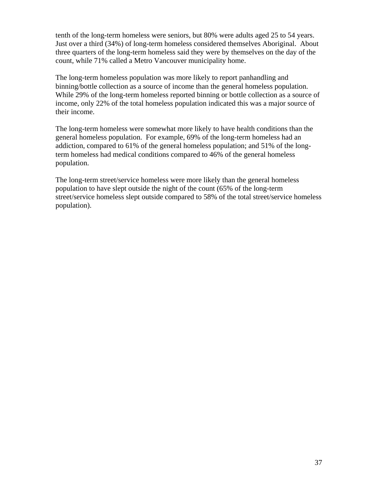tenth of the long-term homeless were seniors, but 80% were adults aged 25 to 54 years. Just over a third (34%) of long-term homeless considered themselves Aboriginal. About three quarters of the long-term homeless said they were by themselves on the day of the count, while 71% called a Metro Vancouver municipality home.

The long-term homeless population was more likely to report panhandling and binning/bottle collection as a source of income than the general homeless population. While 29% of the long-term homeless reported binning or bottle collection as a source of income, only 22% of the total homeless population indicated this was a major source of their income.

The long-term homeless were somewhat more likely to have health conditions than the general homeless population. For example, 69% of the long-term homeless had an addiction, compared to 61% of the general homeless population; and 51% of the longterm homeless had medical conditions compared to 46% of the general homeless population.

The long-term street/service homeless were more likely than the general homeless population to have slept outside the night of the count (65% of the long-term street/service homeless slept outside compared to 58% of the total street/service homeless population).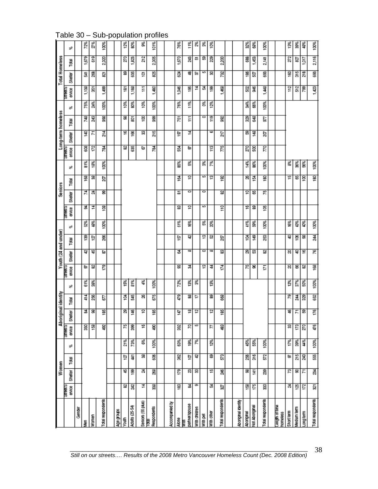|                            |               |                | Women         |      |                        | Aboriginal identity |     |      |                   | Youth (24 and under) |     |      |               | <b>Seniors</b> |    |      |               |         | Long-term homeless |      |                  | otal Homeless |                |     |
|----------------------------|---------------|----------------|---------------|------|------------------------|---------------------|-----|------|-------------------|----------------------|-----|------|---------------|----------------|----|------|---------------|---------|--------------------|------|------------------|---------------|----------------|-----|
|                            | 認恵房<br>envice | <b>Shelter</b> | Total         | ತೆ   | <b>STARB</b><br>envise | 릁<br>ö              | ē   | ತೆ   | 2000年5月<br>envice | Shelter              | ē   | s,   | 望まり<br>envice | Sheiter        | 圈  | sê   | 名ま見<br>ervice | Shelter | 뤊                  | sê   | STEERS<br>ervice | Shelter       | ē              | s.  |
| Genes                      |               |                |               |      |                        |                     |     |      |                   |                      |     |      |               |                |    |      |               |         |                    |      |                  |               |                |     |
| ł                          |               |                |               |      | 33                     | ᆶ                   | 414 | Ě    | 56                | Ø.                   | 39  | Š    | ತ             | 74             | i® | 81%  | g             | 140     | 748                | 75%  | 1,138            | 듏             | 1,679          | 72% |
| Women                      |               |                |               |      | g                      | 88                  | 28  | Š    | 2                 | ¥                    | ίāι | \$   | ≠             | న              | 3  | Š    | IZ            | Б       | 243                | ž4%  | ís               | 8             | <u>ទី</u>      | Š,  |
| Total respondents          |               |                |               |      | ş                      | 185                 | S   |      | ezi.              | э                    | 266 | 100% | 108           | 8              | ã  | 100% | 젾             | 214     | gg                 | 100% | <b>SST</b>       | ë.            | 2,320          | Š   |
|                            |               |                |               |      |                        |                     |     |      |                   |                      |     |      |               |                |    |      |               |         |                    |      |                  |               |                |     |
| abod eBy                   |               |                |               |      |                        |                     |     |      |                   |                      |     |      |               |                |    |      |               |         |                    |      |                  |               |                |     |
| Youth                      | 2             | 45             | ā             | 21%  | ۴                      | 8                   | 결   | Š    |                   |                      |     |      |               |                |    |      | 9             | ≌       | 38                 | 10%  | 들                | ఇ             | 20             | 8   |
| Adults (25-54)             | 왏             | \$             | $\frac{1}{4}$ | 73%  | 8                      | 146                 | 뷶   | š,   |                   |                      |     |      |               |                |    |      | 88            | ≝       | ē,                 | Š    | 1,188            | 635           | 182            | š   |
| Seniors (55 plus)          | 过             | ₹              | s             | 8%   | Ψ                      | ē                   | 8   | ₹    |                   |                      |     |      |               |                |    |      | ъ             | 8       | ë.                 | Š    | Ξ                | 후             | 212            | క   |
| Respondents<br>ē           | 3             | g              | g             | 100% | g                      | 185                 | 5   | Š    |                   |                      |     |      |               |                |    |      | 펹             | 215     | g                  | 100% | 1,480            | 88            | 2,305          | ₫,  |
|                            |               |                |               |      |                        |                     |     |      |                   |                      |     |      |               |                |    |      |               |         |                    |      |                  |               |                |     |
| Accompanied by             |               |                |               |      |                        |                     |     |      |                   |                      |     |      |               |                |    |      |               |         |                    |      |                  |               |                |     |
| Alone                      | g             | <b>P2</b>      | gg            | š    | g                      | ā                   | ę   | 72%  | 83                | 苾                    | ē   | Š%   | 23            | ᇰ              | 쿌  | Š    | 렳             | 흦       | ř                  | 76%  | 1,046            | Š             | 1,670          | 76% |
| partner/spouse<br>Į        | ₹             | 8              | à             | 19%  | g                      | ≌                   | 33  | \$   | F,                | œ                    | đ.  | \$   | ā             | O              | ē  | š    | 56            | 그       | Ξ                  | 11%  | ä,               | 粤             | 2C             | ř.  |
| With children              | ø             | 8              | ą             | ₹    | s                      | 엳                   | ÷   | 嚣    |                   |                      |     |      |               |                |    |      |               |         |                    |      | ≠                | G,            | ã.             | ğ,  |
| With pet                   |               |                |               |      |                        |                     |     |      | ă                 | ۰                    | ă   | Š    | s             | ۰              | w  | క్ట  |               |         | 0                  | š    | J.               | w             | 8              | క   |
| With other                 | ऊ             | ۴              | 8             | 12%  | Z                      | 엳                   | 2   | Š    | ᅾ                 | $\infty$             | 8   | Š    |               |                | 띺  | 蔑    | g             | s       | 쁟                  | Š    | g.               | ន             | 229            | Š   |
| Total respondents          | ð             | g              | នី            |      | ¥                      | 186                 | 88  |      | 진                 | 2                    | 257 |      | Ξ             | 2              | ig |      | řξ            | 217     | 8g                 |      | 1,468            | 782           | 2,200          |     |
|                            |               |                |               |      |                        |                     |     |      |                   |                      |     |      |               |                |    |      |               |         |                    |      |                  |               |                |     |
| Aboriginal identity        |               |                |               |      |                        |                     |     |      |                   |                      |     |      |               |                |    |      |               |         |                    |      |                  |               |                |     |
| Aboriginal                 | ig            | 8              | 28            | 45%  |                        |                     |     |      | ۴                 | 8                    | 렬   | 41%  | Έ             | ē              | 8  | Š    | g             | 8       | 8                  | Š    | 88               | 196           | 88             | Š   |
| Not Aboriginal             | 175           | 141            | $\frac{6}{5}$ | 55%  |                        |                     |     |      | 8                 | ន                    | 149 | Š    | 2             | 58             | 쿌  | \$   | 8             | 148     | S48                | Š    | 546              | Š             | <b>48</b>      | Š   |
| Total respondents          | 9             | 8              | 572           | Š    |                        |                     |     |      | E                 | 2                    | 253 | 100% | 105           | ۴              | ä  | Š    | g             | g       | 5                  | 100% | 1,448            | 8             | $\frac{41}{2}$ | Š   |
|                            |               |                |               |      |                        |                     |     |      |                   |                      |     |      |               |                |    |      |               |         |                    |      |                  |               |                |     |
| Length of time<br>homeless |               |                |               |      |                        |                     |     |      |                   |                      |     |      |               |                |    |      |               |         |                    |      |                  |               |                |     |
| Short term                 | ह             | r.             | ь             | 17%  | 8                      | ş                   | ۴   | Š    | 8                 | 8                    | a   | 16%  |               |                | ٤  | జి   |               |         |                    |      | 12               | έØ            | 272            | \$  |
| Medium term                | 126           | 8              | 215           | 39%  | Ë,                     | Н                   | 34  | 37%  | 38                | 유                    | 을   | \$   |               |                | 18 | \$   |               |         |                    |      | 512              | 315           | 28             | Š   |
| metgron                    | 172           | E              | 243           | 4%   | g                      | 8                   | 8   | 50%  | 2                 | ڥ                    | 88  | \$   |               |                | g  | Š    |               |         |                    |      | æ,               | 218           | 10T            | Š   |
| Total respondents          | ā             | हैं            | ន្ល           | 100% | Ş                      | 176                 | g   | 100% | g                 | ۴                    | 244 | 100% |               |                | ã  | 100% |               |         |                    |      | 1,423            | 88            | 2,116          | Š   |

Table 30 – Sub-population profiles

38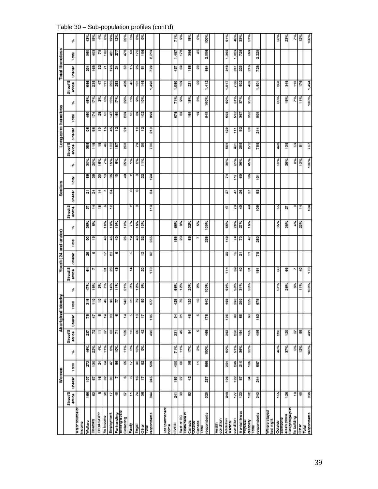|                                    |                   | Women           |       |      |                        | Aboriginal | dentity        |      |                    | Youth (24 and under) |                 |      |                 | e<br>Senios |       |        |                    |         | Long-term homeless |      |                  | Total Homeless |        |      |
|------------------------------------|-------------------|-----------------|-------|------|------------------------|------------|----------------|------|--------------------|----------------------|-----------------|------|-----------------|-------------|-------|--------|--------------------|---------|--------------------|------|------------------|----------------|--------|------|
|                                    | Streat'S<br>an/ca | Sheltar         | Total | y,   | Streat'S<br>awice<br>S | Sheltar    | Total          | ×    | Streat'S<br>envice | Shelta               | Total           | ö    | StreatS<br>š    | Sheker      | Total | ö      | Stream'S<br>a<br>S | Shallar | Total              | ¥.   | a<br>S<br>Strout | Sheller        | 룡<br>۳ | ¥.   |
| estnos John<br>hoome               |                   |                 |       |      |                        |            |                |      |                    |                      |                 |      |                 |             |       |        |                    |         |                    |      |                  |                |        |      |
| Wellane                            | 166               | 107             | ĉ     | š    | ā                      | g          | 틂              | č,   | 31                 | 8                    |                 | ğ,   | 新               |             | 盟     | š      | ä                  | æ       | Ş                  | š    | \$               | 힓              | g      | š    |
| Disability                         | 8                 | G               | e     | Ň    | r.                     | ٧          | $\frac{9}{11}$ | Š    | r                  | w                    | 8 문             | ď,   | 코               | 한말          | 동     | ž.     | <b>f18</b>         | S6      | E                  | ř.   | 285              | 9              | Ş      | ţ.   |
| EIVOAS/CPP                         | œ                 | ä               | 蔏     | Ķ    | F                      | œ          | ë              | ģ,   |                    |                      |                 |      | ۴               | ¥           | 8     | 15%    | 은                  | ÷       | 8                  | š,   | 47               | 읂              | ε      | ķ,   |
| No income                          | S.                | SS.             | ö     | Ĕ    | ß,                     | ë          | 46             | Ķ,   | 5                  | ٠                    | 4               | š    | φ               | r           | ÷.    | ķ.     | ¥                  | 15      | Ğ,                 | š    | Ξ                | Б              | 182    | š    |
| Employment                         | ÷                 | 8               | Ģ     | š    | 3                      | 2          | g              | ř    | 8                  | 8                    | 4               | š    | 엎               | ă           | 8     | Š      | g                  | 유       | ¥                  | š    | 25               | 196            | ត្     | ğ    |
| Partnanding                        | ş                 | r               | 5     | Š    | F.                     | w          | R              | Ĕ    | 17                 | w                    | ఇ               | š    |                 |             | 'n    | š      | ě                  | 옆       | 169                | ř.   | 253              | 菾              | P.     | 12%  |
| euroa <i>Bu</i> uuna<br>Collecting | r,                | œ               | ¥     | Ĕ    | 126                    | ¥          | 140            | š.   |                    |                      |                 | š    |                 |             | 9     | 25%    | š                  | e,      | 3                  | š    | ş                | s              | ę.     | š,   |
| Family                             | F                 |                 | ٠     | š    | e                      | w          | 器              | ķ,   | 코                  | w                    | 8 은             | ŕ,   | CV <sub>1</sub> | ۰           | C4    | š      |                    |         | 쁣                  | š,   | 4                | ۳              | 8      | š,   |
| liagall                            | μ                 | ä               | g     | Š    | 5                      | 읖          |                | š    |                    |                      | ₽               | Š    | m               | о           | m     | š,     | P,                 | ÷       | 3                  | š    | ë                | X,             | 176    | š    |
| ofier<br>Office                    | S                 | ÷,              | 8     | š    | 웧                      | Þ          | 58             | ś    | g                  | 현                    | -89             | Š    |                 |             | N     | i i    | 8                  | ĩã      | 102                | ĕ    | 145              | 5              | š      | š    |
| respondents<br><b>B</b>            | 茉                 | ä               | 3     |      | 492                    | e          | P.             |      | ŗ3                 | S                    | ä               |      | Ë               | 畵           | š     |        | ĕ                  | ដឹ      | š                  |      | SS T             | Ŗ,             | នី     |      |
|                                    |                   |                 |       |      |                        |            |                |      |                    |                      |                 |      |                 |             |       |        |                    |         |                    |      |                  |                |        |      |
| Last permanent<br>home             |                   |                 |       |      |                        |            |                |      |                    |                      |                 |      |                 |             |       |        |                    |         |                    |      |                  |                |        |      |
| GNRD                               | ā                 | ន្ទី            | Ş     | Ĕ    | ā                      | ä,         | 425            | Š    |                    |                      | 56              | Š    |                 |             |       |        |                    |         | ្ងឺ                | TIV. | នី<br>÷          | Ģ              | ą<br>۳ | Ĕ    |
| Rest of BC                         | g                 | G,              | 3     | Ĕ    | 45                     | 5          | æ              | Ķ    |                    |                      | g               | ś    |                 |             |       |        |                    |         | s                  | š    | š                | 3              | f78    | š    |
| Elswinnern<br>Canada               | 2                 | ¥               | 9     | š    | ä,                     | 4          | 129            | š,   |                    |                      | 2               | Ň    |                 |             |       |        |                    |         | ë                  | š    | ā                | 5              | š      | ĕ    |
| Sanato<br>Canada                   |                   |                 | F     | ķ,   | S                      | w          | ÷              | ť,   |                    |                      | r               | ś    |                 |             |       |        |                    |         | ₽                  | š    | 81               | 8              | 4      | š,   |
| respondents<br>B                   | Ş                 | à               | 56    | 100K | 45                     | E          | I              | 100% |                    |                      | 8               | 100% |                 |             |       |        |                    |         | å                  | 100% | 1,412            | š              | 2085   | 100% |
|                                    |                   |                 |       |      |                        |            |                |      |                    |                      |                 |      |                 |             |       |        |                    |         |                    |      |                  |                |        |      |
| condition<br>Figurity              |                   |                 |       |      |                        |            |                |      |                    |                      |                 |      |                 |             |       |        |                    |         |                    |      |                  |                |        |      |
| Addiction                          | å                 | ë               | 쯞     | š    | g                      | g          | \$             | š    | 른                  | 8                    | ¥               | š    | ų               | b,          | ř,    | 39%    | š                  | នី      | ទូ                 | š    | 1,017            | I              | ă<br>÷ | š.   |
| condition<br><b>R000R</b>          | Z.                |                 | 289   | št.  | 250                    | 8          | 53             | š.   |                    | ۴                    |                 | š,   | g               | ۹I          | ä     | s<br>G | ğ.                 | Ξ       | 512                | š.   | č                | 읊              | 1,023  | 48%  |
| Mental liness                      | ë                 | <u>ដ្ឋ</u><br>ទ | 210   | š    | 뽚                      | U)         | នី             | ř,   | ឌុទ្               | 즓                    | $\frac{24}{70}$ | ř,   | 9               | 8           | 3     | ğ      | š                  | 멂       | g                  | Ğ    | ş                | S              | ř      | š    |
| <b>DOG/U.</b><br>disability        | 102               | z               | 186   | š    | 165                    | 8          | 25             | š    | ö                  | r                    | ¥               | Š    | 9               | 阮           | 8     | Ş      | g,                 | ៖       | g                  | š    | ş                | 21 S           | ş      | š,   |
| respondents<br>g                   | å                 | ¥               | ă,    |      | Ş                      | g          | 6.19           |      | ë                  | P.                   | 250             |      | ဒ္ဓ             | 8           | ē     |        | 785                | 蒜       | š                  |      | ā<br>÷           | 728            | Ñ<br>ø |      |
|                                    |                   |                 |       |      |                        |            |                |      |                    |                      |                 |      |                 |             |       |        |                    |         |                    |      |                  |                |        |      |
| Mhara stayed<br>last night         |                   |                 |       |      |                        |            |                |      |                    |                      |                 |      |                 |             |       |        |                    |         |                    |      |                  |                |        |      |
| <b>Butice</b>                      | 155               |                 |       | š    | 8                      |            |                | Ğ    | 3                  |                      |                 | Š    | 벎               |             |       | š      | Ş                  |         |                    | š    | ş                |                |        | š    |
| else's place<br>someone            | 126               |                 |       | Ğ    | ě                      |            |                | 26%  | 5                  |                      |                 | š    | R,              |             |       | 28%    | ö                  |         |                    | t BK | Į                |                |        | ă    |
| ndeburgunan<br>prelius all         | £                 |                 |       | š    | ħ                      |            |                | š    | r                  |                      |                 | ķ,   | œ               |             |       | ģ.     | 2                  |         |                    | ř,   | E                |                |        | ř,   |
| <b>Sfirst</b>                      | ş                 |                 |       | Ķ    | 55                     |            |                | Ĕ    | ₽                  |                      |                 | ķ.   | 코               |             |       | š      | 55                 |         |                    | 119  | E                |                |        | ļ2   |
| respondents<br>ē                   | 8                 |                 |       | 100% | Ş                      |            |                | 100% | I <sub>23</sub>    |                      |                 |      | ğ               |             |       | 100%   | ξğ                 |         |                    | 100% | 1,484            |                |        | š    |

Table 30 – Sub-population profiles (cont'd)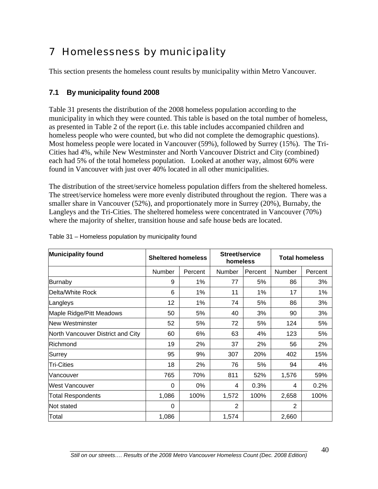# 7 Homelessness by municipality

This section presents the homeless count results by municipality within Metro Vancouver.

## **7.1 By municipality found 2008**

Table 31 presents the distribution of the 2008 homeless population according to the municipality in which they were counted. This table is based on the total number of homeless, as presented in Table 2 of the report (i.e. this table includes accompanied children and homeless people who were counted, but who did not complete the demographic questions). Most homeless people were located in Vancouver (59%), followed by Surrey (15%). The Tri-Cities had 4%, while New Westminster and North Vancouver District and City (combined) each had 5% of the total homeless population. Looked at another way, almost 60% were found in Vancouver with just over 40% located in all other municipalities.

The distribution of the street/service homeless population differs from the sheltered homeless. The street/service homeless were more evenly distributed throughout the region. There was a smaller share in Vancouver (52%), and proportionately more in Surrey (20%), Burnaby, the Langleys and the Tri-Cities. The sheltered homeless were concentrated in Vancouver (70%) where the majority of shelter, transition house and safe house beds are located.

| <b>Municipality found</b>         | <b>Sheltered homeless</b> |         | Street/service<br>homeless |         |        | <b>Total homeless</b> |
|-----------------------------------|---------------------------|---------|----------------------------|---------|--------|-----------------------|
|                                   | Number                    | Percent | Number                     | Percent | Number | Percent               |
| Burnaby                           | 9                         | $1\%$   | 77                         | 5%      | 86     | 3%                    |
| Delta/White Rock                  | 6                         | 1%      | 11                         | 1%      | 17     | 1%                    |
| Langleys                          | 12                        | 1%      | 74                         | 5%      | 86     | 3%                    |
| Maple Ridge/Pitt Meadows          | 50                        | 5%      | 40                         | 3%      | 90     | 3%                    |
| <b>New Westminster</b>            | 52                        | 5%      | 72                         | 5%      | 124    | 5%                    |
| North Vancouver District and City | 60                        | 6%      | 63                         | 4%      | 123    | 5%                    |
| Richmond                          | 19                        | 2%      | 37                         | 2%      | 56     | 2%                    |
| Surrey                            | 95                        | 9%      | 307                        | 20%     | 402    | 15%                   |
| <b>Tri-Cities</b>                 | 18                        | 2%      | 76                         | 5%      | 94     | 4%                    |
| Vancouver                         | 765                       | 70%     | 811                        | 52%     | 1,576  | 59%                   |
| <b>West Vancouver</b>             | $\Omega$                  | 0%      | 4                          | 0.3%    | 4      | 0.2%                  |
| <b>Total Respondents</b>          | 1,086                     | 100%    | 1,572                      | 100%    | 2,658  | 100%                  |
| Not stated                        | $\Omega$                  |         | 2                          |         | 2      |                       |
| Total                             | 1,086                     |         | 1,574                      |         | 2,660  |                       |

Table 31 – Homeless population by municipality found

40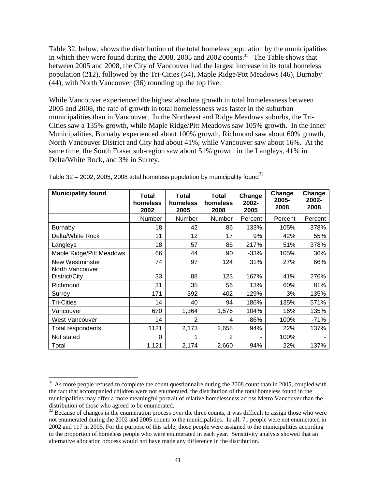Table 32, below, shows the distribution of the total homeless population by the municipalities in which they were found during the 2008, 2005 and 2002 counts.<sup>31</sup> The Table shows that between 2005 and 2008, the City of Vancouver had the largest increase in its total homeless population (212), followed by the Tri-Cities (54), Maple Ridge/Pitt Meadows (46), Burnaby (44), with North Vancouver (36) rounding up the top five.

While Vancouver experienced the highest absolute growth in total homelessness between 2005 and 2008, the rate of growth in total homelessness was faster in the suburban municipalities than in Vancouver. In the Northeast and Ridge Meadows suburbs, the Tri-Cities saw a 135% growth, while Maple Ridge/Pitt Meadows saw 105% growth. In the Inner Municipalities, Burnaby experienced about 100% growth, Richmond saw about 60% growth, North Vancouver District and City had about 41%, while Vancouver saw about 16%. At the same time, the South Fraser sub-region saw about 51% growth in the Langleys, 41% in Delta/White Rock, and 3% in Surrey.

| <b>Municipality found</b>        | <b>Total</b><br>homeless<br>2002 | Total<br>homeless<br>2005 | <b>Total</b><br>homeless<br>2008 | Change<br>2002-<br>2005 | Change<br>2005-<br>2008 | Change<br>2002-<br>2008 |
|----------------------------------|----------------------------------|---------------------------|----------------------------------|-------------------------|-------------------------|-------------------------|
|                                  | Number                           | Number                    | Number                           | Percent                 | Percent                 | Percent                 |
| <b>Burnaby</b>                   | 18                               | 42                        | 86                               | 133%                    | 105%                    | 378%                    |
| Delta/White Rock                 | 11                               | 12                        | 17                               | 9%                      | 42%                     | 55%                     |
| Langleys                         | 18                               | 57                        | 86                               | 217%                    | 51%                     | 378%                    |
| Maple Ridge/Pitt Meadows         | 66                               | 44                        | 90                               | $-33%$                  | 105%                    | 36%                     |
| <b>New Westminster</b>           | 74                               | 97                        | 124                              | 31%                     | 27%                     | 66%                     |
| North Vancouver<br>District/City | 33                               | 88                        | 123                              | 167%                    | 41%                     | 276%                    |
| Richmond                         | 31                               | 35                        | 56                               | 13%                     | 60%                     | 81%                     |
| Surrey                           | 171                              | 392                       | 402                              | 129%                    | 3%                      | 135%                    |
| Tri-Cities                       | 14                               | 40                        | 94                               | 186%                    | 135%                    | 571%                    |
| Vancouver                        | 670                              | 1,364                     | 1,576                            | 104%                    | 16%                     | 135%                    |
| West Vancouver                   | 14                               | 2                         | 4                                | -86%                    | 100%                    | $-71%$                  |
| Total respondents                | 1121                             | 2,173                     | 2,658                            | 94%                     | 22%                     | 137%                    |
| Not stated                       | $\Omega$                         | 1                         | $\overline{2}$                   |                         | 100%                    |                         |
| Total                            | 1,121                            | 2,174                     | 2,660                            | 94%                     | 22%                     | 137%                    |

Table [32](#page-50-1) – 2002, 2005, 2008 total homeless population by municipality found<sup>32</sup>

 $\overline{a}$ 

<span id="page-50-0"></span><sup>&</sup>lt;sup>31</sup> As more people refused to complete the count questionnaire during the 2008 count than in 2005, coupled with the fact that accompanied children were not enumerated, the distribution of the total homeless found in the municipalities may offer a more meaningful portrait of relative homelessness across Metro Vancouver than the distribution of those who agreed to be enumerated.<br><sup>32</sup> Because of changes in the enumeration process over the three counts, it was difficult to assign those who were

<span id="page-50-1"></span>not enumerated during the 2002 and 2005 counts to the municipalities. In all, 71 people were not enumerated in 2002 and 117 in 2005. For the purpose of this table, those people were assigned to the municipalities according to the proportion of homeless people who were enumerated in each year. Sensitivity analysis showed that an alternative allocation process would not have made any difference in the distribution.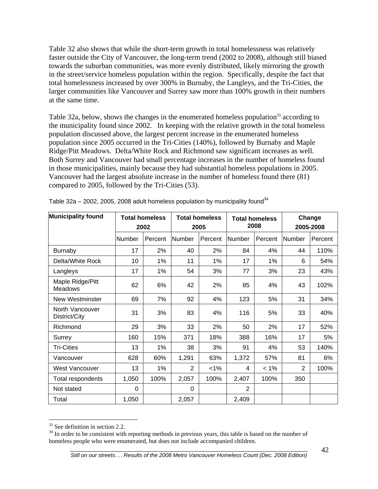Table 32 also shows that while the short-term growth in total homelessness was relatively faster outside the City of Vancouver, the long-term trend (2002 to 2008), although still biased towards the suburban communities, was more evenly distributed, likely mirroring the growth in the street/service homeless population within the region. Specifically, despite the fact that total homelessness increased by over 300% in Burnaby, the Langleys, and the Tri-Cities, the larger communities like Vancouver and Surrey saw more than 100% growth in their numbers at the same time.

Table 32a, below, shows the changes in the enumerated homeless population<sup>33</sup> according to the municipality found since 2002. In keeping with the relative growth in the total homeless population discussed above, the largest percent increase in the enumerated homeless population since 2005 occurred in the Tri-Cities (140%), followed by Burnaby and Maple Ridge/Pitt Meadows. Delta/White Rock and Richmond saw significant increases as well. Both Surrey and Vancouver had small percentage increases in the number of homeless found in those municipalities, mainly because they had substantial homeless populations in 2005. Vancouver had the largest absolute increase in the number of homeless found there (81) compared to 2005, followed by the Tri-Cities (53).

| <b>Municipality found</b>          |               | <b>Total homeless</b> |                | <b>Total homeless</b> |                | <b>Total homeless</b> |                | Change    |
|------------------------------------|---------------|-----------------------|----------------|-----------------------|----------------|-----------------------|----------------|-----------|
|                                    |               | 2002                  |                | 2005                  |                | 2008                  |                | 2005-2008 |
|                                    | <b>Number</b> | Percent               | Number         | Percent               | <b>Number</b>  | Percent               | <b>Number</b>  | Percent   |
| <b>Burnaby</b>                     | 17            | 2%                    | 40             | 2%                    | 84             | 4%                    | 44             | 110%      |
| Delta/White Rock                   | 10            | 1%                    | 11             | 1%                    | 17             | 1%                    | 6              | 54%       |
| Langleys                           | 17            | 1%                    | 54             | 3%                    | 77             | 3%                    | 23             | 43%       |
| Maple Ridge/Pitt<br><b>Meadows</b> | 62            | 6%                    | 42             | 2%                    | 85             | 4%                    | 43             | 102%      |
| New Westminster                    | 69            | 7%                    | 92             | 4%                    | 123            | 5%                    | 31             | 34%       |
| North Vancouver<br>District/City   | 31            | 3%                    | 83             | 4%                    | 116            | 5%                    | 33             | 40%       |
| Richmond                           | 29            | 3%                    | 33             | 2%                    | 50             | 2%                    | 17             | 52%       |
| Surrey                             | 160           | 15%                   | 371            | 18%                   | 388            | 16%                   | 17             | 5%        |
| <b>Tri-Cities</b>                  | 13            | 1%                    | 38             | 3%                    | 91             | 4%                    | 53             | 140%      |
| Vancouver                          | 628           | 60%                   | 1,291          | 63%                   | 1,372          | 57%                   | 81             | 6%        |
| <b>West Vancouver</b>              | 13            | 1%                    | $\overline{2}$ | $< 1\%$               | 4              | $< 1\%$               | $\overline{2}$ | 100%      |
| Total respondents                  | 1,050         | 100%                  | 2,057          | 100%                  | 2,407          | 100%                  | 350            |           |
| Not stated                         | $\Omega$      |                       | 0              |                       | $\overline{2}$ |                       |                |           |
| Total                              | 1,050         |                       | 2,057          |                       | 2,409          |                       |                |           |

Table 32a – 2002, 2005, 2008 adult homeless population by municipality found<sup>[34](#page-51-1)</sup>

 $\overline{a}$ 

<span id="page-51-0"></span><sup>33</sup> See definition in section 2.2.

<span id="page-51-1"></span><sup>&</sup>lt;sup>34</sup> In order to be consistent with reporting methods in previous years, this table is based on the number of homeless people who were enumerated, but does not include accompanied children.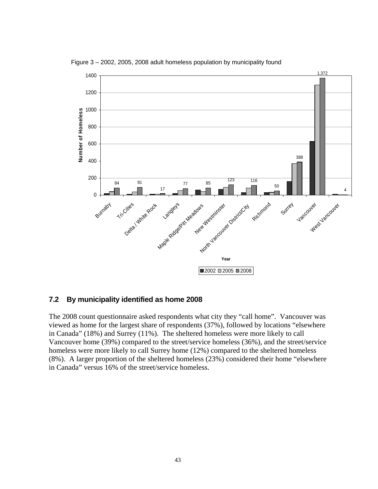

Figure 3 – 2002, 2005, 2008 adult homeless population by municipality found

#### **7.2 By municipality identified as home 2008**

The 2008 count questionnaire asked respondents what city they "call home". Vancouver was viewed as home for the largest share of respondents (37%), followed by locations "elsewhere in Canada" (18%) and Surrey (11%). The sheltered homeless were more likely to call Vancouver home (39%) compared to the street/service homeless (36%), and the street/service homeless were more likely to call Surrey home (12%) compared to the sheltered homeless (8%). A larger proportion of the sheltered homeless (23%) considered their home "elsewhere in Canada" versus 16% of the street/service homeless.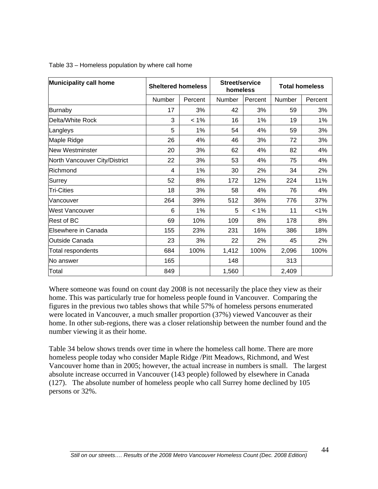| <b>Municipality call home</b> | <b>Sheltered homeless</b> |         | Street/service<br>homeless |         |               | <b>Total homeless</b> |
|-------------------------------|---------------------------|---------|----------------------------|---------|---------------|-----------------------|
|                               | Number                    | Percent | Number                     | Percent | <b>Number</b> | Percent               |
| Burnaby                       | 17                        | 3%      | 42                         | 3%      | 59            | 3%                    |
| Delta/White Rock              | 3                         | $< 1\%$ | 16                         | 1%      | 19            | 1%                    |
| Langleys                      | 5                         | 1%      | 54                         | 4%      | 59            | 3%                    |
| Maple Ridge                   | 26                        | 4%      | 46                         | 3%      | 72            | 3%                    |
| <b>New Westminster</b>        | 20                        | 3%      | 62                         | 4%      | 82            | 4%                    |
| North Vancouver City/District | 22                        | 3%      | 53                         | 4%      | 75            | 4%                    |
| Richmond                      | 4                         | 1%      | 30                         | 2%      | 34            | 2%                    |
| Surrey                        | 52                        | 8%      | 172                        | 12%     | 224           | 11%                   |
| <b>Tri-Cities</b>             | 18                        | 3%      | 58                         | 4%      | 76            | 4%                    |
| Vancouver                     | 264                       | 39%     | 512                        | 36%     | 776           | 37%                   |
| <b>West Vancouver</b>         | 6                         | 1%      | 5                          | $< 1\%$ | 11            | $< 1\%$               |
| <b>Rest of BC</b>             | 69                        | 10%     | 109                        | 8%      | 178           | 8%                    |
| Elsewhere in Canada           | 155                       | 23%     | 231                        | 16%     | 386           | 18%                   |
| <b>Outside Canada</b>         | 23                        | 3%      | 22                         | 2%      | 45            | 2%                    |
| Total respondents             | 684                       | 100%    | 1,412                      | 100%    | 2,096         | 100%                  |
| No answer                     | 165                       |         | 148                        |         | 313           |                       |
| Total                         | 849                       |         | 1,560                      |         | 2,409         |                       |

Table 33 – Homeless population by where call home

Where someone was found on count day 2008 is not necessarily the place they view as their home. This was particularly true for homeless people found in Vancouver. Comparing the figures in the previous two tables shows that while 57% of homeless persons enumerated were located in Vancouver, a much smaller proportion (37%) viewed Vancouver as their home. In other sub-regions, there was a closer relationship between the number found and the number viewing it as their home.

Table 34 below shows trends over time in where the homeless call home. There are more homeless people today who consider Maple Ridge /Pitt Meadows, Richmond, and West Vancouver home than in 2005; however, the actual increase in numbers is small. The largest absolute increase occurred in Vancouver (143 people) followed by elsewhere in Canada (127). The absolute number of homeless people who call Surrey home declined by 105 persons or 32%.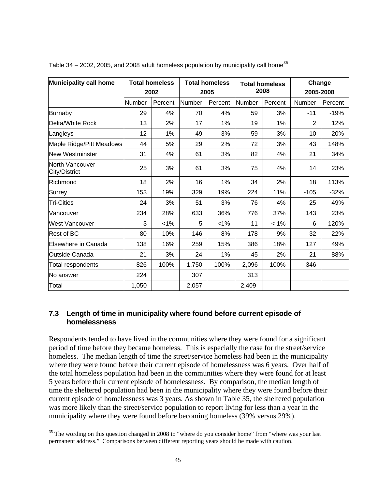| Municipality call home           |        | <b>Total homeless</b><br>2002 |        | <b>Total homeless</b><br>2005 |        | <b>Total homeless</b><br>2008 | Change<br>2005-2008 |         |
|----------------------------------|--------|-------------------------------|--------|-------------------------------|--------|-------------------------------|---------------------|---------|
|                                  | Number | Percent                       | Number | Percent                       | Number | Percent                       | Number              | Percent |
| Burnaby                          | 29     | 4%                            | 70     | 4%                            | 59     | 3%                            | $-11$               | $-19%$  |
| Delta/White Rock                 | 13     | 2%                            | 17     | 1%                            | 19     | 1%                            | 2                   | 12%     |
| Langleys                         | 12     | 1%                            | 49     | 3%                            | 59     | 3%                            | 10                  | 20%     |
| Maple Ridge/Pitt Meadows         | 44     | 5%                            | 29     | 2%                            | 72     | 3%                            | 43                  | 148%    |
| <b>New Westminster</b>           | 31     | 4%                            | 61     | 3%                            | 82     | 4%                            | 21                  | 34%     |
| North Vancouver<br>City/District | 25     | 3%                            | 61     | 3%                            | 75     | 4%                            | 14                  | 23%     |
| Richmond                         | 18     | 2%                            | 16     | 1%                            | 34     | 2%                            | 18                  | 113%    |
| Surrey                           | 153    | 19%                           | 329    | 19%                           | 224    | 11%                           | $-105$              | $-32%$  |
| <b>Tri-Cities</b>                | 24     | 3%                            | 51     | 3%                            | 76     | 4%                            | 25                  | 49%     |
| Vancouver                        | 234    | 28%                           | 633    | 36%                           | 776    | 37%                           | 143                 | 23%     |
| <b>West Vancouver</b>            | 3      | $< 1\%$                       | 5      | 1%                            | 11     | $< 1\%$                       | 6                   | 120%    |
| Rest of BC                       | 80     | 10%                           | 146    | 8%                            | 178    | 9%                            | 32                  | 22%     |
| Elsewhere in Canada              | 138    | 16%                           | 259    | 15%                           | 386    | 18%                           | 127                 | 49%     |
| <b>Outside Canada</b>            | 21     | 3%                            | 24     | 1%                            | 45     | 2%                            | 21                  | 88%     |
| Total respondents                | 826    | 100%                          | 1,750  | 100%                          | 2,096  | 100%                          | 346                 |         |
| No answer                        | 224    |                               | 307    |                               | 313    |                               |                     |         |
| Total                            | 1,050  |                               | 2,057  |                               | 2,409  |                               |                     |         |

Table 34 – 2002, 2005, and 2008 adult homeless population by municipality call home<sup>[35](#page-54-0)</sup>

### **7.3 Length of time in municipality where found before current episode of homelessness**

Respondents tended to have lived in the communities where they were found for a significant period of time before they became homeless. This is especially the case for the street/service homeless. The median length of time the street/service homeless had been in the municipality where they were found before their current episode of homelessness was 6 years. Over half of the total homeless population had been in the communities where they were found for at least 5 years before their current episode of homelessness. By comparison, the median length of time the sheltered population had been in the municipality where they were found before their current episode of homelessness was 3 years. As shown in Table 35, the sheltered population was more likely than the street/service population to report living for less than a year in the municipality where they were found before becoming homeless (39% versus 29%).

 $\overline{a}$ 

<span id="page-54-0"></span> $35$  The wording on this question changed in 2008 to "where do you consider home" from "where was your last permanent address." Comparisons between different reporting years should be made with caution.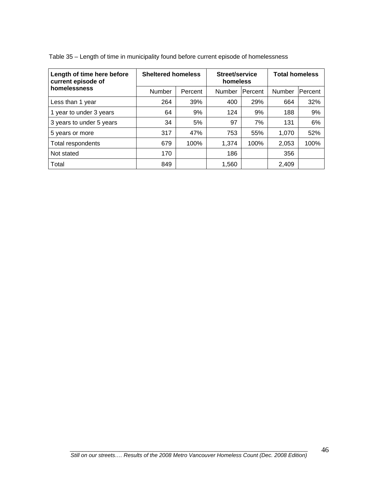| Length of time here before<br>current episode of | <b>Sheltered homeless</b> |         | Street/service<br>homeless |                | <b>Total homeless</b> |         |
|--------------------------------------------------|---------------------------|---------|----------------------------|----------------|-----------------------|---------|
| homelessness                                     | Number                    | Percent | Number                     | <b>Percent</b> | Number                | Percent |
| Less than 1 year                                 | 264                       | 39%     | 400                        | 29%            | 664                   | 32%     |
| 1 year to under 3 years                          | 64                        | 9%      | 124                        | 9%             | 188                   | 9%      |
| 3 years to under 5 years                         | 34                        | 5%      | 97                         | 7%             | 131                   | 6%      |
| 5 years or more                                  | 317                       | 47%     | 753                        | 55%            | 1,070                 | 52%     |
| Total respondents                                | 679                       | 100%    | 1,374                      | 100%           | 2,053                 | 100%    |
| Not stated                                       | 170                       |         | 186                        |                | 356                   |         |
| Total                                            | 849                       |         | 1,560                      |                | 2,409                 |         |

Table 35 – Length of time in municipality found before current episode of homelessness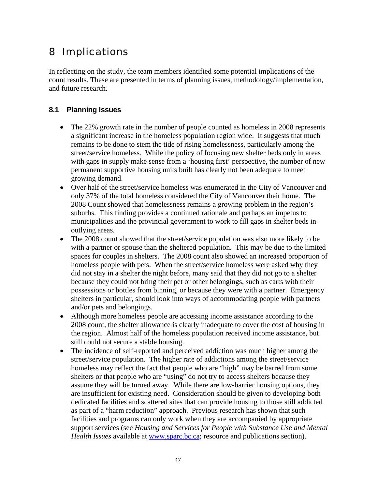# 8 Implications

In reflecting on the study, the team members identified some potential implications of the count results. These are presented in terms of planning issues, methodology/implementation, and future research.

## **8.1 Planning Issues**

- The 22% growth rate in the number of people counted as homeless in 2008 represents a significant increase in the homeless population region wide. It suggests that much remains to be done to stem the tide of rising homelessness, particularly among the street/service homeless. While the policy of focusing new shelter beds only in areas with gaps in supply make sense from a 'housing first' perspective, the number of new permanent supportive housing units built has clearly not been adequate to meet growing demand.
- Over half of the street/service homeless was enumerated in the City of Vancouver and only 37% of the total homeless considered the City of Vancouver their home. The 2008 Count showed that homelessness remains a growing problem in the region's suburbs. This finding provides a continued rationale and perhaps an impetus to municipalities and the provincial government to work to fill gaps in shelter beds in outlying areas.
- The 2008 count showed that the street/service population was also more likely to be with a partner or spouse than the sheltered population. This may be due to the limited spaces for couples in shelters. The 2008 count also showed an increased proportion of homeless people with pets. When the street/service homeless were asked why they did not stay in a shelter the night before, many said that they did not go to a shelter because they could not bring their pet or other belongings, such as carts with their possessions or bottles from binning, or because they were with a partner. Emergency shelters in particular, should look into ways of accommodating people with partners and/or pets and belongings.
- Although more homeless people are accessing income assistance according to the 2008 count, the shelter allowance is clearly inadequate to cover the cost of housing in the region. Almost half of the homeless population received income assistance, but still could not secure a stable housing.
- The incidence of self-reported and perceived addiction was much higher among the street/service population. The higher rate of addictions among the street/service homeless may reflect the fact that people who are "high" may be barred from some shelters or that people who are "using" do not try to access shelters because they assume they will be turned away. While there are low-barrier housing options, they are insufficient for existing need. Consideration should be given to developing both dedicated facilities and scattered sites that can provide housing to those still addicted as part of a "harm reduction" approach. Previous research has shown that such facilities and programs can only work when they are accompanied by appropriate support services (see *Housing and Services for People with Substance Use and Mental Health Issues* available at [www.sparc.bc.ca](http://www.sparc.bc.ca/); resource and publications section).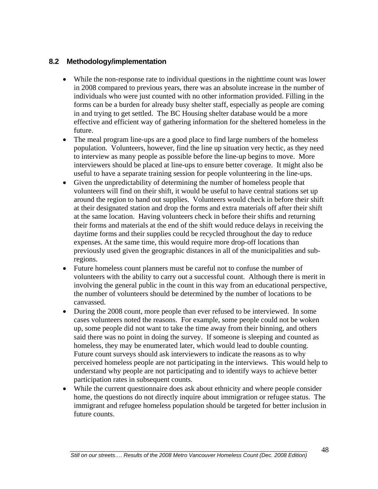### **8.2 Methodology/implementation**

- While the non-response rate to individual questions in the nighttime count was lower in 2008 compared to previous years, there was an absolute increase in the number of individuals who were just counted with no other information provided. Filling in the forms can be a burden for already busy shelter staff, especially as people are coming in and trying to get settled. The BC Housing shelter database would be a more effective and efficient way of gathering information for the sheltered homeless in the future.
- The meal program line-ups are a good place to find large numbers of the homeless population. Volunteers, however, find the line up situation very hectic, as they need to interview as many people as possible before the line-up begins to move. More interviewers should be placed at line-ups to ensure better coverage. It might also be useful to have a separate training session for people volunteering in the line-ups.
- Given the unpredictability of determining the number of homeless people that volunteers will find on their shift, it would be useful to have central stations set up around the region to hand out supplies. Volunteers would check in before their shift at their designated station and drop the forms and extra materials off after their shift at the same location. Having volunteers check in before their shifts and returning their forms and materials at the end of the shift would reduce delays in receiving the daytime forms and their supplies could be recycled throughout the day to reduce expenses. At the same time, this would require more drop-off locations than previously used given the geographic distances in all of the municipalities and subregions.
- Future homeless count planners must be careful not to confuse the number of volunteers with the ability to carry out a successful count. Although there is merit in involving the general public in the count in this way from an educational perspective, the number of volunteers should be determined by the number of locations to be canvassed.
- During the 2008 count, more people than ever refused to be interviewed. In some cases volunteers noted the reasons. For example, some people could not be woken up, some people did not want to take the time away from their binning, and others said there was no point in doing the survey. If someone is sleeping and counted as homeless, they may be enumerated later, which would lead to double counting. Future count surveys should ask interviewers to indicate the reasons as to why perceived homeless people are not participating in the interviews. This would help to understand why people are not participating and to identify ways to achieve better participation rates in subsequent counts.
- While the current questionnaire does ask about ethnicity and where people consider home, the questions do not directly inquire about immigration or refugee status. The immigrant and refugee homeless population should be targeted for better inclusion in future counts.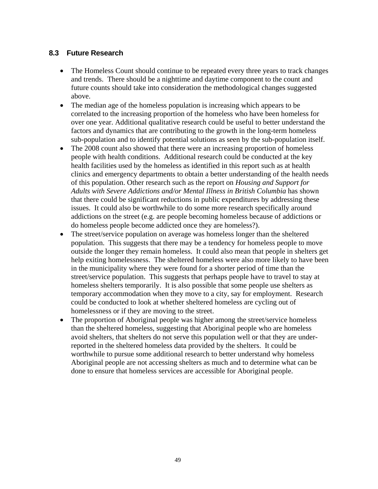### **8.3 Future Research**

- The Homeless Count should continue to be repeated every three years to track changes and trends. There should be a nighttime and daytime component to the count and future counts should take into consideration the methodological changes suggested above.
- The median age of the homeless population is increasing which appears to be correlated to the increasing proportion of the homeless who have been homeless for over one year. Additional qualitative research could be useful to better understand the factors and dynamics that are contributing to the growth in the long-term homeless sub-population and to identify potential solutions as seen by the sub-population itself.
- The 2008 count also showed that there were an increasing proportion of homeless people with health conditions. Additional research could be conducted at the key health facilities used by the homeless as identified in this report such as at health clinics and emergency departments to obtain a better understanding of the health needs of this population. Other research such as the report on *Housing and Support for Adults with Severe Addictions and/or Mental Illness in British Columbia* has shown that there could be significant reductions in public expenditures by addressing these issues. It could also be worthwhile to do some more research specifically around addictions on the street (e.g. are people becoming homeless because of addictions or do homeless people become addicted once they are homeless?).
- The street/service population on average was homeless longer than the sheltered population. This suggests that there may be a tendency for homeless people to move outside the longer they remain homeless. It could also mean that people in shelters get help exiting homelessness. The sheltered homeless were also more likely to have been in the municipality where they were found for a shorter period of time than the street/service population. This suggests that perhaps people have to travel to stay at homeless shelters temporarily. It is also possible that some people use shelters as temporary accommodation when they move to a city, say for employment. Research could be conducted to look at whether sheltered homeless are cycling out of homelessness or if they are moving to the street.
- The proportion of Aboriginal people was higher among the street/service homeless than the sheltered homeless, suggesting that Aboriginal people who are homeless avoid shelters, that shelters do not serve this population well or that they are underreported in the sheltered homeless data provided by the shelters. It could be worthwhile to pursue some additional research to better understand why homeless Aboriginal people are not accessing shelters as much and to determine what can be done to ensure that homeless services are accessible for Aboriginal people.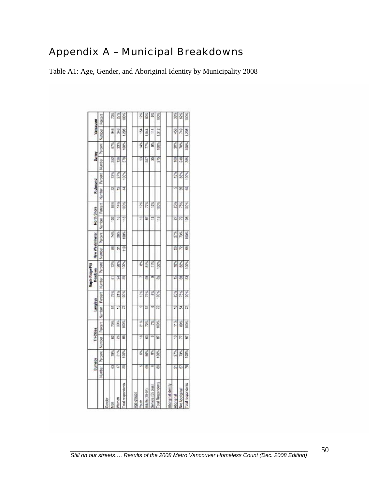# Appendix A – Municipal Breakdowns

Table A1: Age, Gender, and Aboriginal Identity by Municipality 2008

|                          |        | Burnety |        | Tri-Cities |        | Langleys |        | Maple Ridge Pitt<br>Meadows |        | New Westminster | North Shore   |         |        | Richmond |        | Surrey  | Vancouver |         |
|--------------------------|--------|---------|--------|------------|--------|----------|--------|-----------------------------|--------|-----------------|---------------|---------|--------|----------|--------|---------|-----------|---------|
|                          | Number | Percent | Number | Percent    | Number | Perpent  | Number | Percent                     | Number | Percent         | Number        | Percent | Number | Percent  | Number | Percent | Number    | Percent |
| <b>Gender</b>            |        |         |        |            |        |          |        |                             |        |                 |               |         |        |          |        |         |           |         |
| Nen                      | g      | 79%     | 헗      | š          | 5      | 7BK      | 5      | Ř                           | 8      | 74%             | $\approx$     | š.      | Ė      | É        | I      | 67%     | Î         | 菱       |
| Women                    | E      | 21%     | 뗢      | Š          | 띂      | 21%      | 荛      | É                           | ŗ,     | Š               | B             | 14%     | 할      | Ě        | 126    | 33%     | F         | ä       |
| cital respondents        | ន      | 100%    | 띪      | 100%       | R      | 100%     | 퍎      | 100%                        | Ë      | 100%            | 118           | 100%    | Ξ      | 100%     | 3781   | 100%    | Ą         | \$      |
|                          |        |         |        |            |        |          |        |                             |        |                 |               |         |        |          |        |         |           |         |
| ydno.6 aby               |        |         |        |            |        |          |        |                             |        |                 |               |         |        |          |        |         |           |         |
| Youth                    | ۰D     | š       | 巴      | 21%        | m      | š        |        | g,                          |        |                 | ø             | š       |        |          | g      | 4%      | ă         | š       |
| Adults (25-54)           | 쾲      | BB%     | 罶      | rz%        | ħ      | 7BN      | 盅      | 81%                         |        |                 | ħ             | P.      |        |          | 287    | r7%     | ă         | š       |
| Seriors (55 plus)        | œ      | Ě       | G      | É          | ١D     | š        | m      | <b>TRE</b>                  |        |                 | 巴             | K.      |        |          | 謁      | 롧       | Ë         | s       |
| Total Respondents        | 8      | 100%    | G      | š          | 咫      | 100%     | 岩      | 100%                        |        |                 | E             | 100%    |        |          | 575    | DO%     | 312       | Ś       |
|                          |        |         |        |            |        |          |        |                             |        |                 |               |         |        |          |        |         |           |         |
| Aboriginal identity      |        |         |        |            |        |          |        |                             |        |                 |               |         |        |          |        |         |           |         |
| Aboriginal               | ţ,     | 27%     | ₽      | 11%        | g      | 25%      | 띺      | 18%                         | B      | Š               | 72            | 25%     | u5     | 蓊        | g      | 30%     | Ş         | 薊       |
| Not Aboriginal           | 5      | 73%     | F      | ś          | 25     | 75%      | SI)    | 8%                          | R      | 薨               | R             | 75%     | B      | 鸾        | P      | 70%     | 749       | ś       |
| <b>Total respondents</b> | 跁      | 100%    | Б      | 100%       | R      | 100%     | 窑      | 100%                        | 裳      | toos.           | $\frac{1}{2}$ | 100%    | ₽      | 100%     | K      | 100%    | 1,205     | 100%    |

50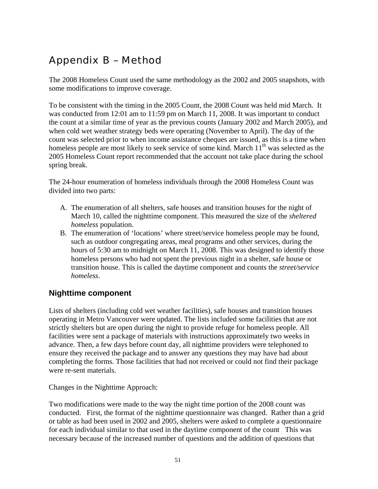# Appendix B – Method

The 2008 Homeless Count used the same methodology as the 2002 and 2005 snapshots, with some modifications to improve coverage.

To be consistent with the timing in the 2005 Count, the 2008 Count was held mid March. It was conducted from 12:01 am to 11:59 pm on March 11, 2008. It was important to conduct the count at a similar time of year as the previous counts (January 2002 and March 2005), and when cold wet weather strategy beds were operating (November to April). The day of the count was selected prior to when income assistance cheques are issued, as this is a time when homeless people are most likely to seek service of some kind. March  $11<sup>th</sup>$  was selected as the 2005 Homeless Count report recommended that the account not take place during the school spring break.

The 24-hour enumeration of homeless individuals through the 2008 Homeless Count was divided into two parts:

- A. The enumeration of all shelters, safe houses and transition houses for the night of March 10, called the nighttime component. This measured the size of the *sheltered homeless* population.
- B. The enumeration of 'locations' where street/service homeless people may be found, such as outdoor congregating areas, meal programs and other services, during the hours of 5:30 am to midnight on March 11, 2008. This was designed to identify those homeless persons who had not spent the previous night in a shelter, safe house or transition house. This is called the daytime component and counts the *street/service homeless*.

## **Nighttime component**

Lists of shelters (including cold wet weather facilities), safe houses and transition houses operating in Metro Vancouver were updated. The lists included some facilities that are not strictly shelters but are open during the night to provide refuge for homeless people. All facilities were sent a package of materials with instructions approximately two weeks in advance. Then, a few days before count day, all nighttime providers were telephoned to ensure they received the package and to answer any questions they may have had about completing the forms. Those facilities that had not received or could not find their package were re-sent materials.

Changes in the Nighttime Approach:

Two modifications were made to the way the night time portion of the 2008 count was conducted. First, the format of the nighttime questionnaire was changed. Rather than a grid or table as had been used in 2002 and 2005, shelters were asked to complete a questionnaire for each individual similar to that used in the daytime component of the count This was necessary because of the increased number of questions and the addition of questions that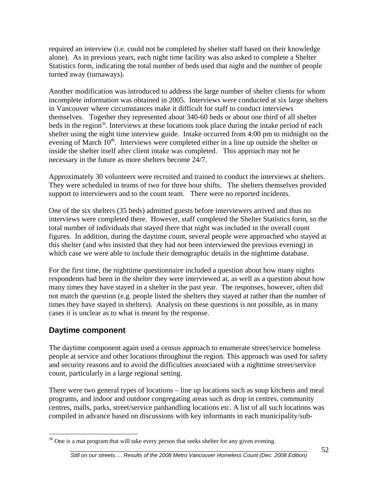required an interview (i.e. could not be completed by shelter staff based on their knowledge alone). As in previous years, each night time facility was also asked to complete a Shelter Statistics form, indicating the total number of beds used that night and the number of people turned away (turnaways).

Another modification was introduced to address the large number of shelter clients for whom incomplete information was obtained in 2005. Interviews were conducted at six large shelters in Vancouver where circumstances make it difficult for staff to conduct interviews themselves. Together they represented about 340-60 beds or about one third of all shelter beds in the region<sup>36</sup>. Interviews at these locations took place during the intake period of each shelter using the night time interview guide. Intake occurred from 4:00 pm to midnight on the evening of March 10<sup>th</sup>. Interviews were completed either in a line up outside the shelter or inside the shelter itself after client intake was completed. This approach may not be necessary in the future as more shelters become 24/7.

Approximately 30 volunteers were recruited and trained to conduct the interviews at shelters. They were scheduled in teams of two for three hour shifts. The shelters themselves provided support to interviewers and to the count team. There were no reported incidents.

One of the six shelters (35 beds) admitted guests before interviewers arrived and thus no interviews were completed there. However, staff completed the Shelter Statistics form, so the total number of individuals that stayed there that night was included in the overall count figures. In addition, during the daytime count, several people were approached who stayed at this shelter (and who insisted that they had not been interviewed the previous evening) in which case we were able to include their demographic details in the nighttime database.

For the first time, the nighttime questionnaire included a question about how many nights respondents had been in the shelter they were interviewed at, as well as a question about how many times they have stayed in a shelter in the past year. The responses, however, often did not match the question (e.g. people listed the shelters they stayed at rather than the number of times they have stayed in shelters). Analysis on these questions is not possible, as in many cases it is unclear as to what is meant by the response.

## **Daytime component**

 $\overline{a}$ 

The daytime component again used a census approach to enumerate street/service homeless people at service and other locations throughout the region. This approach was used for safety and security reasons and to avoid the difficulties associated with a nighttime street/service count, particularly in a large regional setting.

There were two general types of locations – line up locations such as soup kitchens and meal programs, and indoor and outdoor congregating areas such as drop in centres, community centres, malls, parks, street/service panhandling locations etc. A list of all such locations was compiled in advance based on discussions with key informants in each municipality/sub-

<span id="page-61-0"></span><sup>&</sup>lt;sup>36</sup> One is a mat program that will take every person that seeks shelter for any given evening.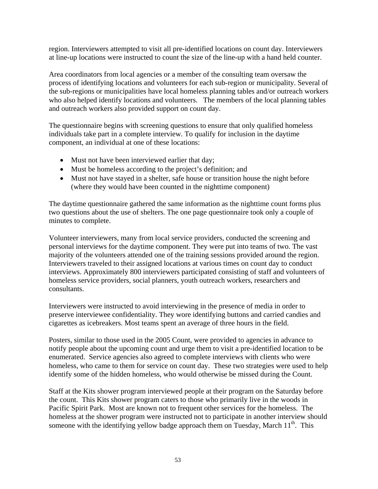region. Interviewers attempted to visit all pre-identified locations on count day. Interviewers at line-up locations were instructed to count the size of the line-up with a hand held counter.

Area coordinators from local agencies or a member of the consulting team oversaw the process of identifying locations and volunteers for each sub-region or municipality. Several of the sub-regions or municipalities have local homeless planning tables and/or outreach workers who also helped identify locations and volunteers. The members of the local planning tables and outreach workers also provided support on count day.

The questionnaire begins with screening questions to ensure that only qualified homeless individuals take part in a complete interview. To qualify for inclusion in the daytime component, an individual at one of these locations:

- Must not have been interviewed earlier that day;
- Must be homeless according to the project's definition; and
- Must not have stayed in a shelter, safe house or transition house the night before (where they would have been counted in the nighttime component)

The daytime questionnaire gathered the same information as the nighttime count forms plus two questions about the use of shelters. The one page questionnaire took only a couple of minutes to complete.

Volunteer interviewers, many from local service providers, conducted the screening and personal interviews for the daytime component. They were put into teams of two. The vast majority of the volunteers attended one of the training sessions provided around the region. Interviewers traveled to their assigned locations at various times on count day to conduct interviews. Approximately 800 interviewers participated consisting of staff and volunteers of homeless service providers, social planners, youth outreach workers, researchers and consultants.

Interviewers were instructed to avoid interviewing in the presence of media in order to preserve interviewee confidentiality. They wore identifying buttons and carried candies and cigarettes as icebreakers. Most teams spent an average of three hours in the field.

Posters, similar to those used in the 2005 Count, were provided to agencies in advance to notify people about the upcoming count and urge them to visit a pre-identified location to be enumerated. Service agencies also agreed to complete interviews with clients who were homeless, who came to them for service on count day. These two strategies were used to help identify some of the hidden homeless, who would otherwise be missed during the Count.

Staff at the Kits shower program interviewed people at their program on the Saturday before the count. This Kits shower program caters to those who primarily live in the woods in Pacific Spirit Park. Most are known not to frequent other services for the homeless. The homeless at the shower program were instructed not to participate in another interview should someone with the identifying yellow badge approach them on Tuesday, March 11<sup>th</sup>. This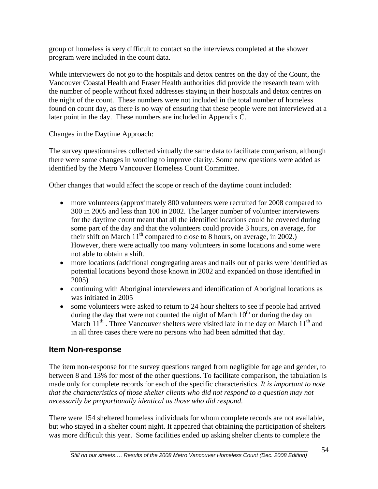group of homeless is very difficult to contact so the interviews completed at the shower program were included in the count data.

While interviewers do not go to the hospitals and detox centres on the day of the Count, the Vancouver Coastal Health and Fraser Health authorities did provide the research team with the number of people without fixed addresses staying in their hospitals and detox centres on the night of the count. These numbers were not included in the total number of homeless found on count day, as there is no way of ensuring that these people were not interviewed at a later point in the day. These numbers are included in Appendix C.

Changes in the Daytime Approach:

The survey questionnaires collected virtually the same data to facilitate comparison, although there were some changes in wording to improve clarity. Some new questions were added as identified by the Metro Vancouver Homeless Count Committee.

Other changes that would affect the scope or reach of the daytime count included:

- more volunteers (approximately 800 volunteers were recruited for 2008 compared to 300 in 2005 and less than 100 in 2002. The larger number of volunteer interviewers for the daytime count meant that all the identified locations could be covered during some part of the day and that the volunteers could provide 3 hours, on average, for their shift on March  $11<sup>th</sup>$  compared to close to 8 hours, on average, in 2002.) However, there were actually too many volunteers in some locations and some were not able to obtain a shift.
- more locations (additional congregating areas and trails out of parks were identified as potential locations beyond those known in 2002 and expanded on those identified in 2005)
- continuing with Aboriginal interviewers and identification of Aboriginal locations as was initiated in 2005
- some volunteers were asked to return to 24 hour shelters to see if people had arrived during the day that were not counted the night of March  $10<sup>th</sup>$  or during the day on March  $11<sup>th</sup>$ . Three Vancouver shelters were visited late in the day on March  $11<sup>th</sup>$  and in all three cases there were no persons who had been admitted that day.

## **Item Non-response**

The item non-response for the survey questions ranged from negligible for age and gender, to between 8 and 13% for most of the other questions. To facilitate comparison, the tabulation is made only for complete records for each of the specific characteristics. *It is important to note that the characteristics of those shelter clients who did not respond to a question may not necessarily be proportionally identical as those who did respond*.

There were 154 sheltered homeless individuals for whom complete records are not available, but who stayed in a shelter count night. It appeared that obtaining the participation of shelters was more difficult this year. Some facilities ended up asking shelter clients to complete the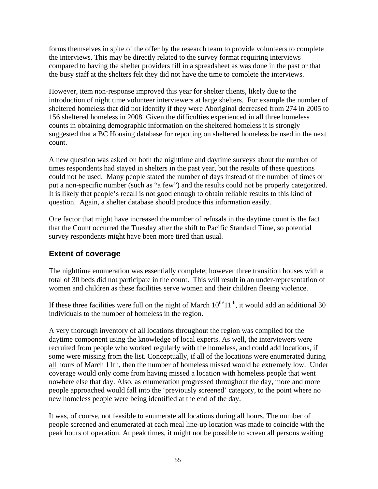forms themselves in spite of the offer by the research team to provide volunteers to complete the interviews. This may be directly related to the survey format requiring interviews compared to having the shelter providers fill in a spreadsheet as was done in the past or that the busy staff at the shelters felt they did not have the time to complete the interviews.

However, item non-response improved this year for shelter clients, likely due to the introduction of night time volunteer interviewers at large shelters. For example the number of sheltered homeless that did not identify if they were Aboriginal decreased from 274 in 2005 to 156 sheltered homeless in 2008. Given the difficulties experienced in all three homeless counts in obtaining demographic information on the sheltered homeless it is strongly suggested that a BC Housing database for reporting on sheltered homeless be used in the next count.

A new question was asked on both the nighttime and daytime surveys about the number of times respondents had stayed in shelters in the past year, but the results of these questions could not be used. Many people stated the number of days instead of the number of times or put a non-specific number (such as "a few") and the results could not be properly categorized. It is likely that people's recall is not good enough to obtain reliable results to this kind of question. Again, a shelter database should produce this information easily.

One factor that might have increased the number of refusals in the daytime count is the fact that the Count occurred the Tuesday after the shift to Pacific Standard Time, so potential survey respondents might have been more tired than usual.

## **Extent of coverage**

The nighttime enumeration was essentially complete; however three transition houses with a total of 30 beds did not participate in the count. This will result in an under-representation of women and children as these facilities serve women and their children fleeing violence.

If these three facilities were full on the night of March  $10^{th/11^{th}}$ , it would add an additional 30 individuals to the number of homeless in the region.

A very thorough inventory of all locations throughout the region was compiled for the daytime component using the knowledge of local experts. As well, the interviewers were recruited from people who worked regularly with the homeless, and could add locations, if some were missing from the list. Conceptually, if all of the locations were enumerated during all hours of March 11th, then the number of homeless missed would be extremely low. Under coverage would only come from having missed a location with homeless people that went nowhere else that day. Also, as enumeration progressed throughout the day, more and more people approached would fall into the 'previously screened' category, to the point where no new homeless people were being identified at the end of the day.

It was, of course, not feasible to enumerate all locations during all hours. The number of people screened and enumerated at each meal line-up location was made to coincide with the peak hours of operation. At peak times, it might not be possible to screen all persons waiting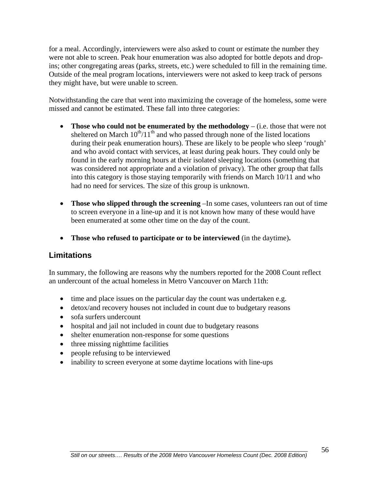for a meal. Accordingly, interviewers were also asked to count or estimate the number they were not able to screen. Peak hour enumeration was also adopted for bottle depots and dropins; other congregating areas (parks, streets, etc.) were scheduled to fill in the remaining time. Outside of the meal program locations, interviewers were not asked to keep track of persons they might have, but were unable to screen.

Notwithstanding the care that went into maximizing the coverage of the homeless, some were missed and cannot be estimated. These fall into three categories:

- **Those who could not be enumerated by the methodology** (i.e. those that were not sheltered on March  $10^{th}/11^{th}$  and who passed through none of the listed locations during their peak enumeration hours). These are likely to be people who sleep 'rough' and who avoid contact with services, at least during peak hours. They could only be found in the early morning hours at their isolated sleeping locations (something that was considered not appropriate and a violation of privacy). The other group that falls into this category is those staying temporarily with friends on March 10/11 and who had no need for services. The size of this group is unknown.
- **Those who slipped through the screening** –In some cases, volunteers ran out of time to screen everyone in a line-up and it is not known how many of these would have been enumerated at some other time on the day of the count.
- **Those who refused to participate or to be interviewed** (in the daytime)**.**

## **Limitations**

In summary, the following are reasons why the numbers reported for the 2008 Count reflect an undercount of the actual homeless in Metro Vancouver on March 11th:

- time and place issues on the particular day the count was undertaken e.g.
- detox/and recovery houses not included in count due to budgetary reasons
- sofa surfers undercount
- hospital and jail not included in count due to budgetary reasons
- shelter enumeration non-response for some questions
- three missing nighttime facilities
- people refusing to be interviewed
- inability to screen everyone at some daytime locations with line-ups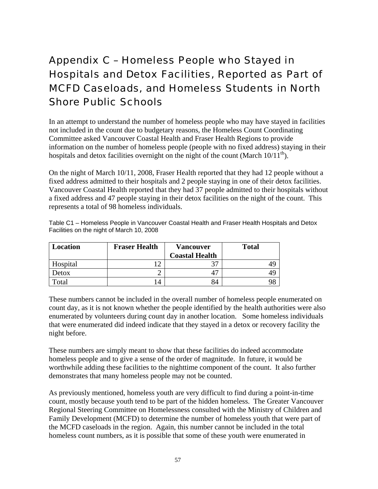# Appendix C – Homeless People who Stayed in Hospitals and Detox Facilities, Reported as Part of MCFD Caseloads, and Homeless Students in North Shore Public Schools

In an attempt to understand the number of homeless people who may have stayed in facilities not included in the count due to budgetary reasons, the Homeless Count Coordinating Committee asked Vancouver Coastal Health and Fraser Health Regions to provide information on the number of homeless people (people with no fixed address) staying in their hospitals and detox facilities overnight on the night of the count (March  $10/11^{th}$ ).

On the night of March 10/11, 2008, Fraser Health reported that they had 12 people without a fixed address admitted to their hospitals and 2 people staying in one of their detox facilities. Vancouver Coastal Health reported that they had 37 people admitted to their hospitals without a fixed address and 47 people staying in their detox facilities on the night of the count. This represents a total of 98 homeless individuals.

| <b>Location</b> | <b>Fraser Health</b> | <b>Vancouver</b>      | <b>Total</b> |
|-----------------|----------------------|-----------------------|--------------|
|                 |                      | <b>Coastal Health</b> |              |
| Hospital        |                      | 27                    |              |
| Detox           |                      | רי                    |              |
| Total           | 14                   | 84                    |              |

Table C1 – Homeless People in Vancouver Coastal Health and Fraser Health Hospitals and Detox Facilities on the night of March 10, 2008

These numbers cannot be included in the overall number of homeless people enumerated on count day, as it is not known whether the people identified by the health authorities were also enumerated by volunteers during count day in another location. Some homeless individuals that were enumerated did indeed indicate that they stayed in a detox or recovery facility the night before.

These numbers are simply meant to show that these facilities do indeed accommodate homeless people and to give a sense of the order of magnitude. In future, it would be worthwhile adding these facilities to the nighttime component of the count. It also further demonstrates that many homeless people may not be counted.

As previously mentioned, homeless youth are very difficult to find during a point-in-time count, mostly because youth tend to be part of the hidden homeless. The Greater Vancouver Regional Steering Committee on Homelessness consulted with the Ministry of Children and Family Development (MCFD) to determine the number of homeless youth that were part of the MCFD caseloads in the region. Again, this number cannot be included in the total homeless count numbers, as it is possible that some of these youth were enumerated in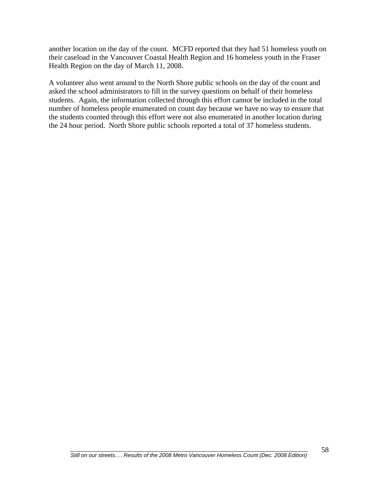another location on the day of the count. MCFD reported that they had 51 homeless youth on their caseload in the Vancouver Coastal Health Region and 16 homeless youth in the Fraser Health Region on the day of March 11, 2008.

A volunteer also went around to the North Shore public schools on the day of the count and asked the school administrators to fill in the survey questions on behalf of their homeless students. Again, the information collected through this effort cannot be included in the total number of homeless people enumerated on count day because we have no way to ensure that the students counted through this effort were not also enumerated in another location during the 24 hour period. North Shore public schools reported a total of 37 homeless students.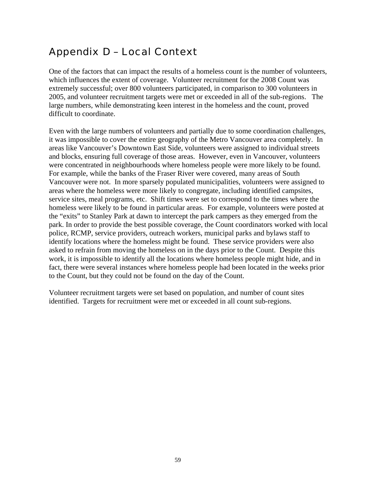# Appendix D – Local Context

One of the factors that can impact the results of a homeless count is the number of volunteers, which influences the extent of coverage. Volunteer recruitment for the 2008 Count was extremely successful; over 800 volunteers participated, in comparison to 300 volunteers in 2005, and volunteer recruitment targets were met or exceeded in all of the sub-regions. The large numbers, while demonstrating keen interest in the homeless and the count, proved difficult to coordinate.

Even with the large numbers of volunteers and partially due to some coordination challenges, it was impossible to cover the entire geography of the Metro Vancouver area completely. In areas like Vancouver's Downtown East Side, volunteers were assigned to individual streets and blocks, ensuring full coverage of those areas. However, even in Vancouver, volunteers were concentrated in neighbourhoods where homeless people were more likely to be found. For example, while the banks of the Fraser River were covered, many areas of South Vancouver were not. In more sparsely populated municipalities, volunteers were assigned to areas where the homeless were more likely to congregate, including identified campsites, service sites, meal programs, etc. Shift times were set to correspond to the times where the homeless were likely to be found in particular areas. For example, volunteers were posted at the "exits" to Stanley Park at dawn to intercept the park campers as they emerged from the park. In order to provide the best possible coverage, the Count coordinators worked with local police, RCMP, service providers, outreach workers, municipal parks and bylaws staff to identify locations where the homeless might be found. These service providers were also asked to refrain from moving the homeless on in the days prior to the Count. Despite this work, it is impossible to identify all the locations where homeless people might hide, and in fact, there were several instances where homeless people had been located in the weeks prior to the Count, but they could not be found on the day of the Count.

Volunteer recruitment targets were set based on population, and number of count sites identified. Targets for recruitment were met or exceeded in all count sub-regions.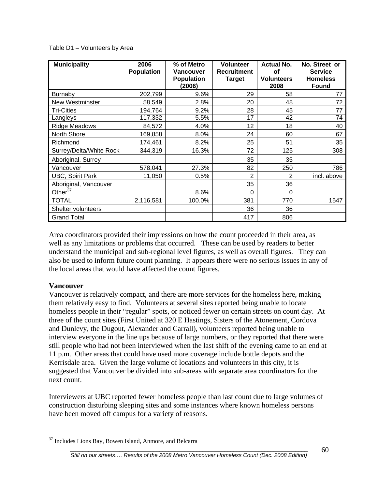| <b>Municipality</b>     | 2006<br><b>Population</b> | % of Metro<br><b>Vancouver</b><br><b>Population</b><br>(2006) | <b>Volunteer</b><br><b>Recruitment</b><br><b>Target</b> | <b>Actual No.</b><br>οf<br><b>Volunteers</b><br>2008 | No. Street or<br><b>Service</b><br><b>Homeless</b><br><b>Found</b> |
|-------------------------|---------------------------|---------------------------------------------------------------|---------------------------------------------------------|------------------------------------------------------|--------------------------------------------------------------------|
| <b>Burnaby</b>          | 202,799                   | 9.6%                                                          | 29                                                      | 58                                                   | 77                                                                 |
| <b>New Westminster</b>  | 58,549                    | 2.8%                                                          | 20                                                      | 48                                                   | 72                                                                 |
| <b>Tri-Cities</b>       | 194,764                   | 9.2%                                                          | 28                                                      | 45                                                   | 77                                                                 |
| Langleys                | 117,332                   | 5.5%                                                          | 17                                                      | 42                                                   | 74                                                                 |
| Ridge Meadows           | 84,572                    | 4.0%                                                          | $12 \overline{ }$                                       | 18                                                   | 40                                                                 |
| North Shore             | 169,858                   | 8.0%                                                          | 24                                                      | 60                                                   | 67                                                                 |
| Richmond                | 174,461                   | 8.2%                                                          | 25                                                      | 51                                                   | 35                                                                 |
| Surrey/Delta/White Rock | 344,319                   | 16.3%                                                         | 72                                                      | 125                                                  | 308                                                                |
| Aboriginal, Surrey      |                           |                                                               | 35                                                      | 35                                                   |                                                                    |
| Vancouver               | 578,041                   | 27.3%                                                         | 82                                                      | 250                                                  | 786                                                                |
| <b>UBC, Spirit Park</b> | 11,050                    | 0.5%                                                          | $\overline{2}$                                          | 2                                                    | incl. above                                                        |
| Aboriginal, Vancouver   |                           |                                                               | 35                                                      | 36                                                   |                                                                    |
| Other $3\overline{7}$   |                           | 8.6%                                                          | 0                                                       | $\Omega$                                             |                                                                    |
| <b>TOTAL</b>            | 2,116,581                 | 100.0%                                                        | 381                                                     | 770                                                  | 1547                                                               |
| Shelter volunteers      |                           |                                                               | 36                                                      | 36                                                   |                                                                    |
| <b>Grand Total</b>      |                           |                                                               | 417                                                     | 806                                                  |                                                                    |

Table D1 – Volunteers by Area

Area coordinators provided their impressions on how the count proceeded in their area, as well as any limitations or problems that occurred. These can be used by readers to better understand the municipal and sub-regional level figures, as well as overall figures. They can also be used to inform future count planning. It appears there were no serious issues in any of the local areas that would have affected the count figures.

#### **Vancouver**

 $\overline{a}$ 

Vancouver is relatively compact, and there are more services for the homeless here, making them relatively easy to find. Volunteers at several sites reported being unable to locate homeless people in their "regular" spots, or noticed fewer on certain streets on count day. At three of the count sites (First United at 320 E Hastings, Sisters of the Atonement, Cordova and Dunlevy, the Dugout, Alexander and Carrall), volunteers reported being unable to interview everyone in the line ups because of large numbers, or they reported that there were still people who had not been interviewed when the last shift of the evening came to an end at 11 p.m. Other areas that could have used more coverage include bottle depots and the Kerrisdale area. Given the large volume of locations and volunteers in this city, it is suggested that Vancouver be divided into sub-areas with separate area coordinators for the next count.

Interviewers at UBC reported fewer homeless people than last count due to large volumes of construction disturbing sleeping sites and some instances where known homeless persons have been moved off campus for a variety of reasons.

<span id="page-69-0"></span><sup>&</sup>lt;sup>37</sup> Includes Lions Bay, Bowen Island, Anmore, and Belcarra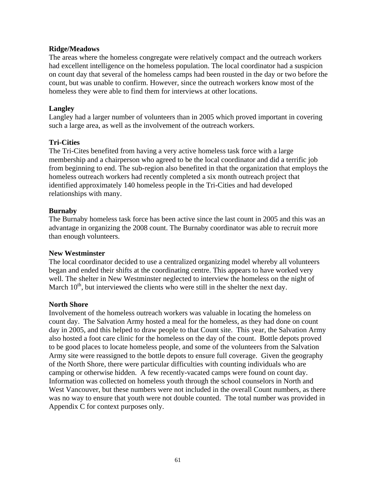#### **Ridge/Meadows**

The areas where the homeless congregate were relatively compact and the outreach workers had excellent intelligence on the homeless population. The local coordinator had a suspicion on count day that several of the homeless camps had been rousted in the day or two before the count, but was unable to confirm. However, since the outreach workers know most of the homeless they were able to find them for interviews at other locations.

#### **Langley**

Langley had a larger number of volunteers than in 2005 which proved important in covering such a large area, as well as the involvement of the outreach workers.

### **Tri-Cities**

The Tri-Cites benefited from having a very active homeless task force with a large membership and a chairperson who agreed to be the local coordinator and did a terrific job from beginning to end. The sub-region also benefited in that the organization that employs the homeless outreach workers had recently completed a six month outreach project that identified approximately 140 homeless people in the Tri-Cities and had developed relationships with many.

#### **Burnaby**

The Burnaby homeless task force has been active since the last count in 2005 and this was an advantage in organizing the 2008 count. The Burnaby coordinator was able to recruit more than enough volunteers.

#### **New Westminster**

The local coordinator decided to use a centralized organizing model whereby all volunteers began and ended their shifts at the coordinating centre. This appears to have worked very well. The shelter in New Westminster neglected to interview the homeless on the night of March  $10<sup>th</sup>$ , but interviewed the clients who were still in the shelter the next day.

#### **North Shore**

Involvement of the homeless outreach workers was valuable in locating the homeless on count day. The Salvation Army hosted a meal for the homeless, as they had done on count day in 2005, and this helped to draw people to that Count site. This year, the Salvation Army also hosted a foot care clinic for the homeless on the day of the count. Bottle depots proved to be good places to locate homeless people, and some of the volunteers from the Salvation Army site were reassigned to the bottle depots to ensure full coverage. Given the geography of the North Shore, there were particular difficulties with counting individuals who are camping or otherwise hidden. A few recently-vacated camps were found on count day. Information was collected on homeless youth through the school counselors in North and West Vancouver, but these numbers were not included in the overall Count numbers, as there was no way to ensure that youth were not double counted. The total number was provided in Appendix C for context purposes only.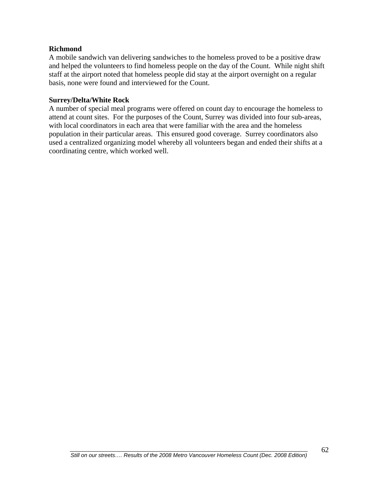### **Richmond**

A mobile sandwich van delivering sandwiches to the homeless proved to be a positive draw and helped the volunteers to find homeless people on the day of the Count. While night shift staff at the airport noted that homeless people did stay at the airport overnight on a regular basis, none were found and interviewed for the Count.

### **Surrey/Delta/White Rock**

A number of special meal programs were offered on count day to encourage the homeless to attend at count sites. For the purposes of the Count, Surrey was divided into four sub-areas, with local coordinators in each area that were familiar with the area and the homeless population in their particular areas. This ensured good coverage. Surrey coordinators also used a centralized organizing model whereby all volunteers began and ended their shifts at a coordinating centre, which worked well.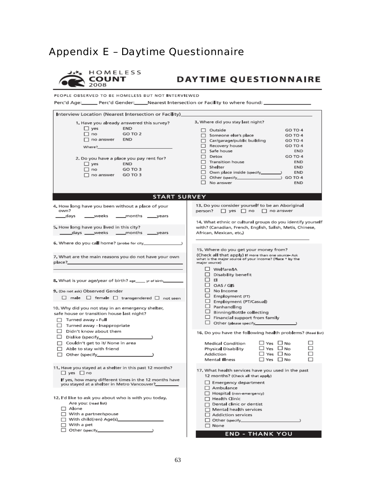## **Appendix E - Daytime Questionnaire**



## **DAYTIME QUESTIONNAIRE**

PEOPLE OBSERVED TO BE HOMELESS BUT NOT INTERVIEWED

Perc'd Age:\_\_\_\_\_\_\_ Perc'd Gender:\_\_\_\_\_\_Nearest Intersection or Facility to where found: \_\_\_\_\_\_\_\_\_

| Interview Location (Nearest Intersection or Facility)                 |                                                                                                                          |  |
|-----------------------------------------------------------------------|--------------------------------------------------------------------------------------------------------------------------|--|
| 1. Have you already answered this survey?<br>$\Box$ yes<br><b>END</b> | 3. Where did you stay last night?<br>$\Box$ Outside<br>GO TO 4                                                           |  |
| $\Box$ no<br>GO TO 2                                                  | □ Someone else's place<br>GO TO 4                                                                                        |  |
| $\Box$ no answer<br>END                                               | $\Box$ Car/garage/public building<br>GO TO 4                                                                             |  |
| Where?                                                                | Recovery house<br>GO TO 4                                                                                                |  |
|                                                                       | $\Box$ Safe house<br><b>END</b>                                                                                          |  |
|                                                                       | $\Box$ Detox<br>GO TO 4                                                                                                  |  |
| 2. Do you have a place you pay rent for?                              | $\Box$ Transition house<br><b>END</b>                                                                                    |  |
| $\square$ yes<br><b>END</b>                                           | $\Box$ Shelter<br><b>END</b>                                                                                             |  |
| $\Box$ no<br>GO TO 3                                                  | END                                                                                                                      |  |
| GO TO 3<br>$\Box$ no answer                                           | 1 GO TO 4                                                                                                                |  |
|                                                                       | $\Box$ No answer<br><b>END</b>                                                                                           |  |
|                                                                       |                                                                                                                          |  |
| <b>START SURVEY</b>                                                   |                                                                                                                          |  |
| 4. How long have you been without a place of your<br>own?             | 13. Do you consider yourself to be an Aboriginal<br>person? $\Box$ yes $\Box$ no $\Box$ no answer                        |  |
| _____months ______years<br>_days<br>_weeks                            |                                                                                                                          |  |
| 5. How long have you lived in this city?                              | 14. What ethnic or cultural groups do you identify yourself<br>with? (Canadian, French, English, Salish, Metis, Chinese, |  |
| _______days ______weeks ______months ______years                      | African, Mexican, etc.)                                                                                                  |  |
|                                                                       |                                                                                                                          |  |
|                                                                       | 15. Where do you get your money from?                                                                                    |  |
| 7. What are the main reasons you do not have your own                 | (Check all that apply) If more than one source-Ask                                                                       |  |
| place?                                                                | what is the major source of your income? (Place * by the<br>major source)                                                |  |
|                                                                       | □ Welfare/IA                                                                                                             |  |
|                                                                       | $\Box$ Disability benefit                                                                                                |  |
| 8. What is your age/year of birth? age____ yr of birth____            | □□□                                                                                                                      |  |
|                                                                       | $\Box$ OAS/GS                                                                                                            |  |
| 9. (Do not ask) Observed Gender                                       | $\Box$ No Income                                                                                                         |  |
| $\Box$ male $\Box$ female $\Box$ transgendered $\Box$ not seen        | $\Box$ Employment (FT)                                                                                                   |  |
|                                                                       | Employment (PT/Casual)                                                                                                   |  |
| 10. Why did you not stay in an emergency shelter,                     | $\Box$ Panhandling                                                                                                       |  |
| safe house or transition house last night?                            | Binning/Bottle collecting                                                                                                |  |
|                                                                       | $\Box$ Financial support from family                                                                                     |  |
| $\Box$ Turned away - Full                                             |                                                                                                                          |  |
| $\Box$ Turned away - Inappropriate                                    |                                                                                                                          |  |
| $\Box$ Didn't know about them                                         | 16. Do you have the following health problems? (Read list)                                                               |  |
|                                                                       |                                                                                                                          |  |
| $\Box$ Couldn't get to it/ None in area                               | $\Box$ Yes $\Box$ No<br>п<br><b>Medical Condition</b>                                                                    |  |
| $\Box$ Able to stay with friend                                       | □ Yes □ No<br>Physical Disability                                                                                        |  |
|                                                                       | □ Yes □ No<br>Addiction                                                                                                  |  |
|                                                                       | Mental Illness<br>□ Yes □ No                                                                                             |  |
| 11. Have you stayed at a shelter in this past 12 months?              | 17. What health services have you used in the past                                                                       |  |
| $\Box$ yes $\Box$ no                                                  | 12 months? (Check all that apply)                                                                                        |  |
| If yes, how many different times in the 12 months have                |                                                                                                                          |  |
| you stayed at a shelter in Metro Vancouver?                           | Emergency department                                                                                                     |  |
|                                                                       | Ambulance                                                                                                                |  |
| 12. I'd like to ask you about who is with you today.                  | Hospita (non-emergency)                                                                                                  |  |
| Are you: (read list)                                                  | $\Box$ Health Clinic                                                                                                     |  |
| $\Box$ Alone                                                          | $\Box$ Dental clinic or dentist                                                                                          |  |
|                                                                       | $\Box$ Mental health services                                                                                            |  |
| $\Box$ With a partner/spouse                                          | $\Box$ Addiction services                                                                                                |  |
|                                                                       |                                                                                                                          |  |
| $\Box$ With a pet                                                     | $\Box$ None                                                                                                              |  |
|                                                                       | <b>END - THANK YOU</b>                                                                                                   |  |